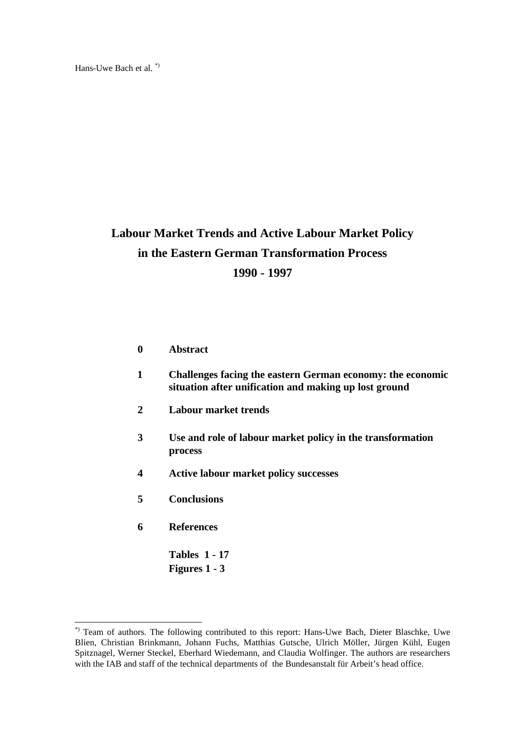Hans-Uwe Bach et al. \*)

# **Labour Market Trends and Active Labour Market Policy in the Eastern German Transformation Process 1990 - 1997**

- **0 Abstract**
- **1 Challenges facing the eastern German economy: the economic situation after unification and making up lost ground**
- **2 Labour market trends**
- **3 Use and role of labour market policy in the transformation process**
- **4 Active labour market policy successes**
- **5 Conclusions**
- **6 References**

l

**Tables 1 - 17 Figures 1 - 3**

<sup>\*)</sup> Team of authors. The following contributed to this report: Hans-Uwe Bach, Dieter Blaschke, Uwe Blien, Christian Brinkmann, Johann Fuchs, Matthias Gutsche, Ulrich Möller, Jürgen Kühl, Eugen Spitznagel, Werner Steckel, Eberhard Wiedemann, and Claudia Wolfinger. The authors are researchers with the IAB and staff of the technical departments of the Bundesanstalt für Arbeit's head office.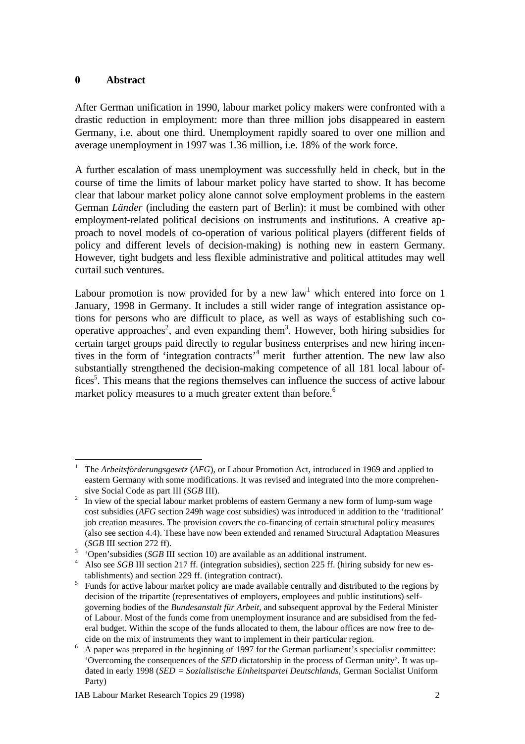## **0 Abstract**

After German unification in 1990, labour market policy makers were confronted with a drastic reduction in employment: more than three million jobs disappeared in eastern Germany, i.e. about one third. Unemployment rapidly soared to over one million and average unemployment in 1997 was 1.36 million, i.e. 18% of the work force.

A further escalation of mass unemployment was successfully held in check, but in the course of time the limits of labour market policy have started to show. It has become clear that labour market policy alone cannot solve employment problems in the eastern German *Länder* (including the eastern part of Berlin): it must be combined with other employment-related political decisions on instruments and institutions. A creative approach to novel models of co-operation of various political players (different fields of policy and different levels of decision-making) is nothing new in eastern Germany. However, tight budgets and less flexible administrative and political attitudes may well curtail such ventures.

Labour promotion is now provided for by a new  $law<sup>1</sup>$  which entered into force on 1 January, 1998 in Germany. It includes a still wider range of integration assistance options for persons who are difficult to place, as well as ways of establishing such cooperative approaches<sup>2</sup>, and even expanding them<sup>3</sup>. However, both hiring subsidies for certain target groups paid directly to regular business enterprises and new hiring incentives in the form of 'integration contracts'<sup>4</sup> merit further attention. The new law also substantially strengthened the decision-making competence of all 181 local labour offices<sup>5</sup>. This means that the regions themselves can influence the success of active labour market policy measures to a much greater extent than before.<sup>6</sup>

l <sup>1</sup> The *Arbeitsförderungsgesetz* (*AFG*), or Labour Promotion Act, introduced in 1969 and applied to eastern Germany with some modifications. It was revised and integrated into the more comprehensive Social Code as part III (*SGB* III).

<sup>2</sup> In view of the special labour market problems of eastern Germany a new form of lump-sum wage cost subsidies (*AFG* section 249h wage cost subsidies) was introduced in addition to the 'traditional' job creation measures. The provision covers the co-financing of certain structural policy measures (also see section 4.4). These have now been extended and renamed Structural Adaptation Measures (*SGB* III section 272 ff).

<sup>3</sup> 'Open'subsidies (*SGB* III section 10) are available as an additional instrument.

<sup>&</sup>lt;sup>4</sup> Also see *SGB* III section 217 ff. (integration subsidies), section 225 ff. (hiring subsidy for new establishments) and section 229 ff. (integration contract).

<sup>5</sup> Funds for active labour market policy are made available centrally and distributed to the regions by decision of the tripartite (representatives of employers, employees and public institutions) selfgoverning bodies of the *Bundesanstalt für Arbeit*, and subsequent approval by the Federal Minister of Labour. Most of the funds come from unemployment insurance and are subsidised from the federal budget. Within the scope of the funds allocated to them, the labour offices are now free to decide on the mix of instruments they want to implement in their particular region.

<sup>&</sup>lt;sup>6</sup> A paper was prepared in the beginning of 1997 for the German parliament's specialist committee: 'Overcoming the consequences of the *SED* dictatorship in the process of German unity'. It was updated in early 1998 (*SED = Sozialistische Einheitspartei Deutschlands,* German Socialist Uniform Party)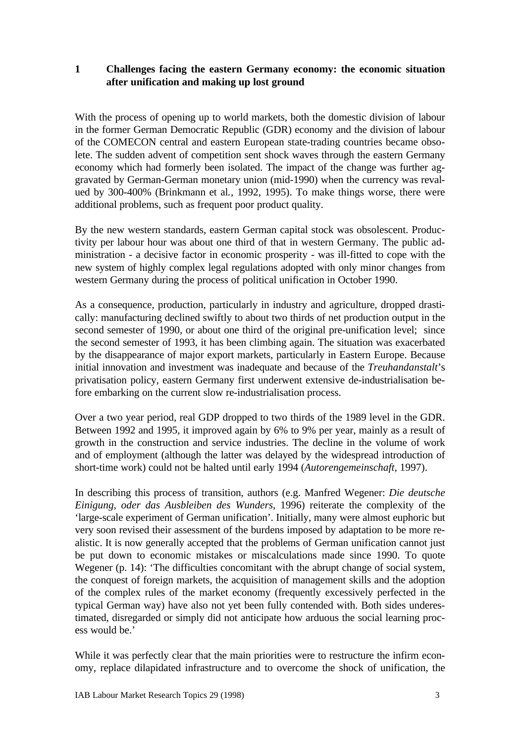## **1 Challenges facing the eastern Germany economy: the economic situation after unification and making up lost ground**

With the process of opening up to world markets, both the domestic division of labour in the former German Democratic Republic (GDR) economy and the division of labour of the COMECON central and eastern European state-trading countries became obsolete. The sudden advent of competition sent shock waves through the eastern Germany economy which had formerly been isolated. The impact of the change was further aggravated by German-German monetary union (mid-1990) when the currency was revalued by 300-400% (Brinkmann et al*.*, 1992, 1995). To make things worse, there were additional problems, such as frequent poor product quality.

By the new western standards, eastern German capital stock was obsolescent. Productivity per labour hour was about one third of that in western Germany. The public administration - a decisive factor in economic prosperity - was ill-fitted to cope with the new system of highly complex legal regulations adopted with only minor changes from western Germany during the process of political unification in October 1990.

As a consequence, production, particularly in industry and agriculture, dropped drastically: manufacturing declined swiftly to about two thirds of net production output in the second semester of 1990, or about one third of the original pre-unification level; since the second semester of 1993, it has been climbing again. The situation was exacerbated by the disappearance of major export markets, particularly in Eastern Europe. Because initial innovation and investment was inadequate and because of the *Treuhandanstalt*'s privatisation policy, eastern Germany first underwent extensive de-industrialisation before embarking on the current slow re-industrialisation process.

Over a two year period, real GDP dropped to two thirds of the 1989 level in the GDR. Between 1992 and 1995, it improved again by 6% to 9% per year, mainly as a result of growth in the construction and service industries. The decline in the volume of work and of employment (although the latter was delayed by the widespread introduction of short-time work) could not be halted until early 1994 (*Autorengemeinschaft*, 1997).

In describing this process of transition, authors (e.g. Manfred Wegener: *Die deutsche Einigung, oder das Ausbleiben des Wunders*, 1996) reiterate the complexity of the 'large-scale experiment of German unification'. Initially, many were almost euphoric but very soon revised their assessment of the burdens imposed by adaptation to be more realistic. It is now generally accepted that the problems of German unification cannot just be put down to economic mistakes or miscalculations made since 1990. To quote Wegener (p. 14): 'The difficulties concomitant with the abrupt change of social system, the conquest of foreign markets, the acquisition of management skills and the adoption of the complex rules of the market economy (frequently excessively perfected in the typical German way) have also not yet been fully contended with. Both sides underestimated, disregarded or simply did not anticipate how arduous the social learning process would be.'

While it was perfectly clear that the main priorities were to restructure the infirm economy, replace dilapidated infrastructure and to overcome the shock of unification, the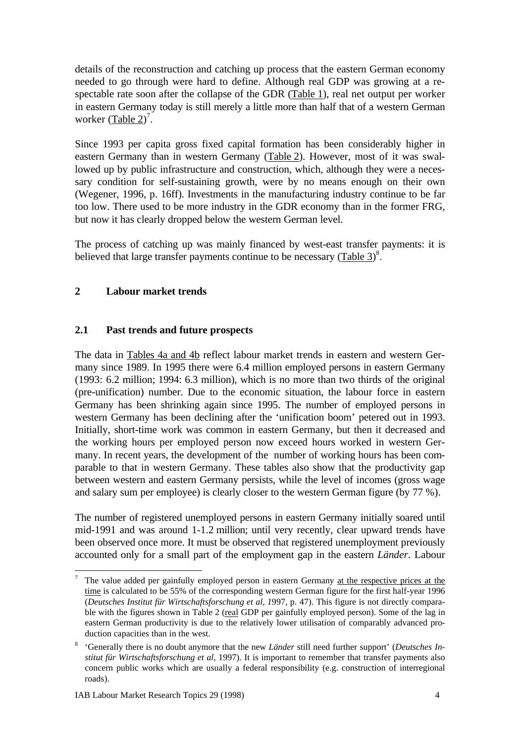details of the reconstruction and catching up process that the eastern German economy needed to go through were hard to define. Although real GDP was growing at a respectable rate soon after the collapse of the GDR (Table 1), real net output per worker in eastern Germany today is still merely a little more than half that of a western German worker  $(Table 2)^7$ .

Since 1993 per capita gross fixed capital formation has been considerably higher in eastern Germany than in western Germany (Table 2). However, most of it was swallowed up by public infrastructure and construction, which, although they were a necessary condition for self-sustaining growth, were by no means enough on their own (Wegener, 1996, p. 16ff). Investments in the manufacturing industry continue to be far too low. There used to be more industry in the GDR economy than in the former FRG, but now it has clearly dropped below the western German level.

The process of catching up was mainly financed by west-east transfer payments: it is believed that large transfer payments continue to be necessary  $(Table 3)^8$ .

# **2 Labour market trends**

## **2.1 Past trends and future prospects**

The data in Tables 4a and 4b reflect labour market trends in eastern and western Germany since 1989. In 1995 there were 6.4 million employed persons in eastern Germany (1993: 6.2 million; 1994: 6.3 million), which is no more than two thirds of the original (pre-unification) number. Due to the economic situation, the labour force in eastern Germany has been shrinking again since 1995. The number of employed persons in western Germany has been declining after the 'unification boom' petered out in 1993. Initially, short-time work was common in eastern Germany, but then it decreased and the working hours per employed person now exceed hours worked in western Germany. In recent years, the development of the number of working hours has been comparable to that in western Germany. These tables also show that the productivity gap between western and eastern Germany persists, while the level of incomes (gross wage and salary sum per employee) is clearly closer to the western German figure (by 77 %).

The number of registered unemployed persons in eastern Germany initially soared until mid-1991 and was around 1-1.2 million; until very recently, clear upward trends have been observed once more. It must be observed that registered unemployment previously accounted only for a small part of the employment gap in the eastern *Länder*. Labour

 $7$  The value added per gainfully employed person in eastern Germany at the respective prices at the time is calculated to be 55% of the corresponding western German figure for the first half-year 1996 (*Deutsches Institut für Wirtschaftsforschung et al, 1*997, p. 47). This figure is not directly comparable with the figures shown in Table 2 (real GDP per gainfully employed person). Some of the lag in eastern German productivity is due to the relatively lower utilisation of comparably advanced production capacities than in the west.

<sup>8</sup> 'Generally there is no doubt anymore that the new *Länder* still need further support' (*Deutsches Institut für Wirtschaftsforschung et al,* 1997). It is important to remember that transfer payments also concern public works which are usually a federal responsibility (e.g. construction of interregional roads).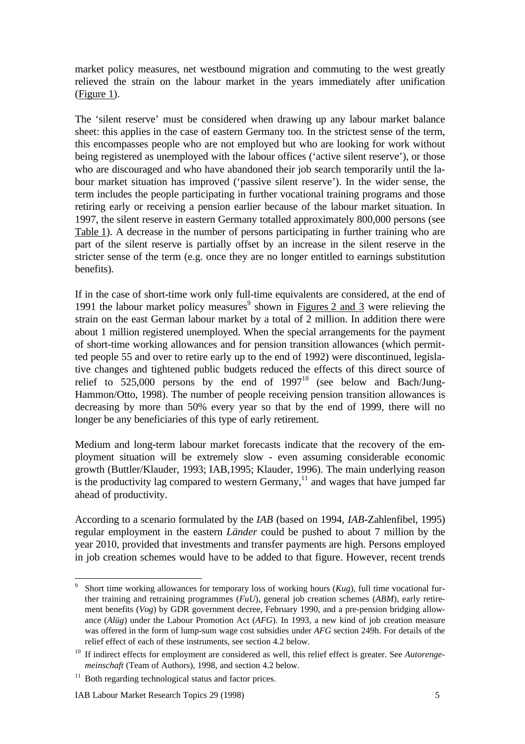market policy measures, net westbound migration and commuting to the west greatly relieved the strain on the labour market in the years immediately after unification (Figure 1).

The 'silent reserve' must be considered when drawing up any labour market balance sheet: this applies in the case of eastern Germany too. In the strictest sense of the term, this encompasses people who are not employed but who are looking for work without being registered as unemployed with the labour offices ('active silent reserve'), or those who are discouraged and who have abandoned their job search temporarily until the labour market situation has improved ('passive silent reserve'). In the wider sense, the term includes the people participating in further vocational training programs and those retiring early or receiving a pension earlier because of the labour market situation. In 1997, the silent reserve in eastern Germany totalled approximately 800,000 persons (see Table 1). A decrease in the number of persons participating in further training who are part of the silent reserve is partially offset by an increase in the silent reserve in the stricter sense of the term (e.g. once they are no longer entitled to earnings substitution benefits).

If in the case of short-time work only full-time equivalents are considered, at the end of 1991 the labour market policy measures<sup>9</sup> shown in **Figures 2 and 3** were relieving the strain on the east German labour market by a total of 2 million. In addition there were about 1 million registered unemployed. When the special arrangements for the payment of short-time working allowances and for pension transition allowances (which permitted people 55 and over to retire early up to the end of 1992) were discontinued, legislative changes and tightened public budgets reduced the effects of this direct source of relief to  $525,000$  persons by the end of  $1997^{10}$  (see below and Bach/Jung-Hammon/Otto, 1998). The number of people receiving pension transition allowances is decreasing by more than 50% every year so that by the end of 1999, there will no longer be any beneficiaries of this type of early retirement.

Medium and long-term labour market forecasts indicate that the recovery of the employment situation will be extremely slow - even assuming considerable economic growth (Buttler/Klauder, 1993; IAB,1995; Klauder, 1996). The main underlying reason is the productivity lag compared to western Germany, $\frac{11}{11}$  and wages that have jumped far ahead of productivity.

According to a scenario formulated by the *IAB* (based on 1994, *IAB*-Zahlenfibel, 1995) regular employment in the eastern *Länder* could be pushed to about 7 million by the year 2010, provided that investments and transfer payments are high. Persons employed in job creation schemes would have to be added to that figure. However, recent trends

l

<sup>9</sup> Short time working allowances for temporary loss of working hours (*Kug*), full time vocational further training and retraining programmes (*FuU*), general job creation schemes (*ABM*), early retirement benefits (*Vog*) by GDR government decree, February 1990, and a pre-pension bridging allowance (*Alüg*) under the Labour Promotion Act (*AFG*). In 1993, a new kind of job creation measure was offered in the form of lump-sum wage cost subsidies under *AFG* section 249h. For details of the relief effect of each of these instruments, see section 4.2 below.

<sup>&</sup>lt;sup>10</sup> If indirect effects for employment are considered as well, this relief effect is greater. See *Autorengemeinschaft* (Team of Authors), 1998, and section 4.2 below.

 $11$  Both regarding technological status and factor prices.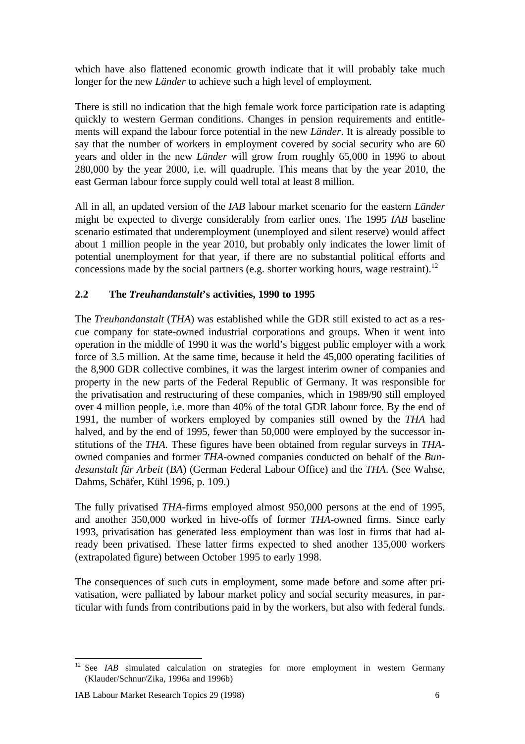which have also flattened economic growth indicate that it will probably take much longer for the new *Länder* to achieve such a high level of employment.

There is still no indication that the high female work force participation rate is adapting quickly to western German conditions. Changes in pension requirements and entitlements will expand the labour force potential in the new *Länder*. It is already possible to say that the number of workers in employment covered by social security who are 60 years and older in the new *Länder* will grow from roughly 65,000 in 1996 to about 280,000 by the year 2000, i.e. will quadruple. This means that by the year 2010, the east German labour force supply could well total at least 8 million.

All in all, an updated version of the *IAB* labour market scenario for the eastern *Länder* might be expected to diverge considerably from earlier ones. The 1995 *IAB* baseline scenario estimated that underemployment (unemployed and silent reserve) would affect about 1 million people in the year 2010, but probably only indicates the lower limit of potential unemployment for that year, if there are no substantial political efforts and concessions made by the social partners (e.g. shorter working hours, wage restraint).<sup>12</sup>

# **2.2 The** *Treuhandanstalt***'s activities, 1990 to 1995**

The *Treuhandanstalt* (*THA*) was established while the GDR still existed to act as a rescue company for state-owned industrial corporations and groups. When it went into operation in the middle of 1990 it was the world's biggest public employer with a work force of 3.5 million. At the same time, because it held the 45,000 operating facilities of the 8,900 GDR collective combines, it was the largest interim owner of companies and property in the new parts of the Federal Republic of Germany. It was responsible for the privatisation and restructuring of these companies, which in 1989/90 still employed over 4 million people, i.e. more than 40% of the total GDR labour force. By the end of 1991, the number of workers employed by companies still owned by the *THA* had halved, and by the end of 1995, fewer than 50,000 were employed by the successor institutions of the *THA.* These figures have been obtained from regular surveys in *THA*owned companies and former *THA*-owned companies conducted on behalf of the *Bundesanstalt für Arbeit* (*BA*) (German Federal Labour Office) and the *THA*. (See Wahse, Dahms, Schäfer, Kühl 1996, p. 109.)

The fully privatised *THA*-firms employed almost 950,000 persons at the end of 1995, and another 350,000 worked in hive-offs of former *THA*-owned firms. Since early 1993, privatisation has generated less employment than was lost in firms that had already been privatised. These latter firms expected to shed another 135,000 workers (extrapolated figure) between October 1995 to early 1998.

The consequences of such cuts in employment, some made before and some after privatisation, were palliated by labour market policy and social security measures, in particular with funds from contributions paid in by the workers, but also with federal funds.

<sup>&</sup>lt;sup>12</sup> See *IAB* simulated calculation on strategies for more employment in western Germany (Klauder/Schnur/Zika, 1996a and 1996b)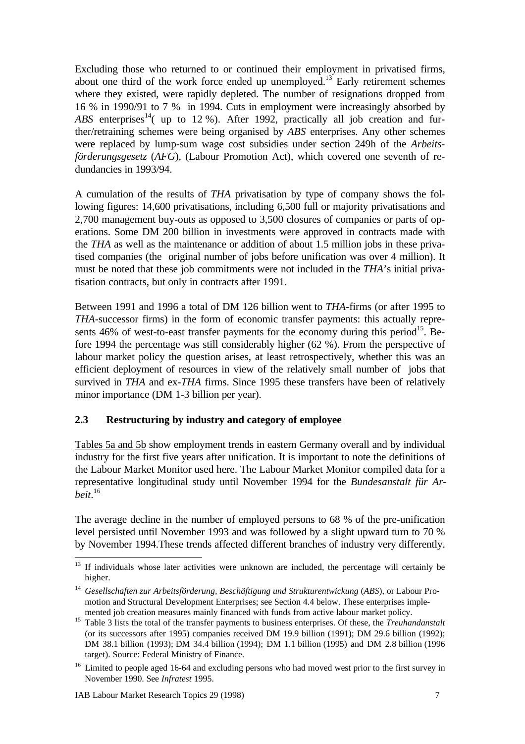Excluding those who returned to or continued their employment in privatised firms, about one third of the work force ended up unemployed.<sup>13</sup> Early retirement schemes where they existed, were rapidly depleted. The number of resignations dropped from 16 % in 1990/91 to 7 % in 1994. Cuts in employment were increasingly absorbed by *ABS* enterprises<sup>14</sup>( up to 12 %). After 1992, practically all job creation and further/retraining schemes were being organised by *ABS* enterprises. Any other schemes were replaced by lump-sum wage cost subsidies under section 249h of the *Arbeitsförderungsgesetz* (*AFG*), (Labour Promotion Act), which covered one seventh of redundancies in 1993/94.

A cumulation of the results of *THA* privatisation by type of company shows the following figures: 14,600 privatisations, including 6,500 full or majority privatisations and 2,700 management buy-outs as opposed to 3,500 closures of companies or parts of operations. Some DM 200 billion in investments were approved in contracts made with the *THA* as well as the maintenance or addition of about 1.5 million jobs in these privatised companies (the original number of jobs before unification was over 4 million). It must be noted that these job commitments were not included in the *THA*'s initial privatisation contracts, but only in contracts after 1991.

Between 1991 and 1996 a total of DM 126 billion went to *THA*-firms (or after 1995 to *THA*-successor firms) in the form of economic transfer payments: this actually represents  $46\%$  of west-to-east transfer payments for the economy during this period<sup>15</sup>. Before 1994 the percentage was still considerably higher (62 %). From the perspective of labour market policy the question arises, at least retrospectively, whether this was an efficient deployment of resources in view of the relatively small number of jobs that survived in *THA* and ex-*THA* firms. Since 1995 these transfers have been of relatively minor importance (DM 1-3 billion per year).

## **2.3 Restructuring by industry and category of employee**

Tables 5a and 5b show employment trends in eastern Germany overall and by individual industry for the first five years after unification. It is important to note the definitions of the Labour Market Monitor used here. The Labour Market Monitor compiled data for a representative longitudinal study until November 1994 for the *Bundesanstalt für Arbeit*. 16

The average decline in the number of employed persons to 68 % of the pre-unification level persisted until November 1993 and was followed by a slight upward turn to 70 % by November 1994.These trends affected different branches of industry very differently.

 $13\,$ <sup>13</sup> If individuals whose later activities were unknown are included, the percentage will certainly be higher.

<sup>14</sup> *Gesellschaften zur Arbeitsförderung, Beschäftigung und Strukturentwickung* (*ABS*), or Labour Promotion and Structural Development Enterprises; see Section 4.4 below. These enterprises implemented job creation measures mainly financed with funds from active labour market policy.

<sup>&</sup>lt;sup>15</sup> Table 3 lists the total of the transfer payments to business enterprises. Of these, the *Treuhandanstalt* (or its successors after 1995) companies received DM 19.9 billion (1991); DM 29.6 billion (1992); DM 38.1 billion (1993); DM 34.4 billion (1994); DM 1.1 billion (1995) and DM 2.8 billion (1996 target). Source: Federal Ministry of Finance.

<sup>&</sup>lt;sup>16</sup> Limited to people aged 16-64 and excluding persons who had moved west prior to the first survey in November 1990. See *Infratest* 1995.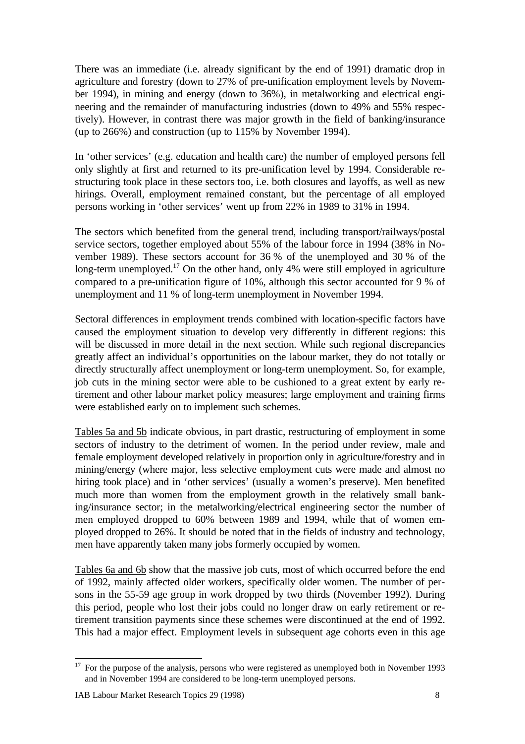There was an immediate (i.e. already significant by the end of 1991) dramatic drop in agriculture and forestry (down to 27% of pre-unification employment levels by November 1994), in mining and energy (down to 36%), in metalworking and electrical engineering and the remainder of manufacturing industries (down to 49% and 55% respectively). However, in contrast there was major growth in the field of banking/insurance (up to 266%) and construction (up to 115% by November 1994).

In 'other services' (e.g. education and health care) the number of employed persons fell only slightly at first and returned to its pre-unification level by 1994. Considerable restructuring took place in these sectors too, i.e. both closures and layoffs, as well as new hirings. Overall, employment remained constant, but the percentage of all employed persons working in 'other services' went up from 22% in 1989 to 31% in 1994.

The sectors which benefited from the general trend, including transport/railways/postal service sectors, together employed about 55% of the labour force in 1994 (38% in November 1989). These sectors account for 36 % of the unemployed and 30 % of the long-term unemployed.<sup>17</sup> On the other hand, only 4% were still employed in agriculture compared to a pre-unification figure of 10%, although this sector accounted for 9 % of unemployment and 11 % of long-term unemployment in November 1994.

Sectoral differences in employment trends combined with location-specific factors have caused the employment situation to develop very differently in different regions: this will be discussed in more detail in the next section. While such regional discrepancies greatly affect an individual's opportunities on the labour market, they do not totally or directly structurally affect unemployment or long-term unemployment. So, for example, job cuts in the mining sector were able to be cushioned to a great extent by early retirement and other labour market policy measures; large employment and training firms were established early on to implement such schemes.

Tables 5a and 5b indicate obvious, in part drastic, restructuring of employment in some sectors of industry to the detriment of women. In the period under review, male and female employment developed relatively in proportion only in agriculture/forestry and in mining/energy (where major, less selective employment cuts were made and almost no hiring took place) and in 'other services' (usually a women's preserve). Men benefited much more than women from the employment growth in the relatively small banking/insurance sector; in the metalworking/electrical engineering sector the number of men employed dropped to 60% between 1989 and 1994, while that of women employed dropped to 26%. It should be noted that in the fields of industry and technology, men have apparently taken many jobs formerly occupied by women.

Tables 6a and 6b show that the massive job cuts, most of which occurred before the end of 1992, mainly affected older workers, specifically older women. The number of persons in the 55-59 age group in work dropped by two thirds (November 1992). During this period, people who lost their jobs could no longer draw on early retirement or retirement transition payments since these schemes were discontinued at the end of 1992. This had a major effect. Employment levels in subsequent age cohorts even in this age

 $17$  For the purpose of the analysis, persons who were registered as unemployed both in November 1993 and in November 1994 are considered to be long-term unemployed persons.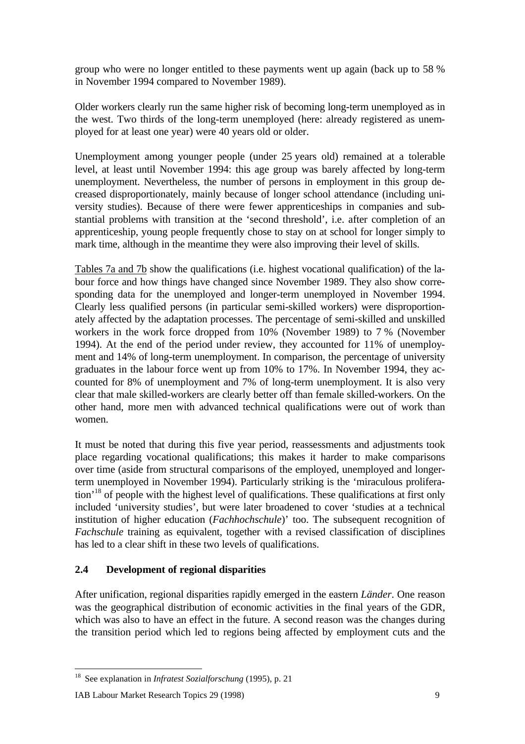group who were no longer entitled to these payments went up again (back up to 58 % in November 1994 compared to November 1989).

Older workers clearly run the same higher risk of becoming long-term unemployed as in the west. Two thirds of the long-term unemployed (here: already registered as unemployed for at least one year) were 40 years old or older.

Unemployment among younger people (under 25 years old) remained at a tolerable level, at least until November 1994: this age group was barely affected by long-term unemployment. Nevertheless, the number of persons in employment in this group decreased disproportionately, mainly because of longer school attendance (including university studies). Because of there were fewer apprenticeships in companies and substantial problems with transition at the 'second threshold', i.e. after completion of an apprenticeship, young people frequently chose to stay on at school for longer simply to mark time, although in the meantime they were also improving their level of skills.

Tables 7a and 7b show the qualifications (i.e. highest vocational qualification) of the labour force and how things have changed since November 1989. They also show corresponding data for the unemployed and longer-term unemployed in November 1994. Clearly less qualified persons (in particular semi-skilled workers) were disproportionately affected by the adaptation processes. The percentage of semi-skilled and unskilled workers in the work force dropped from 10% (November 1989) to 7 % (November 1994). At the end of the period under review, they accounted for 11% of unemployment and 14% of long-term unemployment. In comparison, the percentage of university graduates in the labour force went up from 10% to 17%. In November 1994, they accounted for 8% of unemployment and 7% of long-term unemployment. It is also very clear that male skilled-workers are clearly better off than female skilled-workers. On the other hand, more men with advanced technical qualifications were out of work than women.

It must be noted that during this five year period, reassessments and adjustments took place regarding vocational qualifications; this makes it harder to make comparisons over time (aside from structural comparisons of the employed, unemployed and longerterm unemployed in November 1994). Particularly striking is the 'miraculous proliferation'<sup>18</sup> of people with the highest level of qualifications. These qualifications at first only included 'university studies', but were later broadened to cover 'studies at a technical institution of higher education (*Fachhochschule*)' too. The subsequent recognition of *Fachschule* training as equivalent, together with a revised classification of disciplines has led to a clear shift in these two levels of qualifications.

## **2.4 Development of regional disparities**

After unification, regional disparities rapidly emerged in the eastern *Länder*. One reason was the geographical distribution of economic activities in the final years of the GDR, which was also to have an effect in the future. A second reason was the changes during the transition period which led to regions being affected by employment cuts and the

<sup>18</sup> See explanation in *Infratest Sozialforschung* (1995), p. 21

IAB Labour Market Research Topics 29 (1998) 9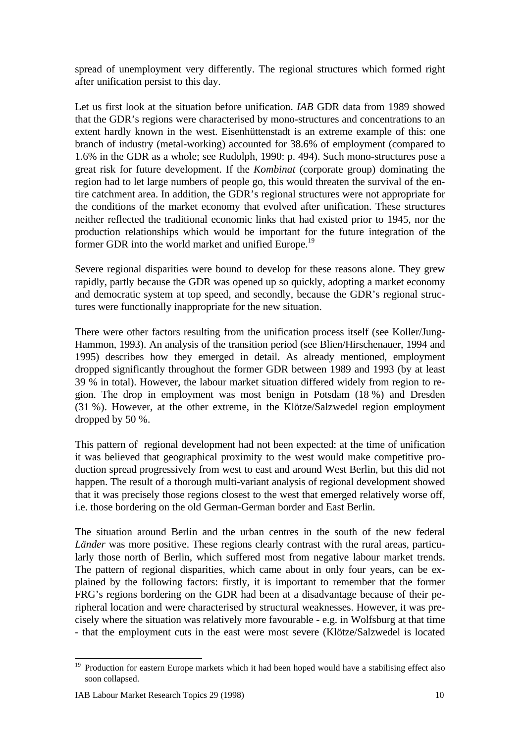spread of unemployment very differently. The regional structures which formed right after unification persist to this day.

Let us first look at the situation before unification. *IAB* GDR data from 1989 showed that the GDR's regions were characterised by mono-structures and concentrations to an extent hardly known in the west. Eisenhüttenstadt is an extreme example of this: one branch of industry (metal-working) accounted for 38.6% of employment (compared to 1.6% in the GDR as a whole; see Rudolph, 1990: p. 494). Such mono-structures pose a great risk for future development. If the *Kombinat* (corporate group) dominating the region had to let large numbers of people go, this would threaten the survival of the entire catchment area. In addition, the GDR's regional structures were not appropriate for the conditions of the market economy that evolved after unification. These structures neither reflected the traditional economic links that had existed prior to 1945, nor the production relationships which would be important for the future integration of the former GDR into the world market and unified Europe.<sup>19</sup>

Severe regional disparities were bound to develop for these reasons alone. They grew rapidly, partly because the GDR was opened up so quickly, adopting a market economy and democratic system at top speed, and secondly, because the GDR's regional structures were functionally inappropriate for the new situation.

There were other factors resulting from the unification process itself (see Koller/Jung-Hammon, 1993). An analysis of the transition period (see Blien/Hirschenauer, 1994 and 1995) describes how they emerged in detail. As already mentioned, employment dropped significantly throughout the former GDR between 1989 and 1993 (by at least 39 % in total). However, the labour market situation differed widely from region to region. The drop in employment was most benign in Potsdam (18 %) and Dresden (31 %). However, at the other extreme, in the Klötze/Salzwedel region employment dropped by 50 %.

This pattern of regional development had not been expected: at the time of unification it was believed that geographical proximity to the west would make competitive production spread progressively from west to east and around West Berlin, but this did not happen. The result of a thorough multi-variant analysis of regional development showed that it was precisely those regions closest to the west that emerged relatively worse off, i.e. those bordering on the old German-German border and East Berlin.

The situation around Berlin and the urban centres in the south of the new federal *Länder* was more positive. These regions clearly contrast with the rural areas, particularly those north of Berlin, which suffered most from negative labour market trends. The pattern of regional disparities, which came about in only four years, can be explained by the following factors: firstly, it is important to remember that the former FRG's regions bordering on the GDR had been at a disadvantage because of their peripheral location and were characterised by structural weaknesses. However, it was precisely where the situation was relatively more favourable - e.g. in Wolfsburg at that time - that the employment cuts in the east were most severe (Klötze/Salzwedel is located

<sup>&</sup>lt;sup>19</sup> Production for eastern Europe markets which it had been hoped would have a stabilising effect also soon collapsed.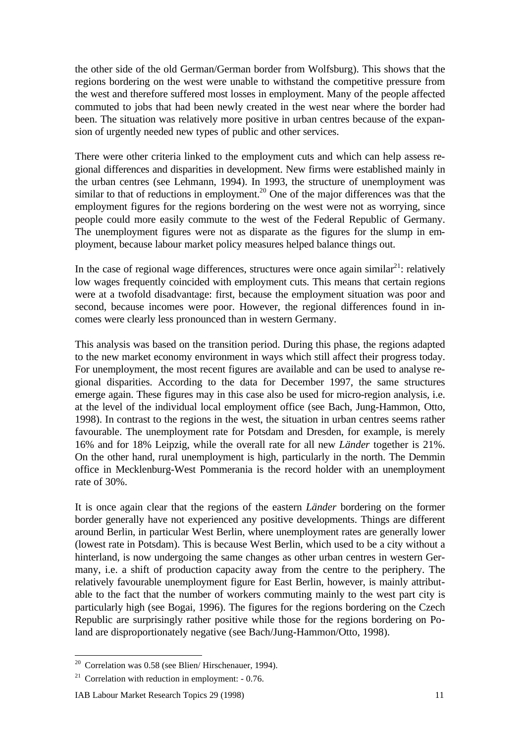the other side of the old German/German border from Wolfsburg). This shows that the regions bordering on the west were unable to withstand the competitive pressure from the west and therefore suffered most losses in employment. Many of the people affected commuted to jobs that had been newly created in the west near where the border had been. The situation was relatively more positive in urban centres because of the expansion of urgently needed new types of public and other services.

There were other criteria linked to the employment cuts and which can help assess regional differences and disparities in development. New firms were established mainly in the urban centres (see Lehmann, 1994). In 1993, the structure of unemployment was similar to that of reductions in employment.<sup>20</sup> One of the major differences was that the employment figures for the regions bordering on the west were not as worrying, since people could more easily commute to the west of the Federal Republic of Germany. The unemployment figures were not as disparate as the figures for the slump in employment, because labour market policy measures helped balance things out.

In the case of regional wage differences, structures were once again similar<sup>21</sup>: relatively low wages frequently coincided with employment cuts. This means that certain regions were at a twofold disadvantage: first, because the employment situation was poor and second, because incomes were poor. However, the regional differences found in incomes were clearly less pronounced than in western Germany.

This analysis was based on the transition period. During this phase, the regions adapted to the new market economy environment in ways which still affect their progress today. For unemployment, the most recent figures are available and can be used to analyse regional disparities. According to the data for December 1997, the same structures emerge again. These figures may in this case also be used for micro-region analysis, i.e. at the level of the individual local employment office (see Bach, Jung-Hammon, Otto, 1998). In contrast to the regions in the west, the situation in urban centres seems rather favourable. The unemployment rate for Potsdam and Dresden, for example, is merely 16% and for 18% Leipzig, while the overall rate for all new *Länder* together is 21%. On the other hand, rural unemployment is high, particularly in the north. The Demmin office in Mecklenburg-West Pommerania is the record holder with an unemployment rate of 30%.

It is once again clear that the regions of the eastern *Länder* bordering on the former border generally have not experienced any positive developments. Things are different around Berlin, in particular West Berlin, where unemployment rates are generally lower (lowest rate in Potsdam). This is because West Berlin, which used to be a city without a hinterland, is now undergoing the same changes as other urban centres in western Germany, i.e. a shift of production capacity away from the centre to the periphery. The relatively favourable unemployment figure for East Berlin, however, is mainly attributable to the fact that the number of workers commuting mainly to the west part city is particularly high (see Bogai, 1996). The figures for the regions bordering on the Czech Republic are surprisingly rather positive while those for the regions bordering on Poland are disproportionately negative (see Bach/Jung-Hammon/Otto, 1998).

 $20$  Correlation was 0.58 (see Blien/ Hirschenauer, 1994).

<sup>&</sup>lt;sup>21</sup> Correlation with reduction in employment:  $-0.76$ .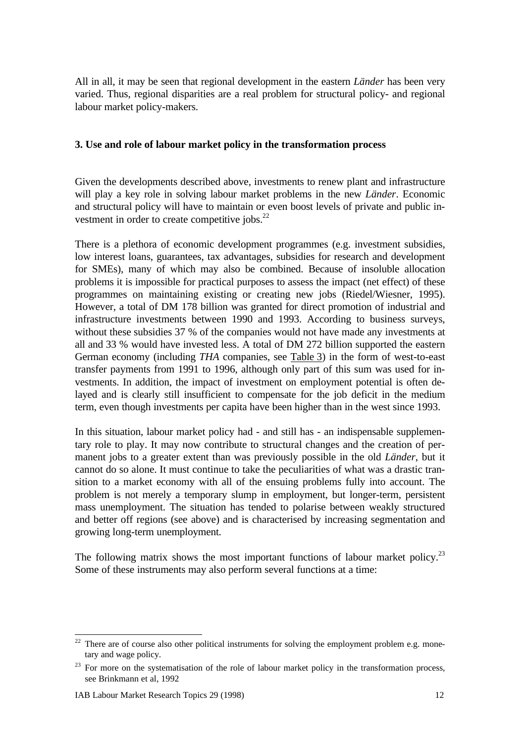All in all, it may be seen that regional development in the eastern *Länder* has been very varied. Thus, regional disparities are a real problem for structural policy- and regional labour market policy-makers.

#### **3. Use and role of labour market policy in the transformation process**

Given the developments described above, investments to renew plant and infrastructure will play a key role in solving labour market problems in the new *Länder*. Economic and structural policy will have to maintain or even boost levels of private and public investment in order to create competitive jobs.<sup>22</sup>

There is a plethora of economic development programmes (e.g. investment subsidies, low interest loans, guarantees, tax advantages, subsidies for research and development for SMEs), many of which may also be combined. Because of insoluble allocation problems it is impossible for practical purposes to assess the impact (net effect) of these programmes on maintaining existing or creating new jobs (Riedel/Wiesner, 1995). However, a total of DM 178 billion was granted for direct promotion of industrial and infrastructure investments between 1990 and 1993. According to business surveys, without these subsidies 37 % of the companies would not have made any investments at all and 33 % would have invested less. A total of DM 272 billion supported the eastern German economy (including *THA* companies, see Table 3) in the form of west-to-east transfer payments from 1991 to 1996, although only part of this sum was used for investments. In addition, the impact of investment on employment potential is often delayed and is clearly still insufficient to compensate for the job deficit in the medium term, even though investments per capita have been higher than in the west since 1993.

In this situation, labour market policy had - and still has - an indispensable supplementary role to play. It may now contribute to structural changes and the creation of permanent jobs to a greater extent than was previously possible in the old *Länder*, but it cannot do so alone. It must continue to take the peculiarities of what was a drastic transition to a market economy with all of the ensuing problems fully into account. The problem is not merely a temporary slump in employment, but longer-term, persistent mass unemployment. The situation has tended to polarise between weakly structured and better off regions (see above) and is characterised by increasing segmentation and growing long-term unemployment.

The following matrix shows the most important functions of labour market policy.<sup>23</sup> Some of these instruments may also perform several functions at a time:

There are of course also other political instruments for solving the employment problem e.g. monetary and wage policy.

<sup>&</sup>lt;sup>23</sup> For more on the systematisation of the role of labour market policy in the transformation process, see Brinkmann et al, 1992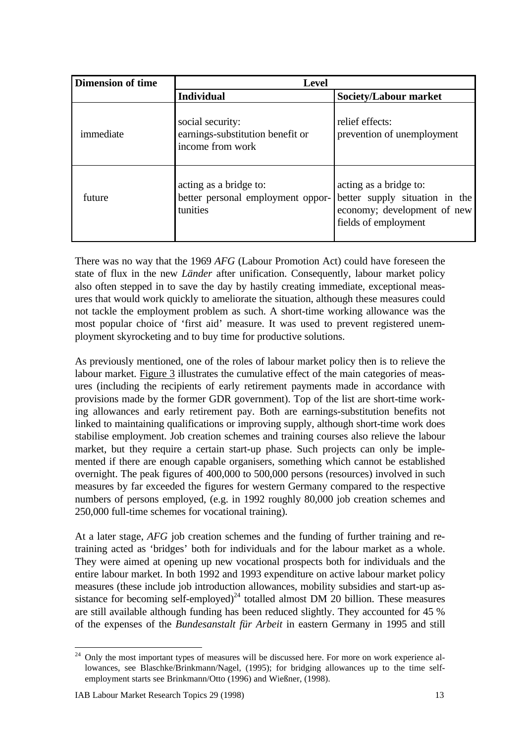| <b>Dimension of time</b> | <b>Level</b>                                                             |                                                                                                                 |
|--------------------------|--------------------------------------------------------------------------|-----------------------------------------------------------------------------------------------------------------|
|                          | <b>Individual</b>                                                        | <b>Society/Labour market</b>                                                                                    |
| immediate                | social security:<br>earnings-substitution benefit or<br>income from work | relief effects:<br>prevention of unemployment                                                                   |
| future                   | acting as a bridge to:<br>better personal employment oppor-<br>tunities  | acting as a bridge to:<br>better supply situation in the<br>economy; development of new<br>fields of employment |

There was no way that the 1969 *AFG* (Labour Promotion Act) could have foreseen the state of flux in the new *Länder* after unification. Consequently, labour market policy also often stepped in to save the day by hastily creating immediate, exceptional measures that would work quickly to ameliorate the situation, although these measures could not tackle the employment problem as such. A short-time working allowance was the most popular choice of 'first aid' measure. It was used to prevent registered unemployment skyrocketing and to buy time for productive solutions.

As previously mentioned, one of the roles of labour market policy then is to relieve the labour market. Figure 3 illustrates the cumulative effect of the main categories of measures (including the recipients of early retirement payments made in accordance with provisions made by the former GDR government). Top of the list are short-time working allowances and early retirement pay. Both are earnings-substitution benefits not linked to maintaining qualifications or improving supply, although short-time work does stabilise employment. Job creation schemes and training courses also relieve the labour market, but they require a certain start-up phase. Such projects can only be implemented if there are enough capable organisers, something which cannot be established overnight. The peak figures of 400,000 to 500,000 persons (resources) involved in such measures by far exceeded the figures for western Germany compared to the respective numbers of persons employed, (e.g. in 1992 roughly 80,000 job creation schemes and 250,000 full-time schemes for vocational training).

At a later stage, *AFG* job creation schemes and the funding of further training and retraining acted as 'bridges' both for individuals and for the labour market as a whole. They were aimed at opening up new vocational prospects both for individuals and the entire labour market. In both 1992 and 1993 expenditure on active labour market policy measures (these include job introduction allowances, mobility subsidies and start-up assistance for becoming self-employed)<sup>24</sup> totalled almost DM 20 billion. These measures are still available although funding has been reduced slightly. They accounted for 45 % of the expenses of the *Bundesanstalt für Arbeit* in eastern Germany in 1995 and still

 $24$  Only the most important types of measures will be discussed here. For more on work experience allowances, see Blaschke/Brinkmann/Nagel, (1995); for bridging allowances up to the time selfemployment starts see Brinkmann/Otto (1996) and Wießner, (1998).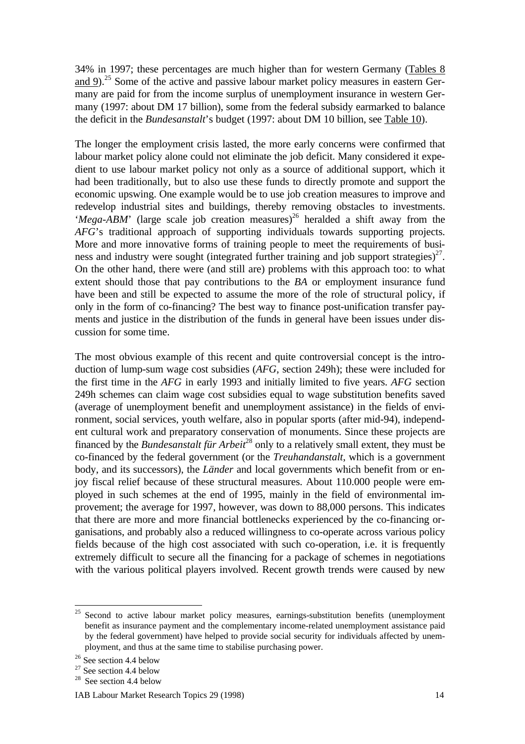34% in 1997; these percentages are much higher than for western Germany (Tables 8 and 9).<sup>25</sup> Some of the active and passive labour market policy measures in eastern Germany are paid for from the income surplus of unemployment insurance in western Germany (1997: about DM 17 billion), some from the federal subsidy earmarked to balance the deficit in the *Bundesanstalt*'s budget (1997: about DM 10 billion, see Table 10).

The longer the employment crisis lasted, the more early concerns were confirmed that labour market policy alone could not eliminate the job deficit. Many considered it expedient to use labour market policy not only as a source of additional support, which it had been traditionally, but to also use these funds to directly promote and support the economic upswing. One example would be to use job creation measures to improve and redevelop industrial sites and buildings, thereby removing obstacles to investments. '*Mega-ABM*' (large scale job creation measures)<sup>26</sup> heralded a shift away from the *AFG*'s traditional approach of supporting individuals towards supporting projects. More and more innovative forms of training people to meet the requirements of business and industry were sought (integrated further training and job support strategies) $27$ . On the other hand, there were (and still are) problems with this approach too: to what extent should those that pay contributions to the *BA* or employment insurance fund have been and still be expected to assume the more of the role of structural policy, if only in the form of co-financing? The best way to finance post-unification transfer payments and justice in the distribution of the funds in general have been issues under discussion for some time.

The most obvious example of this recent and quite controversial concept is the introduction of lump-sum wage cost subsidies (*AFG*, section 249h); these were included for the first time in the *AFG* in early 1993 and initially limited to five years. *AFG* section 249h schemes can claim wage cost subsidies equal to wage substitution benefits saved (average of unemployment benefit and unemployment assistance) in the fields of environment, social services, youth welfare, also in popular sports (after mid-94), independent cultural work and preparatory conservation of monuments. Since these projects are financed by the *Bundesanstalt für Arbeit*<sup>28</sup> only to a relatively small extent, they must be co-financed by the federal government (or the *Treuhandanstalt*, which is a government body, and its successors), the *Länder* and local governments which benefit from or enjoy fiscal relief because of these structural measures. About 110.000 people were employed in such schemes at the end of 1995, mainly in the field of environmental improvement; the average for 1997, however, was down to 88,000 persons. This indicates that there are more and more financial bottlenecks experienced by the co-financing organisations, and probably also a reduced willingness to co-operate across various policy fields because of the high cost associated with such co-operation, i.e. it is frequently extremely difficult to secure all the financing for a package of schemes in negotiations with the various political players involved. Recent growth trends were caused by new

Second to active labour market policy measures, earnings-substitution benefits (unemployment benefit as insurance payment and the complementary income-related unemployment assistance paid by the federal government) have helped to provide social security for individuals affected by unemployment, and thus at the same time to stabilise purchasing power.

<sup>&</sup>lt;sup>26</sup> See section 4.4 below

 $27$  See section 4.4 below

<sup>&</sup>lt;sup>28</sup> See section 4.4 below

IAB Labour Market Research Topics 29 (1998) 14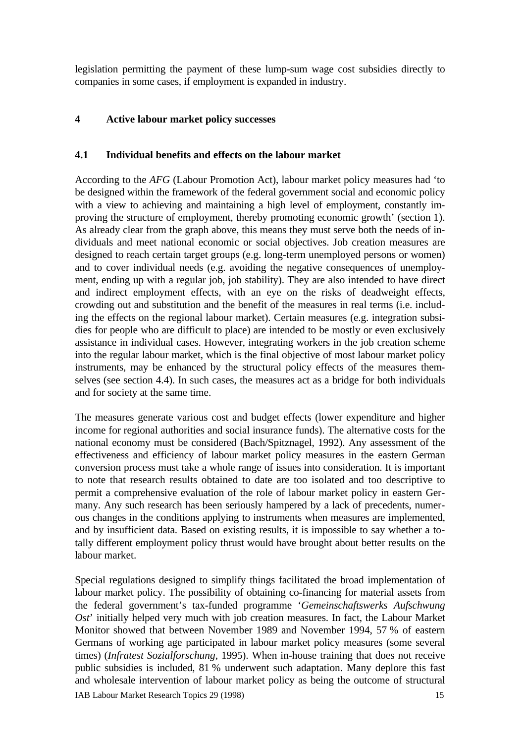legislation permitting the payment of these lump-sum wage cost subsidies directly to companies in some cases, if employment is expanded in industry.

## **4 Active labour market policy successes**

### **4.1 Individual benefits and effects on the labour market**

According to the *AFG* (Labour Promotion Act), labour market policy measures had 'to be designed within the framework of the federal government social and economic policy with a view to achieving and maintaining a high level of employment, constantly improving the structure of employment, thereby promoting economic growth' (section 1). As already clear from the graph above, this means they must serve both the needs of individuals and meet national economic or social objectives. Job creation measures are designed to reach certain target groups (e.g. long-term unemployed persons or women) and to cover individual needs (e.g. avoiding the negative consequences of unemployment, ending up with a regular job, job stability). They are also intended to have direct and indirect employment effects, with an eye on the risks of deadweight effects, crowding out and substitution and the benefit of the measures in real terms (i.e. including the effects on the regional labour market). Certain measures (e.g. integration subsidies for people who are difficult to place) are intended to be mostly or even exclusively assistance in individual cases. However, integrating workers in the job creation scheme into the regular labour market, which is the final objective of most labour market policy instruments, may be enhanced by the structural policy effects of the measures themselves (see section 4.4). In such cases, the measures act as a bridge for both individuals and for society at the same time.

The measures generate various cost and budget effects (lower expenditure and higher income for regional authorities and social insurance funds). The alternative costs for the national economy must be considered (Bach/Spitznagel, 1992). Any assessment of the effectiveness and efficiency of labour market policy measures in the eastern German conversion process must take a whole range of issues into consideration. It is important to note that research results obtained to date are too isolated and too descriptive to permit a comprehensive evaluation of the role of labour market policy in eastern Germany. Any such research has been seriously hampered by a lack of precedents, numerous changes in the conditions applying to instruments when measures are implemented, and by insufficient data. Based on existing results, it is impossible to say whether a totally different employment policy thrust would have brought about better results on the labour market.

IAB Labour Market Research Topics 29 (1998) 15 Special regulations designed to simplify things facilitated the broad implementation of labour market policy. The possibility of obtaining co-financing for material assets from the federal government's tax-funded programme '*Gemeinschaftswerks Aufschwung Ost*' initially helped very much with job creation measures. In fact, the Labour Market Monitor showed that between November 1989 and November 1994, 57 % of eastern Germans of working age participated in labour market policy measures (some several times) (*Infratest Sozialforschung*, 1995). When in-house training that does not receive public subsidies is included, 81 % underwent such adaptation. Many deplore this fast and wholesale intervention of labour market policy as being the outcome of structural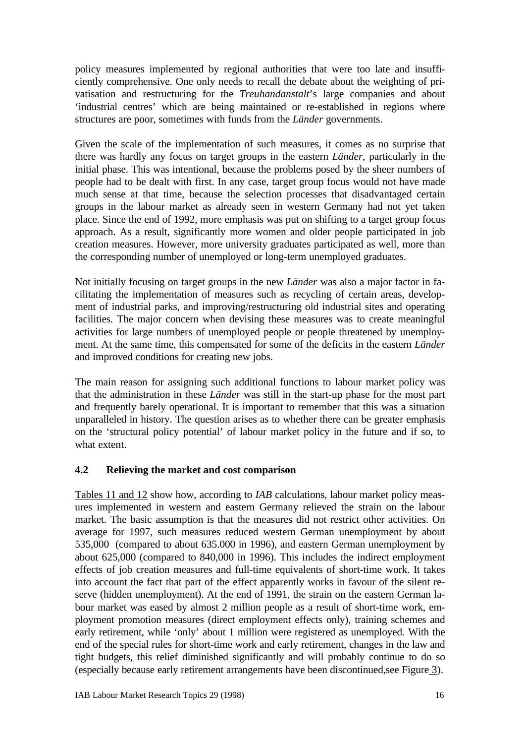policy measures implemented by regional authorities that were too late and insufficiently comprehensive. One only needs to recall the debate about the weighting of privatisation and restructuring for the *Treuhandanstalt*'s large companies and about 'industrial centres' which are being maintained or re-established in regions where structures are poor, sometimes with funds from the *Länder* governments.

Given the scale of the implementation of such measures, it comes as no surprise that there was hardly any focus on target groups in the eastern *Länder*, particularly in the initial phase. This was intentional, because the problems posed by the sheer numbers of people had to be dealt with first. In any case, target group focus would not have made much sense at that time, because the selection processes that disadvantaged certain groups in the labour market as already seen in western Germany had not yet taken place. Since the end of 1992, more emphasis was put on shifting to a target group focus approach. As a result, significantly more women and older people participated in job creation measures. However, more university graduates participated as well, more than the corresponding number of unemployed or long-term unemployed graduates.

Not initially focusing on target groups in the new *Länder* was also a major factor in facilitating the implementation of measures such as recycling of certain areas, development of industrial parks, and improving/restructuring old industrial sites and operating facilities. The major concern when devising these measures was to create meaningful activities for large numbers of unemployed people or people threatened by unemployment. At the same time, this compensated for some of the deficits in the eastern *Länder* and improved conditions for creating new jobs.

The main reason for assigning such additional functions to labour market policy was that the administration in these *Länder* was still in the start-up phase for the most part and frequently barely operational. It is important to remember that this was a situation unparalleled in history. The question arises as to whether there can be greater emphasis on the 'structural policy potential' of labour market policy in the future and if so, to what extent.

## **4.2 Relieving the market and cost comparison**

Tables 11 and 12 show how, according to *IAB* calculations, labour market policy measures implemented in western and eastern Germany relieved the strain on the labour market. The basic assumption is that the measures did not restrict other activities. On average for 1997, such measures reduced western German unemployment by about 535,000 (compared to about 635.000 in 1996), and eastern German unemployment by about 625,000 (compared to 840,000 in 1996). This includes the indirect employment effects of job creation measures and full-time equivalents of short-time work. It takes into account the fact that part of the effect apparently works in favour of the silent reserve (hidden unemployment). At the end of 1991, the strain on the eastern German labour market was eased by almost 2 million people as a result of short-time work, employment promotion measures (direct employment effects only), training schemes and early retirement, while 'only' about 1 million were registered as unemployed. With the end of the special rules for short-time work and early retirement, changes in the law and tight budgets, this relief diminished significantly and will probably continue to do so (especially because early retirement arrangements have been discontinued,see Figure 3).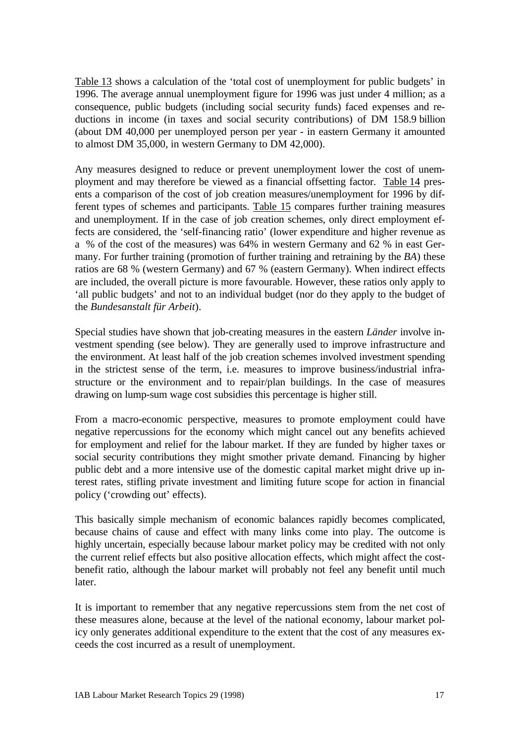Table 13 shows a calculation of the 'total cost of unemployment for public budgets' in 1996. The average annual unemployment figure for 1996 was just under 4 million; as a consequence, public budgets (including social security funds) faced expenses and reductions in income (in taxes and social security contributions) of DM 158.9 billion (about DM 40,000 per unemployed person per year - in eastern Germany it amounted to almost DM 35,000, in western Germany to DM 42,000).

Any measures designed to reduce or prevent unemployment lower the cost of unemployment and may therefore be viewed as a financial offsetting factor. Table 14 presents a comparison of the cost of job creation measures/unemployment for 1996 by different types of schemes and participants. Table 15 compares further training measures and unemployment. If in the case of job creation schemes, only direct employment effects are considered, the 'self-financing ratio' (lower expenditure and higher revenue as a % of the cost of the measures) was 64% in western Germany and 62 % in east Germany. For further training (promotion of further training and retraining by the *BA*) these ratios are 68 % (western Germany) and 67 % (eastern Germany). When indirect effects are included, the overall picture is more favourable. However, these ratios only apply to 'all public budgets' and not to an individual budget (nor do they apply to the budget of the *Bundesanstalt für Arbeit*).

Special studies have shown that job-creating measures in the eastern *Länder* involve investment spending (see below). They are generally used to improve infrastructure and the environment. At least half of the job creation schemes involved investment spending in the strictest sense of the term, i.e. measures to improve business/industrial infrastructure or the environment and to repair/plan buildings. In the case of measures drawing on lump-sum wage cost subsidies this percentage is higher still.

From a macro-economic perspective, measures to promote employment could have negative repercussions for the economy which might cancel out any benefits achieved for employment and relief for the labour market. If they are funded by higher taxes or social security contributions they might smother private demand. Financing by higher public debt and a more intensive use of the domestic capital market might drive up interest rates, stifling private investment and limiting future scope for action in financial policy ('crowding out' effects).

This basically simple mechanism of economic balances rapidly becomes complicated, because chains of cause and effect with many links come into play. The outcome is highly uncertain, especially because labour market policy may be credited with not only the current relief effects but also positive allocation effects, which might affect the costbenefit ratio, although the labour market will probably not feel any benefit until much later.

It is important to remember that any negative repercussions stem from the net cost of these measures alone, because at the level of the national economy, labour market policy only generates additional expenditure to the extent that the cost of any measures exceeds the cost incurred as a result of unemployment.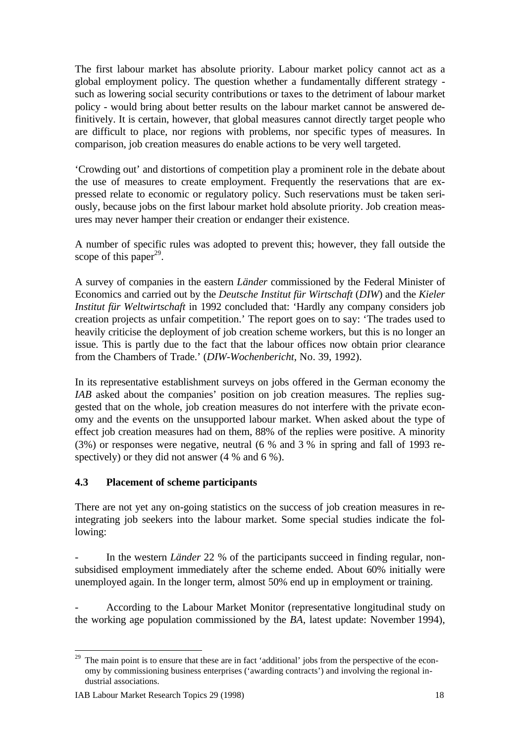The first labour market has absolute priority. Labour market policy cannot act as a global employment policy. The question whether a fundamentally different strategy such as lowering social security contributions or taxes to the detriment of labour market policy - would bring about better results on the labour market cannot be answered definitively. It is certain, however, that global measures cannot directly target people who are difficult to place, nor regions with problems, nor specific types of measures. In comparison, job creation measures do enable actions to be very well targeted.

'Crowding out' and distortions of competition play a prominent role in the debate about the use of measures to create employment. Frequently the reservations that are expressed relate to economic or regulatory policy. Such reservations must be taken seriously, because jobs on the first labour market hold absolute priority. Job creation measures may never hamper their creation or endanger their existence.

A number of specific rules was adopted to prevent this; however, they fall outside the scope of this paper<sup>29</sup>.

A survey of companies in the eastern *Länder* commissioned by the Federal Minister of Economics and carried out by the *Deutsche Institut für Wirtschaft* (*DIW*) and the *Kieler Institut für Weltwirtschaft* in 1992 concluded that: 'Hardly any company considers job creation projects as unfair competition.' The report goes on to say: 'The trades used to heavily criticise the deployment of job creation scheme workers, but this is no longer an issue. This is partly due to the fact that the labour offices now obtain prior clearance from the Chambers of Trade.' (*DIW-Wochenbericht*, No. 39, 1992).

In its representative establishment surveys on jobs offered in the German economy the *IAB* asked about the companies' position on job creation measures. The replies suggested that on the whole, job creation measures do not interfere with the private economy and the events on the unsupported labour market. When asked about the type of effect job creation measures had on them, 88% of the replies were positive. A minority (3%) or responses were negative, neutral (6 % and 3 % in spring and fall of 1993 respectively) or they did not answer (4 % and 6 %).

## **4.3 Placement of scheme participants**

There are not yet any on-going statistics on the success of job creation measures in reintegrating job seekers into the labour market. Some special studies indicate the following:

- In the western *Länder* 22 % of the participants succeed in finding regular, nonsubsidised employment immediately after the scheme ended. About 60% initially were unemployed again. In the longer term, almost 50% end up in employment or training.

- According to the Labour Market Monitor (representative longitudinal study on the working age population commissioned by the *BA*, latest update: November 1994),

<sup>-</sup><sup>29</sup> The main point is to ensure that these are in fact 'additional' jobs from the perspective of the economy by commissioning business enterprises ('awarding contracts') and involving the regional industrial associations.

IAB Labour Market Research Topics 29 (1998) 18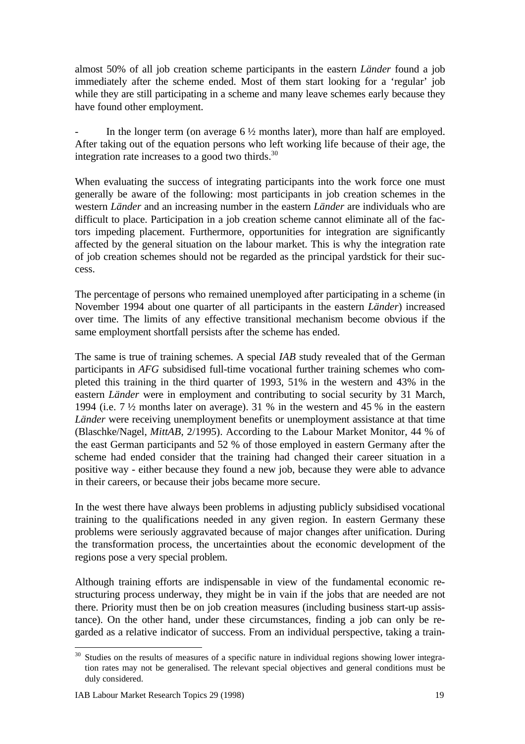almost 50% of all job creation scheme participants in the eastern *Länder* found a job immediately after the scheme ended. Most of them start looking for a 'regular' job while they are still participating in a scheme and many leave schemes early because they have found other employment.

In the longer term (on average  $6\frac{1}{2}$  months later), more than half are employed. After taking out of the equation persons who left working life because of their age, the integration rate increases to a good two thirds. $30$ 

When evaluating the success of integrating participants into the work force one must generally be aware of the following: most participants in job creation schemes in the western *Länder* and an increasing number in the eastern *Länder* are individuals who are difficult to place. Participation in a job creation scheme cannot eliminate all of the factors impeding placement. Furthermore, opportunities for integration are significantly affected by the general situation on the labour market. This is why the integration rate of job creation schemes should not be regarded as the principal yardstick for their success.

The percentage of persons who remained unemployed after participating in a scheme (in November 1994 about one quarter of all participants in the eastern *Länder*) increased over time. The limits of any effective transitional mechanism become obvious if the same employment shortfall persists after the scheme has ended.

The same is true of training schemes. A special *IAB* study revealed that of the German participants in *AFG* subsidised full-time vocational further training schemes who completed this training in the third quarter of 1993, 51% in the western and 43% in the eastern *Länder* were in employment and contributing to social security by 31 March, 1994 (i.e. 7 ½ months later on average). 31 % in the western and 45 % in the eastern *Länder* were receiving unemployment benefits or unemployment assistance at that time (Blaschke/Nagel, *MittAB*, 2/1995). According to the Labour Market Monitor, 44 % of the east German participants and 52 % of those employed in eastern Germany after the scheme had ended consider that the training had changed their career situation in a positive way - either because they found a new job, because they were able to advance in their careers, or because their jobs became more secure.

In the west there have always been problems in adjusting publicly subsidised vocational training to the qualifications needed in any given region. In eastern Germany these problems were seriously aggravated because of major changes after unification. During the transformation process, the uncertainties about the economic development of the regions pose a very special problem.

Although training efforts are indispensable in view of the fundamental economic restructuring process underway, they might be in vain if the jobs that are needed are not there. Priority must then be on job creation measures (including business start-up assistance). On the other hand, under these circumstances, finding a job can only be regarded as a relative indicator of success. From an individual perspective, taking a train-

 $30$  Studies on the results of measures of a specific nature in individual regions showing lower integration rates may not be generalised. The relevant special objectives and general conditions must be duly considered.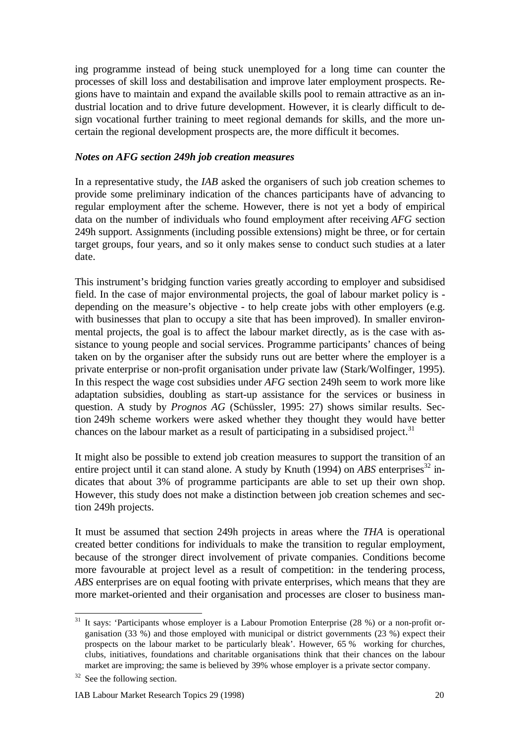ing programme instead of being stuck unemployed for a long time can counter the processes of skill loss and destabilisation and improve later employment prospects. Regions have to maintain and expand the available skills pool to remain attractive as an industrial location and to drive future development. However, it is clearly difficult to design vocational further training to meet regional demands for skills, and the more uncertain the regional development prospects are, the more difficult it becomes.

#### *Notes on AFG section 249h job creation measures*

In a representative study, the *IAB* asked the organisers of such job creation schemes to provide some preliminary indication of the chances participants have of advancing to regular employment after the scheme. However, there is not yet a body of empirical data on the number of individuals who found employment after receiving *AFG* section 249h support. Assignments (including possible extensions) might be three, or for certain target groups, four years, and so it only makes sense to conduct such studies at a later date.

This instrument's bridging function varies greatly according to employer and subsidised field. In the case of major environmental projects, the goal of labour market policy is depending on the measure's objective - to help create jobs with other employers (e.g. with businesses that plan to occupy a site that has been improved). In smaller environmental projects, the goal is to affect the labour market directly, as is the case with assistance to young people and social services. Programme participants' chances of being taken on by the organiser after the subsidy runs out are better where the employer is a private enterprise or non-profit organisation under private law (Stark/Wolfinger, 1995). In this respect the wage cost subsidies under *AFG* section 249h seem to work more like adaptation subsidies, doubling as start-up assistance for the services or business in question. A study by *Prognos AG* (Schüssler, 1995: 27) shows similar results. Section 249h scheme workers were asked whether they thought they would have better chances on the labour market as a result of participating in a subsidised project.<sup>31</sup>

It might also be possible to extend job creation measures to support the transition of an entire project until it can stand alone. A study by Knuth (1994) on  $ABS$  enterprises<sup>32</sup> indicates that about 3% of programme participants are able to set up their own shop. However, this study does not make a distinction between job creation schemes and section 249h projects.

It must be assumed that section 249h projects in areas where the *THA* is operational created better conditions for individuals to make the transition to regular employment, because of the stronger direct involvement of private companies. Conditions become more favourable at project level as a result of competition: in the tendering process, *ABS* enterprises are on equal footing with private enterprises, which means that they are more market-oriented and their organisation and processes are closer to business man-

<sup>&</sup>lt;sup>31</sup> It says: 'Participants whose employer is a Labour Promotion Enterprise (28 %) or a non-profit organisation (33 %) and those employed with municipal or district governments (23 %) expect their prospects on the labour market to be particularly bleak'. However, 65 % working for churches, clubs, initiatives, foundations and charitable organisations think that their chances on the labour market are improving; the same is believed by 39% whose employer is a private sector company.

<sup>&</sup>lt;sup>32</sup> See the following section.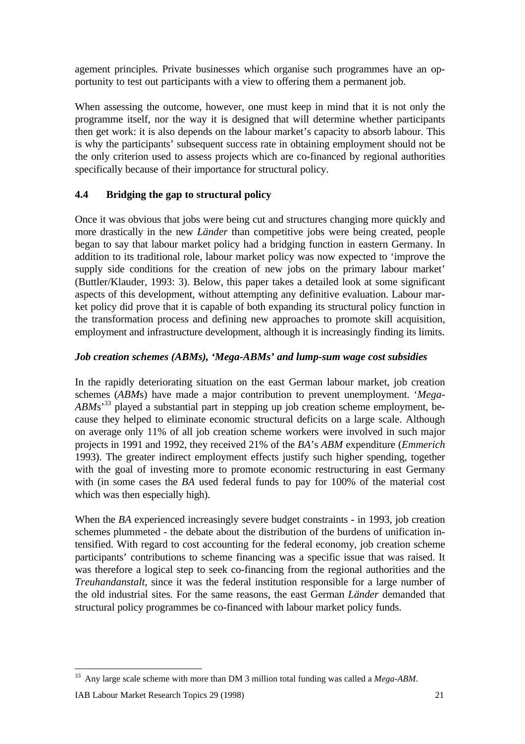agement principles. Private businesses which organise such programmes have an opportunity to test out participants with a view to offering them a permanent job.

When assessing the outcome, however, one must keep in mind that it is not only the programme itself, nor the way it is designed that will determine whether participants then get work: it is also depends on the labour market's capacity to absorb labour. This is why the participants' subsequent success rate in obtaining employment should not be the only criterion used to assess projects which are co-financed by regional authorities specifically because of their importance for structural policy.

# **4.4 Bridging the gap to structural policy**

Once it was obvious that jobs were being cut and structures changing more quickly and more drastically in the new *Länder* than competitive jobs were being created, people began to say that labour market policy had a bridging function in eastern Germany. In addition to its traditional role, labour market policy was now expected to 'improve the supply side conditions for the creation of new jobs on the primary labour market' (Buttler/Klauder, 1993: 3). Below, this paper takes a detailed look at some significant aspects of this development, without attempting any definitive evaluation. Labour market policy did prove that it is capable of both expanding its structural policy function in the transformation process and defining new approaches to promote skill acquisition, employment and infrastructure development, although it is increasingly finding its limits.

# *Job creation schemes (ABMs), 'Mega-ABMs' and lump-sum wage cost subsidies*

In the rapidly deteriorating situation on the east German labour market, job creation schemes (*ABM*s) have made a major contribution to prevent unemployment. '*Mega-ABM*s'<sup>33</sup> played a substantial part in stepping up job creation scheme employment, because they helped to eliminate economic structural deficits on a large scale. Although on average only 11% of all job creation scheme workers were involved in such major projects in 1991 and 1992, they received 21% of the *BA*'s *ABM* expenditure (*Emmerich* 1993). The greater indirect employment effects justify such higher spending, together with the goal of investing more to promote economic restructuring in east Germany with (in some cases the *BA* used federal funds to pay for 100% of the material cost which was then especially high).

When the *BA* experienced increasingly severe budget constraints - in 1993, job creation schemes plummeted - the debate about the distribution of the burdens of unification intensified. With regard to cost accounting for the federal economy, job creation scheme participants' contributions to scheme financing was a specific issue that was raised. It was therefore a logical step to seek co-financing from the regional authorities and the *Treuhandanstalt*, since it was the federal institution responsible for a large number of the old industrial sites. For the same reasons, the east German *Länder* demanded that structural policy programmes be co-financed with labour market policy funds.

<sup>33</sup> Any large scale scheme with more than DM 3 million total funding was called a *Mega-ABM*.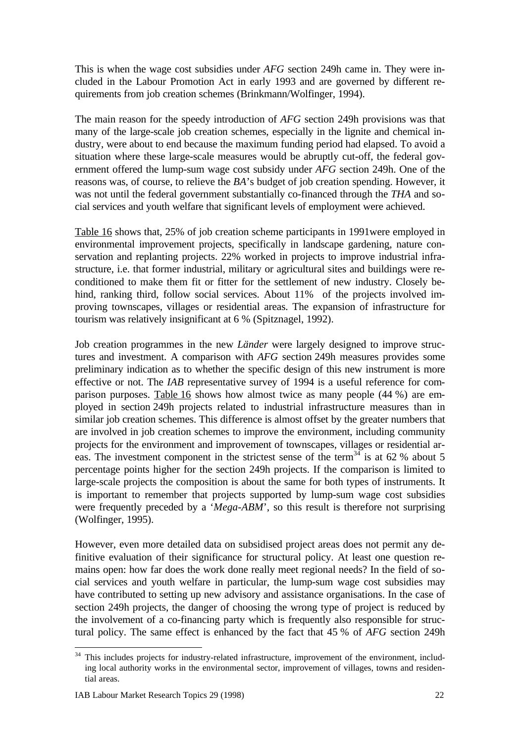This is when the wage cost subsidies under *AFG* section 249h came in. They were included in the Labour Promotion Act in early 1993 and are governed by different requirements from job creation schemes (Brinkmann/Wolfinger, 1994).

The main reason for the speedy introduction of *AFG* section 249h provisions was that many of the large-scale job creation schemes, especially in the lignite and chemical industry, were about to end because the maximum funding period had elapsed. To avoid a situation where these large-scale measures would be abruptly cut-off, the federal government offered the lump-sum wage cost subsidy under *AFG* section 249h. One of the reasons was, of course, to relieve the *BA*'s budget of job creation spending. However, it was not until the federal government substantially co-financed through the *THA* and social services and youth welfare that significant levels of employment were achieved.

Table 16 shows that, 25% of job creation scheme participants in 1991were employed in environmental improvement projects, specifically in landscape gardening, nature conservation and replanting projects. 22% worked in projects to improve industrial infrastructure, i.e. that former industrial, military or agricultural sites and buildings were reconditioned to make them fit or fitter for the settlement of new industry. Closely behind, ranking third, follow social services. About 11% of the projects involved improving townscapes, villages or residential areas. The expansion of infrastructure for tourism was relatively insignificant at 6 % (Spitznagel, 1992).

Job creation programmes in the new *Länder* were largely designed to improve structures and investment. A comparison with *AFG* section 249h measures provides some preliminary indication as to whether the specific design of this new instrument is more effective or not. The *IAB* representative survey of 1994 is a useful reference for comparison purposes. Table 16 shows how almost twice as many people (44 %) are employed in section 249h projects related to industrial infrastructure measures than in similar job creation schemes. This difference is almost offset by the greater numbers that are involved in job creation schemes to improve the environment, including community projects for the environment and improvement of townscapes, villages or residential areas. The investment component in the strictest sense of the term<sup>34</sup> is at 62 % about 5 percentage points higher for the section 249h projects. If the comparison is limited to large-scale projects the composition is about the same for both types of instruments. It is important to remember that projects supported by lump-sum wage cost subsidies were frequently preceded by a '*Mega-ABM*', so this result is therefore not surprising (Wolfinger, 1995).

However, even more detailed data on subsidised project areas does not permit any definitive evaluation of their significance for structural policy. At least one question remains open: how far does the work done really meet regional needs? In the field of social services and youth welfare in particular, the lump-sum wage cost subsidies may have contributed to setting up new advisory and assistance organisations. In the case of section 249h projects, the danger of choosing the wrong type of project is reduced by the involvement of a co-financing party which is frequently also responsible for structural policy. The same effect is enhanced by the fact that 45 % of *AFG* section 249h

<sup>&</sup>lt;sup>34</sup> This includes projects for industry-related infrastructure, improvement of the environment, including local authority works in the environmental sector, improvement of villages, towns and residential areas.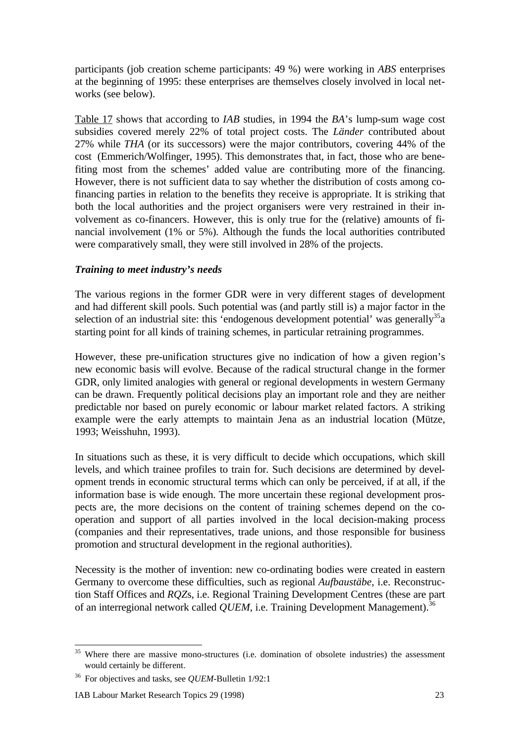participants (job creation scheme participants: 49 %) were working in *ABS* enterprises at the beginning of 1995: these enterprises are themselves closely involved in local networks (see below).

Table 17 shows that according to *IAB* studies, in 1994 the *BA*'s lump-sum wage cost subsidies covered merely 22% of total project costs. The *Länder* contributed about 27% while *THA* (or its successors) were the major contributors, covering 44% of the cost (Emmerich/Wolfinger, 1995). This demonstrates that, in fact, those who are benefiting most from the schemes' added value are contributing more of the financing. However, there is not sufficient data to say whether the distribution of costs among cofinancing parties in relation to the benefits they receive is appropriate. It is striking that both the local authorities and the project organisers were very restrained in their involvement as co-financers. However, this is only true for the (relative) amounts of financial involvement (1% or 5%). Although the funds the local authorities contributed were comparatively small, they were still involved in 28% of the projects.

## *Training to meet industry's needs*

The various regions in the former GDR were in very different stages of development and had different skill pools. Such potential was (and partly still is) a major factor in the selection of an industrial site: this 'endogenous development potential' was generally<sup>35</sup> a starting point for all kinds of training schemes, in particular retraining programmes.

However, these pre-unification structures give no indication of how a given region's new economic basis will evolve. Because of the radical structural change in the former GDR, only limited analogies with general or regional developments in western Germany can be drawn. Frequently political decisions play an important role and they are neither predictable nor based on purely economic or labour market related factors. A striking example were the early attempts to maintain Jena as an industrial location (Mütze, 1993; Weisshuhn, 1993).

In situations such as these, it is very difficult to decide which occupations, which skill levels, and which trainee profiles to train for. Such decisions are determined by development trends in economic structural terms which can only be perceived, if at all, if the information base is wide enough. The more uncertain these regional development prospects are, the more decisions on the content of training schemes depend on the cooperation and support of all parties involved in the local decision-making process (companies and their representatives, trade unions, and those responsible for business promotion and structural development in the regional authorities).

Necessity is the mother of invention: new co-ordinating bodies were created in eastern Germany to overcome these difficulties, such as regional *Aufbaustäbe*, i.e. Reconstruction Staff Offices and *RQZ*s, i.e. Regional Training Development Centres (these are part of an interregional network called *QUEM*, i.e. Training Development Management).<sup>36</sup>

<sup>&</sup>lt;sup>35</sup> Where there are massive mono-structures (i.e. domination of obsolete industries) the assessment would certainly be different.

<sup>36</sup> For objectives and tasks, see *QUEM*-Bulletin 1/92:1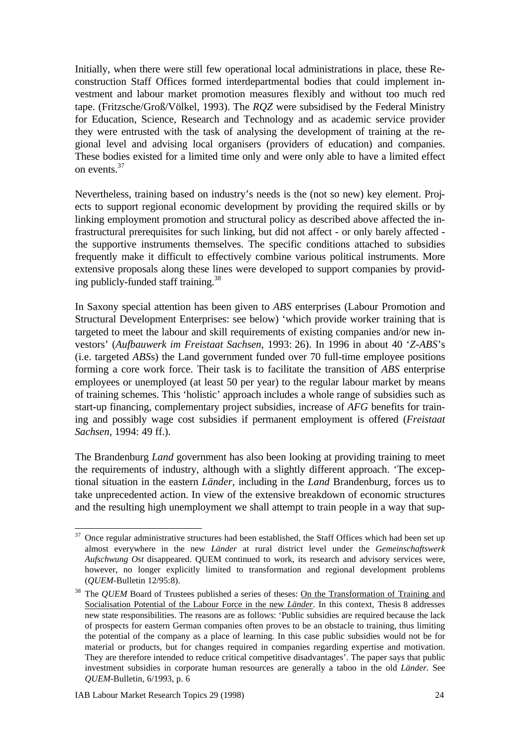Initially, when there were still few operational local administrations in place, these Reconstruction Staff Offices formed interdepartmental bodies that could implement investment and labour market promotion measures flexibly and without too much red tape. (Fritzsche/Groß/Völkel, 1993). The *RQZ* were subsidised by the Federal Ministry for Education, Science, Research and Technology and as academic service provider they were entrusted with the task of analysing the development of training at the regional level and advising local organisers (providers of education) and companies. These bodies existed for a limited time only and were only able to have a limited effect on events.<sup>37</sup>

Nevertheless, training based on industry's needs is the (not so new) key element. Projects to support regional economic development by providing the required skills or by linking employment promotion and structural policy as described above affected the infrastructural prerequisites for such linking, but did not affect - or only barely affected the supportive instruments themselves. The specific conditions attached to subsidies frequently make it difficult to effectively combine various political instruments. More extensive proposals along these lines were developed to support companies by providing publicly-funded staff training.<sup>38</sup>

In Saxony special attention has been given to *ABS* enterprises (Labour Promotion and Structural Development Enterprises: see below) 'which provide worker training that is targeted to meet the labour and skill requirements of existing companies and/or new investors' (*Aufbauwerk im Freistaat Sachsen*, 1993: 26). In 1996 in about 40 '*Z-ABS*'s (i.e. targeted *ABS*s) the Land government funded over 70 full-time employee positions forming a core work force. Their task is to facilitate the transition of *ABS* enterprise employees or unemployed (at least 50 per year) to the regular labour market by means of training schemes. This 'holistic' approach includes a whole range of subsidies such as start-up financing, complementary project subsidies, increase of *AFG* benefits for training and possibly wage cost subsidies if permanent employment is offered (*Freistaat Sachsen*, 1994: 49 ff.).

The Brandenburg *Land* government has also been looking at providing training to meet the requirements of industry, although with a slightly different approach. 'The exceptional situation in the eastern *Länder,* including in the *Land* Brandenburg, forces us to take unprecedented action. In view of the extensive breakdown of economic structures and the resulting high unemployment we shall attempt to train people in a way that sup-

 $37$  Once regular administrative structures had been established, the Staff Offices which had been set up almost everywhere in the new *Länder* at rural district level under the *Gemeinschaftswerk Aufschwung Ost* disappeared. QUEM continued to work, its research and advisory services were, however, no longer explicitly limited to transformation and regional development problems (*QUEM*-Bulletin 12/95:8).

<sup>&</sup>lt;sup>38</sup> The *QUEM* Board of Trustees published a series of theses: On the Transformation of Training and Socialisation Potential of the Labour Force in the new *Länder*. In this context, Thesis 8 addresses new state responsibilities. The reasons are as follows: 'Public subsidies are required because the lack of prospects for eastern German companies often proves to be an obstacle to training, thus limiting the potential of the company as a place of learning. In this case public subsidies would not be for material or products, but for changes required in companies regarding expertise and motivation. They are therefore intended to reduce critical competitive disadvantages'. The paper says that public investment subsidies in corporate human resources are generally a taboo in the old *Länder.* See *QUEM-*Bulletin, 6/1993, p. 6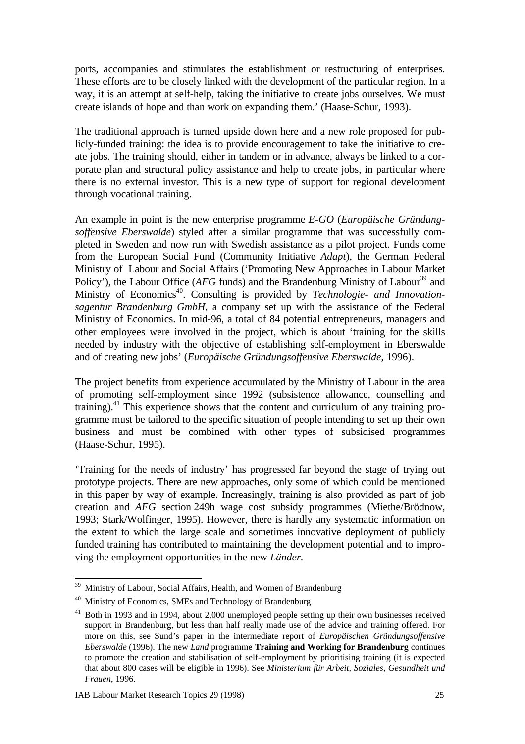ports, accompanies and stimulates the establishment or restructuring of enterprises. These efforts are to be closely linked with the development of the particular region. In a way, it is an attempt at self-help, taking the initiative to create jobs ourselves. We must create islands of hope and than work on expanding them.' (Haase-Schur, 1993).

The traditional approach is turned upside down here and a new role proposed for publicly-funded training: the idea is to provide encouragement to take the initiative to create jobs. The training should, either in tandem or in advance, always be linked to a corporate plan and structural policy assistance and help to create jobs, in particular where there is no external investor. This is a new type of support for regional development through vocational training.

An example in point is the new enterprise programme *E-GO* (*Europäische Gründungsoffensive Eberswalde*) styled after a similar programme that was successfully completed in Sweden and now run with Swedish assistance as a pilot project. Funds come from the European Social Fund (Community Initiative *Adapt*), the German Federal Ministry of Labour and Social Affairs ('Promoting New Approaches in Labour Market Policy'), the Labour Office (*AFG* funds) and the Brandenburg Ministry of Labour<sup>39</sup> and Ministry of Economics<sup>40</sup>. Consulting is provided by *Technologie- and Innovationsagentur Brandenburg GmbH*, a company set up with the assistance of the Federal Ministry of Economics. In mid-96, a total of 84 potential entrepreneurs, managers and other employees were involved in the project, which is about 'training for the skills needed by industry with the objective of establishing self-employment in Eberswalde and of creating new jobs' (*Europäische Gründungsoffensive Eberswalde*, 1996).

The project benefits from experience accumulated by the Ministry of Labour in the area of promoting self-employment since 1992 (subsistence allowance, counselling and training).<sup>41</sup> This experience shows that the content and curriculum of any training programme must be tailored to the specific situation of people intending to set up their own business and must be combined with other types of subsidised programmes (Haase-Schur, 1995).

'Training for the needs of industry' has progressed far beyond the stage of trying out prototype projects. There are new approaches, only some of which could be mentioned in this paper by way of example. Increasingly, training is also provided as part of job creation and *AFG* section 249h wage cost subsidy programmes (Miethe/Brödnow, 1993; Stark/Wolfinger*,* 1995). However, there is hardly any systematic information on the extent to which the large scale and sometimes innovative deployment of publicly funded training has contributed to maintaining the development potential and to improving the employment opportunities in the new *Länder.*

<sup>&</sup>lt;sup>39</sup> Ministry of Labour, Social Affairs, Health, and Women of Brandenburg

<sup>&</sup>lt;sup>40</sup> Ministry of Economics, SMEs and Technology of Brandenburg

<sup>&</sup>lt;sup>41</sup> Both in 1993 and in 1994, about 2,000 unemployed people setting up their own businesses received support in Brandenburg, but less than half really made use of the advice and training offered. For more on this, see Sund's paper in the intermediate report of *Europäischen Gründungsoffensive Eberswalde* (1996). The new *Land* programme **Training and Working for Brandenburg** continues to promote the creation and stabilisation of self-employment by prioritising training (it is expected that about 800 cases will be eligible in 1996). See *Ministerium für Arbeit, Soziales, Gesundheit und Frauen*, 1996.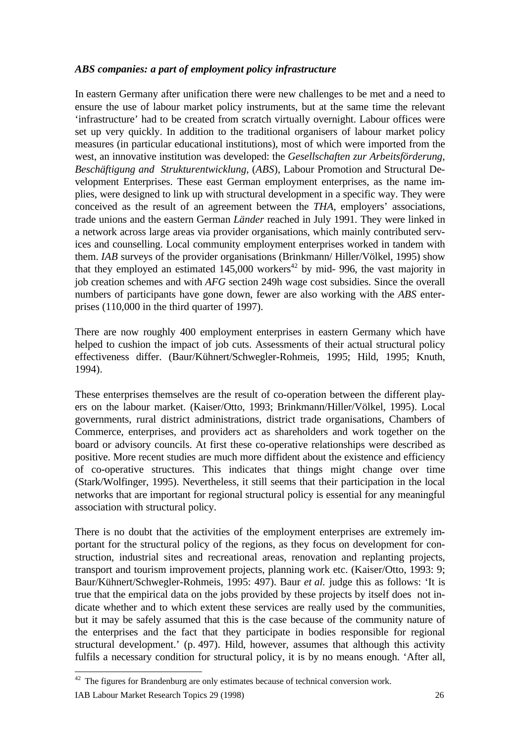#### *ABS companies: a part of employment policy infrastructure*

In eastern Germany after unification there were new challenges to be met and a need to ensure the use of labour market policy instruments, but at the same time the relevant 'infrastructure' had to be created from scratch virtually overnight. Labour offices were set up very quickly. In addition to the traditional organisers of labour market policy measures (in particular educational institutions), most of which were imported from the west, an innovative institution was developed: the *Gesellschaften zur Arbeitsförderung, Beschäftigung and Strukturentwicklung,* (*ABS*), Labour Promotion and Structural Development Enterprises. These east German employment enterprises, as the name implies, were designed to link up with structural development in a specific way. They were conceived as the result of an agreement between the *THA*, employers' associations, trade unions and the eastern German *Länder* reached in July 1991. They were linked in a network across large areas via provider organisations, which mainly contributed services and counselling. Local community employment enterprises worked in tandem with them. *IAB* surveys of the provider organisations (Brinkmann/ Hiller/Völkel, 1995) show that they employed an estimated  $145,000$  workers<sup>42</sup> by mid- 996, the vast majority in job creation schemes and with *AFG* section 249h wage cost subsidies. Since the overall numbers of participants have gone down, fewer are also working with the *ABS* enterprises (110,000 in the third quarter of 1997).

There are now roughly 400 employment enterprises in eastern Germany which have helped to cushion the impact of job cuts. Assessments of their actual structural policy effectiveness differ. (Baur/Kühnert/Schwegler-Rohmeis, 1995; Hild, 1995; Knuth, 1994).

These enterprises themselves are the result of co-operation between the different players on the labour market. (Kaiser/Otto, 1993; Brinkmann/Hiller/Völkel, 1995). Local governments, rural district administrations, district trade organisations, Chambers of Commerce, enterprises, and providers act as shareholders and work together on the board or advisory councils. At first these co-operative relationships were described as positive. More recent studies are much more diffident about the existence and efficiency of co-operative structures. This indicates that things might change over time (Stark/Wolfinger, 1995). Nevertheless, it still seems that their participation in the local networks that are important for regional structural policy is essential for any meaningful association with structural policy.

There is no doubt that the activities of the employment enterprises are extremely important for the structural policy of the regions, as they focus on development for construction, industrial sites and recreational areas, renovation and replanting projects, transport and tourism improvement projects, planning work etc. (Kaiser/Otto, 1993: 9; Baur/Kühnert/Schwegler-Rohmeis, 1995: 497). Baur *et al.* judge this as follows: 'It is true that the empirical data on the jobs provided by these projects by itself does not indicate whether and to which extent these services are really used by the communities, but it may be safely assumed that this is the case because of the community nature of the enterprises and the fact that they participate in bodies responsible for regional structural development.' (p. 497). Hild, however, assumes that although this activity fulfils a necessary condition for structural policy, it is by no means enough. 'After all,

IAB Labour Market Research Topics 29 (1998) 26  $42$  The figures for Brandenburg are only estimates because of technical conversion work.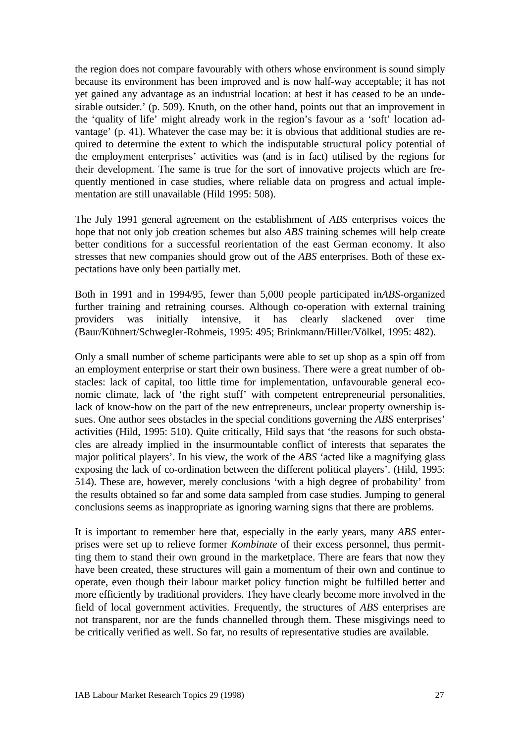the region does not compare favourably with others whose environment is sound simply because its environment has been improved and is now half-way acceptable; it has not yet gained any advantage as an industrial location: at best it has ceased to be an undesirable outsider.' (p. 509). Knuth, on the other hand, points out that an improvement in the 'quality of life' might already work in the region's favour as a 'soft' location advantage' (p. 41). Whatever the case may be: it is obvious that additional studies are required to determine the extent to which the indisputable structural policy potential of the employment enterprises' activities was (and is in fact) utilised by the regions for their development. The same is true for the sort of innovative projects which are frequently mentioned in case studies, where reliable data on progress and actual implementation are still unavailable (Hild 1995: 508).

The July 1991 general agreement on the establishment of *ABS* enterprises voices the hope that not only job creation schemes but also *ABS* training schemes will help create better conditions for a successful reorientation of the east German economy. It also stresses that new companies should grow out of the *ABS* enterprises. Both of these expectations have only been partially met.

Both in 1991 and in 1994/95, fewer than 5,000 people participated in*ABS-*organized further training and retraining courses. Although co-operation with external training providers was initially intensive, it has clearly slackened over time (Baur/Kühnert/Schwegler-Rohmeis, 1995: 495; Brinkmann/Hiller/Völkel, 1995: 482).

Only a small number of scheme participants were able to set up shop as a spin off from an employment enterprise or start their own business. There were a great number of obstacles: lack of capital, too little time for implementation, unfavourable general economic climate, lack of 'the right stuff' with competent entrepreneurial personalities, lack of know-how on the part of the new entrepreneurs, unclear property ownership issues. One author sees obstacles in the special conditions governing the *ABS* enterprises' activities (Hild, 1995: 510). Quite critically, Hild says that 'the reasons for such obstacles are already implied in the insurmountable conflict of interests that separates the major political players'. In his view, the work of the *ABS* 'acted like a magnifying glass exposing the lack of co-ordination between the different political players'. (Hild, 1995: 514). These are, however, merely conclusions 'with a high degree of probability' from the results obtained so far and some data sampled from case studies. Jumping to general conclusions seems as inappropriate as ignoring warning signs that there are problems.

It is important to remember here that, especially in the early years, many *ABS* enterprises were set up to relieve former *Kombinate* of their excess personnel, thus permitting them to stand their own ground in the marketplace. There are fears that now they have been created, these structures will gain a momentum of their own and continue to operate, even though their labour market policy function might be fulfilled better and more efficiently by traditional providers. They have clearly become more involved in the field of local government activities. Frequently, the structures of *ABS* enterprises are not transparent, nor are the funds channelled through them. These misgivings need to be critically verified as well. So far, no results of representative studies are available.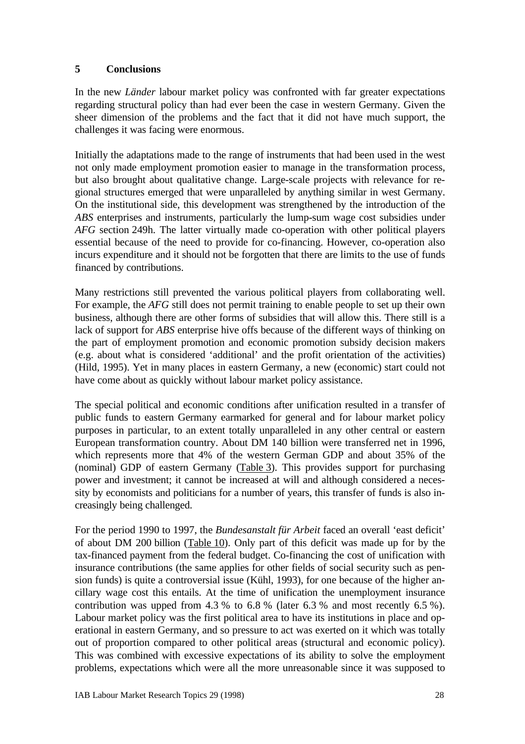## **5 Conclusions**

In the new *Länder* labour market policy was confronted with far greater expectations regarding structural policy than had ever been the case in western Germany. Given the sheer dimension of the problems and the fact that it did not have much support, the challenges it was facing were enormous.

Initially the adaptations made to the range of instruments that had been used in the west not only made employment promotion easier to manage in the transformation process, but also brought about qualitative change. Large-scale projects with relevance for regional structures emerged that were unparalleled by anything similar in west Germany. On the institutional side, this development was strengthened by the introduction of the *ABS* enterprises and instruments, particularly the lump-sum wage cost subsidies under *AFG* section 249h. The latter virtually made co-operation with other political players essential because of the need to provide for co-financing. However, co-operation also incurs expenditure and it should not be forgotten that there are limits to the use of funds financed by contributions.

Many restrictions still prevented the various political players from collaborating well. For example, the *AFG* still does not permit training to enable people to set up their own business, although there are other forms of subsidies that will allow this. There still is a lack of support for *ABS* enterprise hive offs because of the different ways of thinking on the part of employment promotion and economic promotion subsidy decision makers (e.g. about what is considered 'additional' and the profit orientation of the activities) (Hild, 1995). Yet in many places in eastern Germany, a new (economic) start could not have come about as quickly without labour market policy assistance.

The special political and economic conditions after unification resulted in a transfer of public funds to eastern Germany earmarked for general and for labour market policy purposes in particular, to an extent totally unparalleled in any other central or eastern European transformation country. About DM 140 billion were transferred net in 1996, which represents more that 4% of the western German GDP and about 35% of the (nominal) GDP of eastern Germany (Table 3). This provides support for purchasing power and investment; it cannot be increased at will and although considered a necessity by economists and politicians for a number of years, this transfer of funds is also increasingly being challenged.

For the period 1990 to 1997, the *Bundesanstalt für Arbeit* faced an overall 'east deficit' of about DM 200 billion (Table 10). Only part of this deficit was made up for by the tax-financed payment from the federal budget. Co-financing the cost of unification with insurance contributions (the same applies for other fields of social security such as pension funds) is quite a controversial issue (Kühl, 1993), for one because of the higher ancillary wage cost this entails. At the time of unification the unemployment insurance contribution was upped from 4.3 % to 6.8 % (later 6.3 % and most recently 6.5 %). Labour market policy was the first political area to have its institutions in place and operational in eastern Germany, and so pressure to act was exerted on it which was totally out of proportion compared to other political areas (structural and economic policy). This was combined with excessive expectations of its ability to solve the employment problems, expectations which were all the more unreasonable since it was supposed to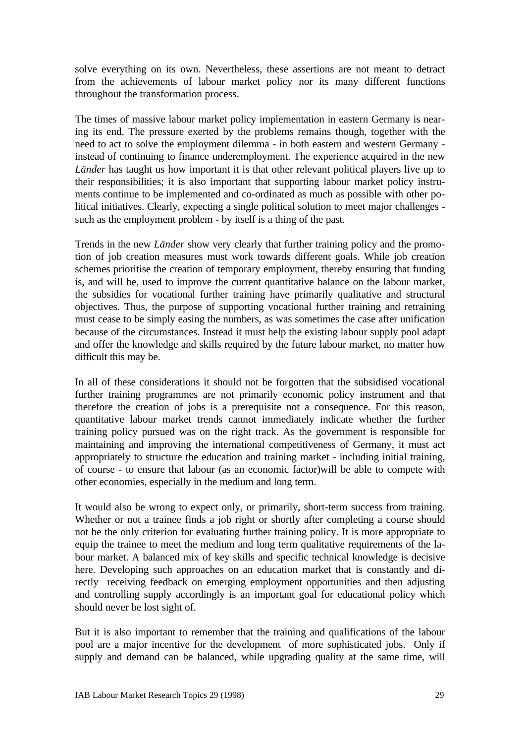solve everything on its own. Nevertheless, these assertions are not meant to detract from the achievements of labour market policy nor its many different functions throughout the transformation process.

The times of massive labour market policy implementation in eastern Germany is nearing its end. The pressure exerted by the problems remains though, together with the need to act to solve the employment dilemma - in both eastern and western Germany instead of continuing to finance underemployment. The experience acquired in the new *Länder* has taught us how important it is that other relevant political players live up to their responsibilities; it is also important that supporting labour market policy instruments continue to be implemented and co-ordinated as much as possible with other political initiatives. Clearly, expecting a single political solution to meet major challenges such as the employment problem - by itself is a thing of the past.

Trends in the new *Länder* show very clearly that further training policy and the promotion of job creation measures must work towards different goals. While job creation schemes prioritise the creation of temporary employment, thereby ensuring that funding is, and will be, used to improve the current quantitative balance on the labour market, the subsidies for vocational further training have primarily qualitative and structural objectives. Thus, the purpose of supporting vocational further training and retraining must cease to be simply easing the numbers, as was sometimes the case after unification because of the circumstances. Instead it must help the existing labour supply pool adapt and offer the knowledge and skills required by the future labour market, no matter how difficult this may be.

In all of these considerations it should not be forgotten that the subsidised vocational further training programmes are not primarily economic policy instrument and that therefore the creation of jobs is a prerequisite not a consequence. For this reason, quantitative labour market trends cannot immediately indicate whether the further training policy pursued was on the right track. As the government is responsible for maintaining and improving the international competitiveness of Germany, it must act appropriately to structure the education and training market - including initial training, of course - to ensure that labour (as an economic factor)will be able to compete with other economies, especially in the medium and long term.

It would also be wrong to expect only, or primarily, short-term success from training. Whether or not a trainee finds a job right or shortly after completing a course should not be the only criterion for evaluating further training policy. It is more appropriate to equip the trainee to meet the medium and long term qualitative requirements of the labour market. A balanced mix of key skills and specific technical knowledge is decisive here. Developing such approaches on an education market that is constantly and directly receiving feedback on emerging employment opportunities and then adjusting and controlling supply accordingly is an important goal for educational policy which should never be lost sight of.

But it is also important to remember that the training and qualifications of the labour pool are a major incentive for the development of more sophisticated jobs. Only if supply and demand can be balanced, while upgrading quality at the same time, will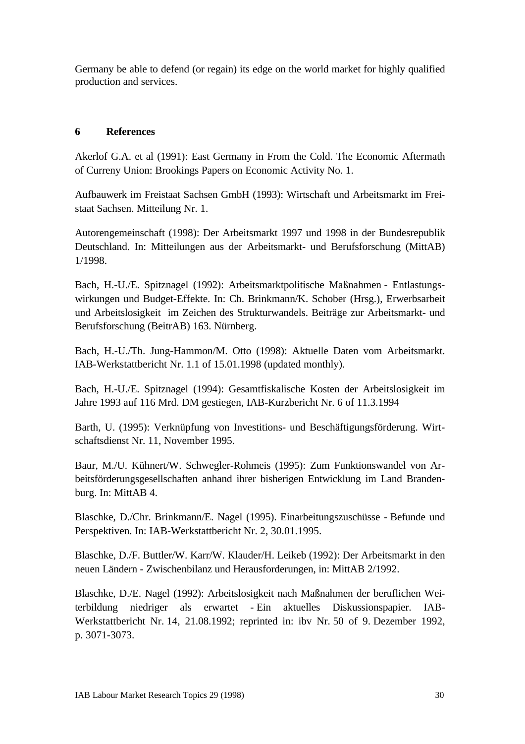Germany be able to defend (or regain) its edge on the world market for highly qualified production and services.

# **6 References**

Akerlof G.A. et al (1991): East Germany in From the Cold. The Economic Aftermath of Curreny Union: Brookings Papers on Economic Activity No. 1.

Aufbauwerk im Freistaat Sachsen GmbH (1993): Wirtschaft und Arbeitsmarkt im Freistaat Sachsen. Mitteilung Nr. 1.

Autorengemeinschaft (1998): Der Arbeitsmarkt 1997 und 1998 in der Bundesrepublik Deutschland. In: Mitteilungen aus der Arbeitsmarkt- und Berufsforschung (MittAB) 1/1998.

Bach, H.-U./E. Spitznagel (1992): Arbeitsmarktpolitische Maßnahmen - Entlastungswirkungen und Budget-Effekte. In: Ch. Brinkmann/K. Schober (Hrsg.), Erwerbsarbeit und Arbeitslosigkeit im Zeichen des Strukturwandels. Beiträge zur Arbeitsmarkt- und Berufsforschung (BeitrAB) 163. Nürnberg.

Bach, H.-U./Th. Jung-Hammon/M. Otto (1998): Aktuelle Daten vom Arbeitsmarkt. IAB-Werkstattbericht Nr. 1.1 of 15.01.1998 (updated monthly).

Bach, H.-U./E. Spitznagel (1994): Gesamtfiskalische Kosten der Arbeitslosigkeit im Jahre 1993 auf 116 Mrd. DM gestiegen, IAB-Kurzbericht Nr. 6 of 11.3.1994

Barth, U. (1995): Verknüpfung von Investitions- und Beschäftigungsförderung. Wirtschaftsdienst Nr. 11, November 1995.

Baur, M./U. Kühnert/W. Schwegler-Rohmeis (1995): Zum Funktionswandel von Arbeitsförderungsgesellschaften anhand ihrer bisherigen Entwicklung im Land Brandenburg. In: MittAB 4.

Blaschke, D./Chr. Brinkmann/E. Nagel (1995). Einarbeitungszuschüsse - Befunde und Perspektiven. In: IAB-Werkstattbericht Nr. 2, 30.01.1995.

Blaschke, D./F. Buttler/W. Karr/W. Klauder/H. Leikeb (1992): Der Arbeitsmarkt in den neuen Ländern - Zwischenbilanz und Herausforderungen, in: MittAB 2/1992.

Blaschke, D./E. Nagel (1992): Arbeitslosigkeit nach Maßnahmen der beruflichen Weiterbildung niedriger als erwartet - Ein aktuelles Diskussionspapier. IAB-Werkstattbericht Nr. 14, 21.08.1992; reprinted in: ibv Nr. 50 of 9. Dezember 1992, p. 3071-3073.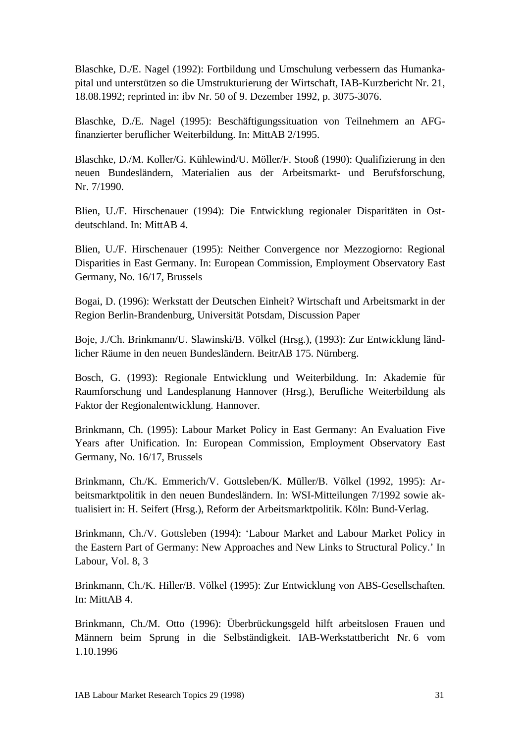Blaschke, D./E. Nagel (1992): Fortbildung und Umschulung verbessern das Humankapital und unterstützen so die Umstrukturierung der Wirtschaft, IAB-Kurzbericht Nr. 21, 18.08.1992; reprinted in: ibv Nr. 50 of 9. Dezember 1992, p. 3075-3076.

Blaschke, D./E. Nagel (1995): Beschäftigungssituation von Teilnehmern an AFGfinanzierter beruflicher Weiterbildung. In: MittAB 2/1995.

Blaschke, D./M. Koller/G. Kühlewind/U. Möller/F. Stooß (1990): Qualifizierung in den neuen Bundesländern, Materialien aus der Arbeitsmarkt- und Berufsforschung, Nr. 7/1990.

Blien, U./F. Hirschenauer (1994): Die Entwicklung regionaler Disparitäten in Ostdeutschland. In: MittAB 4.

Blien, U./F. Hirschenauer (1995): Neither Convergence nor Mezzogiorno: Regional Disparities in East Germany. In: European Commission, Employment Observatory East Germany, No. 16/17, Brussels

Bogai, D. (1996): Werkstatt der Deutschen Einheit? Wirtschaft und Arbeitsmarkt in der Region Berlin-Brandenburg, Universität Potsdam, Discussion Paper

Boje, J./Ch. Brinkmann/U. Slawinski/B. Völkel (Hrsg.), (1993): Zur Entwicklung ländlicher Räume in den neuen Bundesländern. BeitrAB 175. Nürnberg.

Bosch, G. (1993): Regionale Entwicklung und Weiterbildung. In: Akademie für Raumforschung und Landesplanung Hannover (Hrsg.), Berufliche Weiterbildung als Faktor der Regionalentwicklung. Hannover.

Brinkmann, Ch. (1995): Labour Market Policy in East Germany: An Evaluation Five Years after Unification. In: European Commission, Employment Observatory East Germany, No. 16/17, Brussels

Brinkmann, Ch./K. Emmerich/V. Gottsleben/K. Müller/B. Völkel (1992, 1995): Arbeitsmarktpolitik in den neuen Bundesländern. In: WSI-Mitteilungen 7/1992 sowie aktualisiert in: H. Seifert (Hrsg.), Reform der Arbeitsmarktpolitik. Köln: Bund-Verlag.

Brinkmann, Ch./V. Gottsleben (1994): 'Labour Market and Labour Market Policy in the Eastern Part of Germany: New Approaches and New Links to Structural Policy.' In Labour, Vol. 8, 3

Brinkmann, Ch./K. Hiller/B. Völkel (1995): Zur Entwicklung von ABS-Gesellschaften. In: MittAB 4.

Brinkmann, Ch./M. Otto (1996): Überbrückungsgeld hilft arbeitslosen Frauen und Männern beim Sprung in die Selbständigkeit. IAB-Werkstattbericht Nr. 6 vom 1.10.1996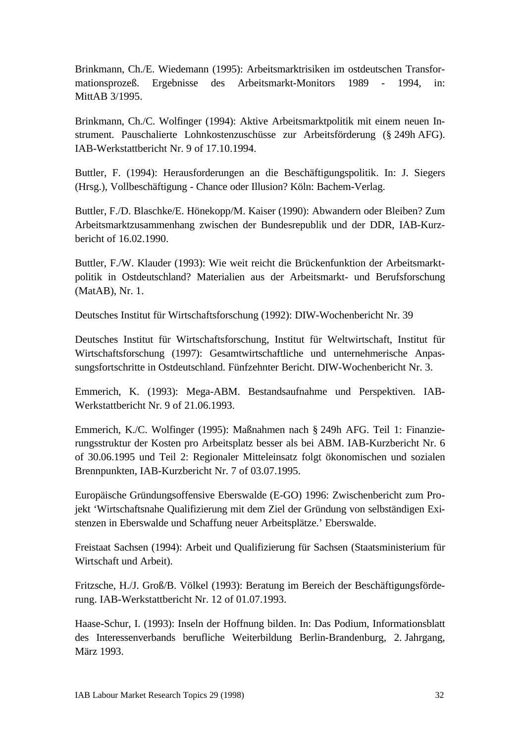Brinkmann, Ch./E. Wiedemann (1995): Arbeitsmarktrisiken im ostdeutschen Transformationsprozeß. Ergebnisse des Arbeitsmarkt-Monitors 1989 - 1994, in: MittAB 3/1995.

Brinkmann, Ch./C. Wolfinger (1994): Aktive Arbeitsmarktpolitik mit einem neuen Instrument. Pauschalierte Lohnkostenzuschüsse zur Arbeitsförderung (§ 249h AFG). IAB-Werkstattbericht Nr. 9 of 17.10.1994.

Buttler, F. (1994): Herausforderungen an die Beschäftigungspolitik. In: J. Siegers (Hrsg.), Vollbeschäftigung - Chance oder Illusion? Köln: Bachem-Verlag.

Buttler, F./D. Blaschke/E. Hönekopp/M. Kaiser (1990): Abwandern oder Bleiben? Zum Arbeitsmarktzusammenhang zwischen der Bundesrepublik und der DDR, IAB-Kurzbericht of 16.02.1990.

Buttler, F./W. Klauder (1993): Wie weit reicht die Brückenfunktion der Arbeitsmarktpolitik in Ostdeutschland? Materialien aus der Arbeitsmarkt- und Berufsforschung (MatAB), Nr. 1.

Deutsches Institut für Wirtschaftsforschung (1992): DIW-Wochenbericht Nr. 39

Deutsches Institut für Wirtschaftsforschung, Institut für Weltwirtschaft, Institut für Wirtschaftsforschung (1997): Gesamtwirtschaftliche und unternehmerische Anpassungsfortschritte in Ostdeutschland. Fünfzehnter Bericht. DIW-Wochenbericht Nr. 3.

Emmerich, K. (1993): Mega-ABM. Bestandsaufnahme und Perspektiven. IAB-Werkstattbericht Nr. 9 of 21.06.1993.

Emmerich, K./C. Wolfinger (1995): Maßnahmen nach § 249h AFG. Teil 1: Finanzierungsstruktur der Kosten pro Arbeitsplatz besser als bei ABM. IAB-Kurzbericht Nr. 6 of 30.06.1995 und Teil 2: Regionaler Mitteleinsatz folgt ökonomischen und sozialen Brennpunkten, IAB-Kurzbericht Nr. 7 of 03.07.1995.

Europäische Gründungsoffensive Eberswalde (E-GO) 1996: Zwischenbericht zum Projekt 'Wirtschaftsnahe Qualifizierung mit dem Ziel der Gründung von selbständigen Existenzen in Eberswalde und Schaffung neuer Arbeitsplätze.' Eberswalde.

Freistaat Sachsen (1994): Arbeit und Qualifizierung für Sachsen (Staatsministerium für Wirtschaft und Arbeit).

Fritzsche, H./J. Groß/B. Völkel (1993): Beratung im Bereich der Beschäftigungsförderung. IAB-Werkstattbericht Nr. 12 of 01.07.1993.

Haase-Schur, I. (1993): Inseln der Hoffnung bilden. In: Das Podium, Informationsblatt des Interessenverbands berufliche Weiterbildung Berlin-Brandenburg, 2. Jahrgang, März 1993.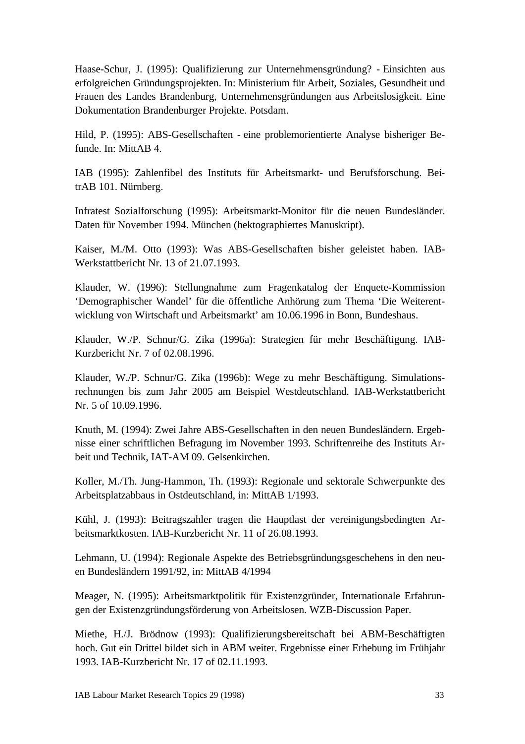Haase-Schur, J. (1995): Qualifizierung zur Unternehmensgründung? - Einsichten aus erfolgreichen Gründungsprojekten. In: Ministerium für Arbeit, Soziales, Gesundheit und Frauen des Landes Brandenburg, Unternehmensgründungen aus Arbeitslosigkeit. Eine Dokumentation Brandenburger Projekte. Potsdam.

Hild, P. (1995): ABS-Gesellschaften - eine problemorientierte Analyse bisheriger Befunde. In: MittAB 4.

IAB (1995): Zahlenfibel des Instituts für Arbeitsmarkt- und Berufsforschung. BeitrAB 101. Nürnberg.

Infratest Sozialforschung (1995): Arbeitsmarkt-Monitor für die neuen Bundesländer. Daten für November 1994. München (hektographiertes Manuskript).

Kaiser, M./M. Otto (1993): Was ABS-Gesellschaften bisher geleistet haben. IAB-Werkstattbericht Nr. 13 of 21.07.1993.

Klauder, W. (1996): Stellungnahme zum Fragenkatalog der Enquete-Kommission 'Demographischer Wandel' für die öffentliche Anhörung zum Thema 'Die Weiterentwicklung von Wirtschaft und Arbeitsmarkt' am 10.06.1996 in Bonn, Bundeshaus.

Klauder, W./P. Schnur/G. Zika (1996a): Strategien für mehr Beschäftigung. IAB-Kurzbericht Nr. 7 of 02.08.1996.

Klauder, W./P. Schnur/G. Zika (1996b): Wege zu mehr Beschäftigung. Simulationsrechnungen bis zum Jahr 2005 am Beispiel Westdeutschland. IAB-Werkstattbericht Nr. 5 of 10.09.1996.

Knuth, M. (1994): Zwei Jahre ABS-Gesellschaften in den neuen Bundesländern. Ergebnisse einer schriftlichen Befragung im November 1993. Schriftenreihe des Instituts Arbeit und Technik, IAT-AM 09. Gelsenkirchen.

Koller, M./Th. Jung-Hammon, Th. (1993): Regionale und sektorale Schwerpunkte des Arbeitsplatzabbaus in Ostdeutschland, in: MittAB 1/1993.

Kühl, J. (1993): Beitragszahler tragen die Hauptlast der vereinigungsbedingten Arbeitsmarktkosten. IAB-Kurzbericht Nr. 11 of 26.08.1993.

Lehmann, U. (1994): Regionale Aspekte des Betriebsgründungsgeschehens in den neuen Bundesländern 1991/92, in: MittAB 4/1994

Meager, N. (1995): Arbeitsmarktpolitik für Existenzgründer, Internationale Erfahrungen der Existenzgründungsförderung von Arbeitslosen. WZB-Discussion Paper.

Miethe, H./J. Brödnow (1993): Qualifizierungsbereitschaft bei ABM-Beschäftigten hoch. Gut ein Drittel bildet sich in ABM weiter. Ergebnisse einer Erhebung im Frühjahr 1993. IAB-Kurzbericht Nr. 17 of 02.11.1993.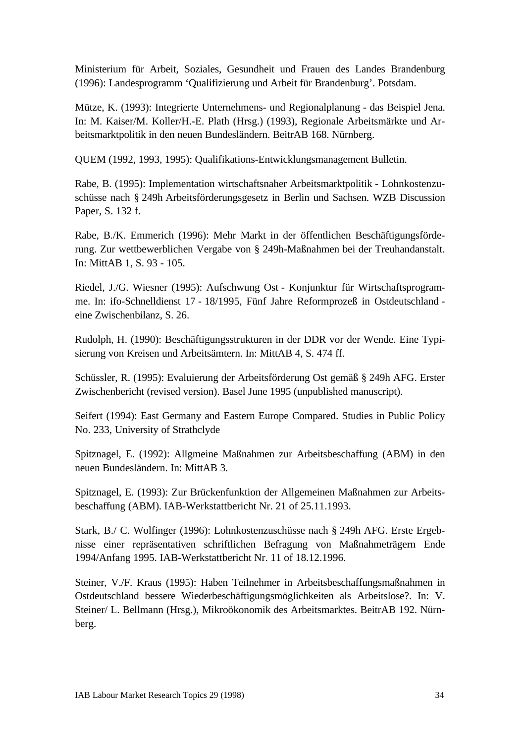Ministerium für Arbeit, Soziales, Gesundheit und Frauen des Landes Brandenburg (1996): Landesprogramm 'Qualifizierung und Arbeit für Brandenburg'. Potsdam.

Mütze, K. (1993): Integrierte Unternehmens- und Regionalplanung - das Beispiel Jena. In: M. Kaiser/M. Koller/H.-E. Plath (Hrsg.) (1993), Regionale Arbeitsmärkte und Arbeitsmarktpolitik in den neuen Bundesländern. BeitrAB 168. Nürnberg.

QUEM (1992, 1993, 1995): Qualifikations-Entwicklungsmanagement Bulletin.

Rabe, B. (1995): Implementation wirtschaftsnaher Arbeitsmarktpolitik - Lohnkostenzuschüsse nach § 249h Arbeitsförderungsgesetz in Berlin und Sachsen. WZB Discussion Paper, S. 132 f.

Rabe, B./K. Emmerich (1996): Mehr Markt in der öffentlichen Beschäftigungsförderung. Zur wettbewerblichen Vergabe von § 249h-Maßnahmen bei der Treuhandanstalt. In: MittAB 1, S. 93 - 105.

Riedel, J./G. Wiesner (1995): Aufschwung Ost - Konjunktur für Wirtschaftsprogramme. In: ifo-Schnelldienst 17 - 18/1995, Fünf Jahre Reformprozeß in Ostdeutschland eine Zwischenbilanz, S. 26.

Rudolph, H. (1990): Beschäftigungsstrukturen in der DDR vor der Wende. Eine Typisierung von Kreisen und Arbeitsämtern. In: MittAB 4, S. 474 ff.

Schüssler, R. (1995): Evaluierung der Arbeitsförderung Ost gemäß § 249h AFG. Erster Zwischenbericht (revised version). Basel June 1995 (unpublished manuscript).

Seifert (1994): East Germany and Eastern Europe Compared. Studies in Public Policy No. 233, University of Strathclyde

Spitznagel, E. (1992): Allgmeine Maßnahmen zur Arbeitsbeschaffung (ABM) in den neuen Bundesländern. In: MittAB 3.

Spitznagel, E. (1993): Zur Brückenfunktion der Allgemeinen Maßnahmen zur Arbeitsbeschaffung (ABM). IAB-Werkstattbericht Nr. 21 of 25.11.1993.

Stark, B./ C. Wolfinger (1996): Lohnkostenzuschüsse nach § 249h AFG. Erste Ergebnisse einer repräsentativen schriftlichen Befragung von Maßnahmeträgern Ende 1994/Anfang 1995. IAB-Werkstattbericht Nr. 11 of 18.12.1996.

Steiner, V./F. Kraus (1995): Haben Teilnehmer in Arbeitsbeschaffungsmaßnahmen in Ostdeutschland bessere Wiederbeschäftigungsmöglichkeiten als Arbeitslose?. In: V. Steiner/ L. Bellmann (Hrsg.), Mikroökonomik des Arbeitsmarktes. BeitrAB 192. Nürnberg.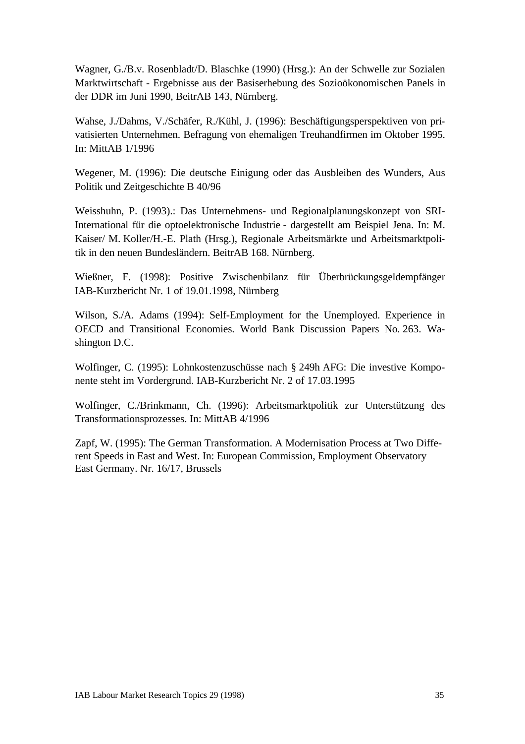Wagner, G./B.v. Rosenbladt/D. Blaschke (1990) (Hrsg.): An der Schwelle zur Sozialen Marktwirtschaft - Ergebnisse aus der Basiserhebung des Sozioökonomischen Panels in der DDR im Juni 1990, BeitrAB 143, Nürnberg.

Wahse, J./Dahms, V./Schäfer, R./Kühl, J. (1996): Beschäftigungsperspektiven von privatisierten Unternehmen. Befragung von ehemaligen Treuhandfirmen im Oktober 1995. In: MittAB 1/1996

Wegener, M. (1996): Die deutsche Einigung oder das Ausbleiben des Wunders, Aus Politik und Zeitgeschichte B 40/96

Weisshuhn, P. (1993).: Das Unternehmens- und Regionalplanungskonzept von SRI-International für die optoelektronische Industrie - dargestellt am Beispiel Jena. In: M. Kaiser/ M. Koller/H.-E. Plath (Hrsg.), Regionale Arbeitsmärkte und Arbeitsmarktpolitik in den neuen Bundesländern. BeitrAB 168. Nürnberg.

Wießner, F. (1998): Positive Zwischenbilanz für Überbrückungsgeldempfänger IAB-Kurzbericht Nr. 1 of 19.01.1998, Nürnberg

Wilson, S./A. Adams (1994): Self-Employment for the Unemployed. Experience in OECD and Transitional Economies. World Bank Discussion Papers No. 263. Washington D.C.

Wolfinger, C. (1995): Lohnkostenzuschüsse nach § 249h AFG: Die investive Komponente steht im Vordergrund. IAB-Kurzbericht Nr. 2 of 17.03.1995

Wolfinger, C./Brinkmann, Ch. (1996): Arbeitsmarktpolitik zur Unterstützung des Transformationsprozesses. In: MittAB 4/1996

Zapf, W. (1995): The German Transformation. A Modernisation Process at Two Different Speeds in East and West. In: European Commission, Employment Observatory East Germany. Nr. 16/17, Brussels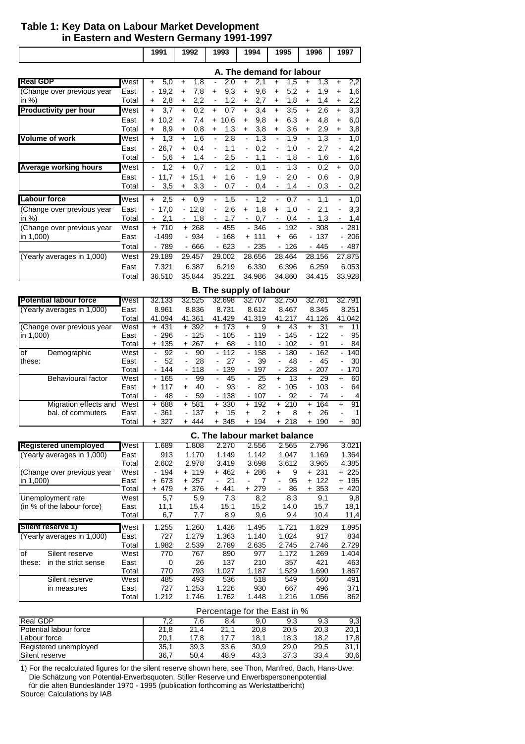## **Table 1: Key Data on Labour Market Development** in Eastern and Western Germany 1991-1997

|                              |       | 1991              | 1992                            | 1993                            | 1994                                | 1995                            | 1996                            | 1997                                |
|------------------------------|-------|-------------------|---------------------------------|---------------------------------|-------------------------------------|---------------------------------|---------------------------------|-------------------------------------|
|                              |       |                   |                                 |                                 | A. The demand for labour            |                                 |                                 |                                     |
| <b>Real GDP</b>              | West  | 5,0<br>+          | 1,8<br>$\ddot{}$                | 2,0                             | 2,1<br>+                            | 1,5<br>$\ddot{}$                | 1,3<br>+                        | 2,2<br>$\ddot{}$                    |
| (Change over previous year   | East  | 19,2              | 7,8<br>$\ddot{}$                | 9,3<br>$\ddot{}$                | 9,6<br>$+$                          | 5,2<br>$\ddot{}$                | 1,9<br>$\ddot{}$                | 1,6<br>$\ddot{}$                    |
| in $%$ )                     | Total | 2,8<br>+          | 2,2<br>$\ddot{}$                | 1,2                             | 2,7<br>$\ddot{}$                    | 1,8<br>$\ddot{}$                | 1,4<br>$\ddot{}$                | 2,2<br>$\ddot{}$                    |
| <b>Productivity per hour</b> | West  | 3,7<br>$+$        | 0,2<br>$\ddot{}$                | 0,7<br>$+$                      | 3,4<br>$\ddot{}$                    | 3,5<br>$\ddot{}$                | 2,6<br>$\ddot{}$                | 3,3<br>$\ddot{}$                    |
|                              | East  | 10,2<br>$\ddot{}$ | 7,4<br>$\ddot{}$                | 10,6<br>$+$                     | 9,8<br>$\ddot{}$                    | 6,3<br>$\ddot{}$                | 4,8<br>$\ddot{}$                | 6,0<br>+                            |
|                              | Total | 8,9<br>÷.         | 0,8<br>$+$                      | 1,3<br>$\ddot{}$                | 3,8<br>$\ddot{}$                    | 3,6<br>$\ddot{}$                | 2,9<br>$\ddot{}$                | 3,8<br>$\ddot{}$                    |
| Volume of work               | West  | 1,3<br>$\ddot{}$  | 1,6<br>$+$                      | 2,8<br>$\overline{\phantom{0}}$ | 1,3<br>$\overline{\phantom{0}}$     | 1,9<br>$\overline{\phantom{0}}$ | 1,3<br>$\overline{\phantom{a}}$ | 1,0<br>$\overline{\phantom{a}}$     |
|                              | East  | $-26,7$           | 0,4<br>$\ddot{}$                | 1,1                             | 0,2<br>$\overline{\phantom{0}}$     | 1,0                             | 2,7                             | 4,2<br>-                            |
|                              | Total | 5,6               | 1,4<br>$\ddot{}$                | 2,5<br>-                        | 1,1<br>$\qquad \qquad \blacksquare$ | 1,8<br>-                        | 1,6<br>$\overline{\phantom{a}}$ | 1,6<br>$\qquad \qquad \blacksquare$ |
| Average working hours        | West  | 1,2               | 0,7<br>$\ddot{}$                | 1,2                             | 0,1<br>$\overline{\phantom{a}}$     | 1,3<br>$\overline{\phantom{0}}$ | 0,2<br>$\overline{\phantom{a}}$ | 0,0<br>+                            |
|                              | East  | 11,7              | 15,1<br>$+$                     | 1,6<br>÷                        | 1,9<br>-                            | 2,0<br>$\overline{\phantom{0}}$ | 0,6<br>$\overline{\phantom{a}}$ | 0,9<br>$\overline{\phantom{0}}$     |
|                              | Total | 3,5               | 3,3<br>$+$                      | 0,7                             | 0,4<br>$\overline{\phantom{a}}$     | 1,4<br>Ξ.                       | 0,3                             | 0,2<br>٠                            |
| <b>Labour force</b>          | West  | 2,5<br>$\ddot{}$  | 0,9<br>$\ddot{}$                | 1,5<br>-                        | 1,2<br>$\overline{\phantom{0}}$     | 0,7<br>-                        | 1,1                             | 1,0<br>$\overline{\phantom{0}}$     |
| (Change over previous year   | East  | 17,0              | $-12,8$                         | 2,6<br>$\overline{\phantom{0}}$ | 1,8<br>$\ddot{}$                    | 1,0<br>$\ddot{}$                | 2,1                             | 3,3<br>$\overline{\phantom{0}}$     |
| in $%$ )                     | Total | 2,1               | 1,8<br>$\overline{\phantom{a}}$ | 1,7<br>-                        | 0,7<br>$\overline{\phantom{0}}$     | 0,4                             | 1,3<br>$\overline{\phantom{a}}$ | 1,4<br>$\overline{\phantom{0}}$     |
| (Change over previous year   | West  | $+710$            | $+268$                          | $-455$                          | $-346$                              | 192<br>$\overline{\phantom{a}}$ | $-308$                          | $-281$                              |
| in $1,000$ )                 | East  | -1499             | - 934                           | - 168                           | $+ 111$                             | 66<br>÷                         | - 137                           | $-206$                              |
|                              | Total | $-789$            | $-666$                          | $-623$                          | $-235$                              | $-126$                          | $-445$                          | $-487$                              |
| (Yearly averages in 1,000)   | West  | 29.189            | 29.457                          | 29.002                          | 28.656                              | 28.464                          | 28.156                          | 27.875                              |
|                              | East  | 7.321             | 6.387                           | 6.219                           | 6.330                               | 6.396                           | 6.259                           | 6.053                               |
|                              | Total | 36.510            | 35.844                          | 35.221                          | 34.986                              | 34.860                          | 34.415                          | 33.928                              |

|                               |       |            |                                |                                | <b>B.</b> The supply of labour |                                 |                                 |                                 |
|-------------------------------|-------|------------|--------------------------------|--------------------------------|--------------------------------|---------------------------------|---------------------------------|---------------------------------|
| <b>Potential labour force</b> | West  | 32.133     | 32.525                         | 32.698                         | 32.707                         | 32.750                          | 32.781                          | 32.791                          |
| (Yearly averages in 1,000)    | East  | 8.961      | 8.836                          | 8.731                          | 8.612                          | 8.467                           | 8.345                           | 8.251                           |
|                               | Total | 41.094     | 41.361                         | 41.429                         | 41.319                         | 41.217                          | 41.126                          | 41.042                          |
| (Change over previous year    | West  | + 431      | + 392                          | + 173                          | 9<br>+                         | 43<br>÷                         | 31<br>÷.                        | 11<br>+                         |
| in 1,000)                     | East  | $-296$     | $-125$                         | $-105$                         | $-119$                         | $-145$                          | $-122$                          | 95<br>$\blacksquare$            |
|                               | Total | 135<br>$+$ | $+267$                         | 68<br>÷.                       | $-110$                         | 102<br>$\overline{\phantom{0}}$ | 91<br>-                         | 84                              |
| of<br>Demographic             | West  | 92         | 90<br>$\overline{\phantom{0}}$ | $-112$                         | $-158$                         | 180<br>$\overline{\phantom{0}}$ | 162<br>$\overline{\phantom{0}}$ | 140                             |
| these:                        | East  | 52<br>-    | 28<br>$\overline{\phantom{0}}$ | 27<br>$\overline{\phantom{a}}$ | 39<br>$\blacksquare$           | 48<br>$\blacksquare$            | 45<br>$\overline{\phantom{0}}$  | 30<br>$\blacksquare$            |
|                               | Total | - 144      | $-118$                         | $-139$                         | - 197                          | $-228$                          | $-207$                          | 170<br>$\overline{\phantom{0}}$ |
| Behavioural factor            | West  | - 165      | 99<br>$\overline{\phantom{0}}$ | 45<br>$\blacksquare$           | 25<br>$\blacksquare$           | 13<br>÷                         | 29<br>$+$                       | 60<br>$\ddot{}$                 |
|                               | East  | + 117      | 40<br>$\div$                   | 93<br>$\blacksquare$           | 82<br>$\overline{\phantom{a}}$ | 105<br>$\overline{\phantom{a}}$ | - 103                           | 64                              |
|                               | Total | 48<br>-    | 59<br>$\overline{\phantom{0}}$ | $-138$                         | $-107$                         | 92<br>$\blacksquare$            | 74<br>$\overline{\phantom{0}}$  | 4<br>$\blacksquare$             |
| Migration effects and         | West  | 688<br>$+$ | $+ 581$                        | 330<br>$+$                     | 192<br>$\ddot{}$               | 210<br>$+$                      | 164<br>$+$                      | 91<br>$\ddot{}$                 |
| bal, of commuters             | East  | - 361      | - 137                          | 15<br>$\ddot{}$                | 2<br>+                         | 8<br>+                          | 26<br>+                         | 1<br>$\blacksquare$             |
|                               | Total | 327<br>+   | 444<br>$+$                     | 345<br>$+$                     | 194<br>$+$                     | 218<br>$+$                      | 190<br>÷                        | 90<br>+                         |

|                               |       |          |       |            | C. The labour market balance |                      |            |                  |
|-------------------------------|-------|----------|-------|------------|------------------------------|----------------------|------------|------------------|
| <b>Registered unemployed</b>  | West  | 1.689    | 1.808 | 2.270      | 2.556                        | 2.565                | 2.796      | 3.021            |
| (Yearly averages in 1,000)    | East  | 913      | 1.170 | 1.149      | 1.142                        | 1.047                | 1.169      | 1.364            |
|                               | Total | 2.602    | 2.978 | 3.419      | 3.698                        | 3.612                | 3.965      | 4.385            |
| (Change over previous year    | West  | - 194    | + 119 | + 462      | + 286                        | 9<br>÷               | + 231      | $+225$           |
| in 1,000)                     | East  | 673<br>+ | + 257 | 21         |                              | 95<br>$\blacksquare$ | 122<br>$+$ | 195<br>÷.        |
|                               | Total | 479      | + 376 | 441<br>$+$ | 279<br>÷.                    | 86                   | 353<br>$+$ | 420<br>$\ddot{}$ |
| Unemployment rate             | West  | 5,7      | 5,9   | 7,3        | 8,2                          | 8,3                  | 9,1        | 9,8              |
| (in % of the labour force)    | East  | 11,1     | 15,4  | 15,1       | 15,2                         | 14.0                 | 15,7       | 18,1             |
|                               | Total | 6,7      | 7,7   | 8,9        | 9,6                          | 9,4                  | 10,4       | 11,4             |
| Silent reserve 1)             | West  | 1.255    | 1.260 | 1.426      | 1.495                        | 1.721                | 1.829      | 1.895            |
| (Yearly averages in 1,000)    | East  | 727      | 1.279 | 1.363      | 1.140                        | 1.024                | 917        | 834              |
|                               | Total | 1.982    | 2.539 | 2.789      | 2.635                        | 2.745                | 2.746      | 2.729            |
| of<br>Silent reserve          | West  | 770      | 767   | 890        | 977                          | 1.172                | 1.269      | 1.404            |
| in the strict sense<br>these: | East  | 0        | 26    | 137        | 210                          | 357                  | 421        | 463              |
|                               | Total | 770      | 793   | 1.027      | 1.187                        | 1.529                | 1.690      | 1.867            |
| Silent reserve                | West  | 485      | 493   | 536        | 518                          | 549                  | 560        | 491              |
| in measures                   | East  | 727      | 1.253 | 1.226      | 930                          | 667                  | 496        | 371              |
|                               | Total | 1.212    | 1.746 | 1.762      | 1.448                        | 1.216                | 1.056      | 862              |

|                        |      |      |      |      | Percentage for the East in % |      |      |
|------------------------|------|------|------|------|------------------------------|------|------|
| <b>Real GDP</b>        | 7 2  | 7.6  | 8.4  | 9.0  | 9.3                          | 9.3  | 9,3  |
| Potential labour force | 21.8 | 21.4 | 21.1 | 20.8 | 20,5                         | 20.3 | 20.1 |
| Labour force           | 20.1 | 17.8 | 17.7 | 18.1 | 18.3                         | 18.2 | 17.8 |
| Registered unemployed  | 35.1 | 39.3 | 33.6 | 30.9 | 29.0                         | 29.5 | 31.1 |
| Silent reserve         | 36.7 | 50.4 | 48,9 | 43.3 | 37.3                         | 33.4 | 30,6 |

1) For the recalculated figures for the silent reserve shown here, see Thon, Manfred, Bach, Hans-Uwe: Die Schätzung von Potential-Erwerbsquoten, Stiller Reserve und Erwerbspersonenpotential für die alten Bundesländer 1970 - 1995 (publication forthcoming as Werkstattbericht) Source: Calculations by IAB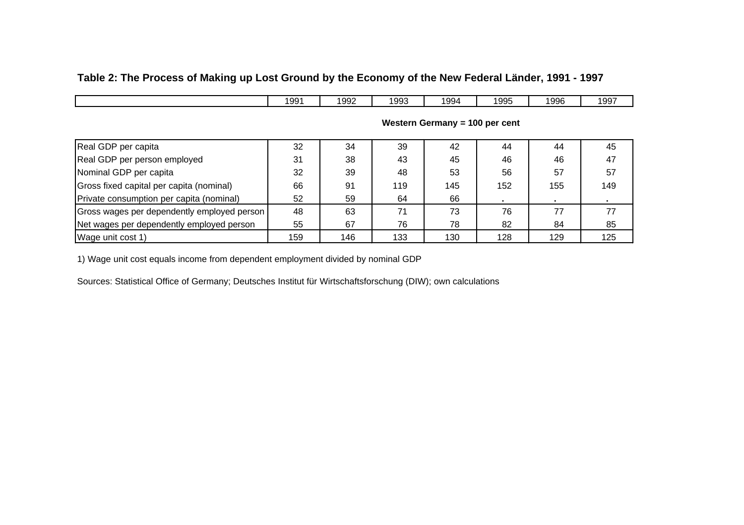# **Table 2: The Process of Making up Lost Ground by the Economy of the New Federal Länder, 1991 - 1997**

|                                             | 1991 | 1992 | 1993 | 1994                           | 1995 | 1996 | 1997 |
|---------------------------------------------|------|------|------|--------------------------------|------|------|------|
|                                             |      |      |      | Western Germany = 100 per cent |      |      |      |
| Real GDP per capita                         | 32   | 34   | 39   | 42                             | 44   | 44   | 45   |
| Real GDP per person employed                | 31   | 38   | 43   | 45                             | 46   | 46   | 47   |
| Nominal GDP per capita                      | 32   | 39   | 48   | 53                             | 56   | 57   | 57   |
| Gross fixed capital per capita (nominal)    | 66   | 91   | 119  | 145                            | 152  | 155  | 149  |
| Private consumption per capita (nominal)    | 52   | 59   | 64   | 66                             |      |      |      |
| Gross wages per dependently employed person | 48   | 63   | 71   | 73                             | 76   | 77   | 77   |
| Net wages per dependently employed person   | 55   | 67   | 76   | 78                             | 82   | 84   | 85   |
| Wage unit cost 1)                           | 159  | 146  | 133  | 130                            | 128  | 129  | 125  |

1) Wage unit cost equals income from dependent employment divided by nominal GDP

Sources: Statistical Office of Germany; Deutsches Institut für Wirtschaftsforschung (DIW); own calculations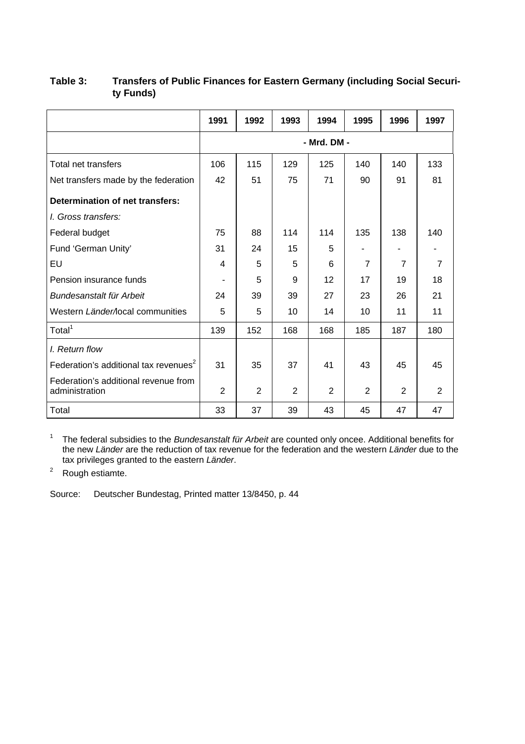|                                                        | 1991           | 1992 | 1993           | 1994        | 1995           | 1996           | 1997           |
|--------------------------------------------------------|----------------|------|----------------|-------------|----------------|----------------|----------------|
|                                                        |                |      |                | - Mrd. DM - |                |                |                |
| Total net transfers                                    | 106            | 115  | 129            | 125         | 140            | 140            | 133            |
| Net transfers made by the federation                   | 42             | 51   | 75             | 71          | 90             | 91             | 81             |
| Determination of net transfers:                        |                |      |                |             |                |                |                |
| <i>l.</i> Gross transfers:                             |                |      |                |             |                |                |                |
| Federal budget                                         | 75             | 88   | 114            | 114         | 135            | 138            | 140            |
| Fund 'German Unity'                                    | 31             | 24   | 15             | 5           |                |                |                |
| EU                                                     | 4              | 5    | 5              | 6           | $\overline{7}$ | $\overline{7}$ | $\overline{7}$ |
| Pension insurance funds                                | ٠              | 5    | 9              | 12          | 17             | 19             | 18             |
| Bundesanstalt für Arbeit                               | 24             | 39   | 39             | 27          | 23             | 26             | 21             |
| Western Länder/local communities                       | 5              | 5    | 10             | 14          | 10             | 11             | 11             |
| Total <sup>1</sup>                                     | 139            | 152  | 168            | 168         | 185            | 187            | 180            |
| I. Return flow                                         |                |      |                |             |                |                |                |
| Federation's additional tax revenues <sup>2</sup>      | 31             | 35   | 37             | 41          | 43             | 45             | 45             |
| Federation's additional revenue from<br>administration | $\overline{2}$ | 2    | $\overline{2}$ | 2           | $\overline{2}$ | $\overline{2}$ | 2              |
| Total                                                  | 33             | 37   | 39             | 43          | 45             | 47             | 47             |

# **Table 3: Transfers of Public Finances for Eastern Germany (including Social Security Funds)**

1 The federal subsidies to the *Bundesanstalt für Arbeit* are counted only oncee. Additional benefits for the new *Länder* are the reduction of tax revenue for the federation and the western *Länder* due to the tax privileges granted to the eastern *Länder*.

<sup>2</sup> Rough estiamte.

Source: Deutscher Bundestag, Printed matter 13/8450, p. 44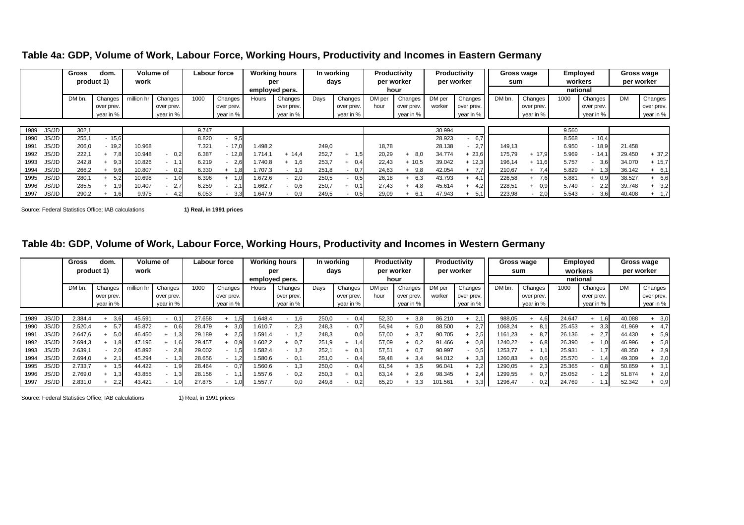|               | <b>Gross</b> | dom.       |            | Volume of<br>Labour force |       | <b>Working hours</b> | In working |                | Productivity |            |        | <b>Productivity</b> |        | Gross wage       |        | Employed   |          | Gross wage |           |            |
|---------------|--------------|------------|------------|---------------------------|-------|----------------------|------------|----------------|--------------|------------|--------|---------------------|--------|------------------|--------|------------|----------|------------|-----------|------------|
|               |              | product 1) | work       |                           |       |                      |            | per            |              | days       |        | per worker          |        | per worker       | sum    |            |          | workers    |           | per worker |
|               |              |            |            |                           |       |                      |            | employed pers. |              |            | hour   |                     |        |                  |        |            | national |            |           |            |
|               | DM bn.       | Changes    | million hr | Changes                   | 1000  | Changes              | Hours      | Changes        | Days         | Changes    | DM per | Changes             | DM per | Changes          | DM bn. | Changes    | 1000     | Changes    | <b>DM</b> | Changes    |
|               |              | over prev. |            | over prev.                |       | over prev.           |            | over prev.     |              | over prev. | hour   | over prev.          | worker | over prev.       |        | over prev. |          | over prev. |           | over prev. |
|               |              | year in %  |            | year in %                 |       | year in %            |            | year in %      |              | year in %  |        | year in %           |        | year in %        |        | year in %  |          | year in %  |           | year in %  |
|               |              |            |            |                           |       |                      |            |                |              |            |        |                     |        |                  |        |            |          |            |           |            |
| 1989<br>JS/JD | 302,1        |            |            |                           | 9.747 |                      |            |                |              |            |        |                     | 30.994 |                  |        |            | 9.560    |            |           |            |
| JS/JD<br>1990 | 255.1        | $-15,6$    |            |                           | 8.820 | 9.5                  |            |                |              |            |        |                     | 28.923 | 6.7              |        |            | 8.568    | $-10,4$    |           |            |
| JS/JD<br>1991 | 206,0        | $-19,2$    | 10.968     |                           | 7.321 | $-17.0$              | 1.498,2    |                | 249,0        |            | 18,78  |                     | 28.138 | 2.7 <sub>l</sub> | 149,13 |            | 6.950    | $-18,9$    | 21.458    |            |
| 1992<br>JS/JD | 222.1        | 7.8<br>$+$ | 10.948     | 0,2                       | 6.387 | $-12,8$              | 1.714.1    | $+ 14.4$       | 252,7        | 1,5        | 20,29  | 8,0                 | 34.774 | 23,6             | 175,79 | $+ 17.9$   | 5.969    | $-14,1$    | 29.450    | $+37,2$    |
| JS/JD<br>1993 | 242,8        | 9.3        | 10.826     | 11.،                      | 6.219 | 2.6                  | 1.740,8    | 1,6<br>$+$     | 253.7        | 0.4        | 22,43  | $+ 10.5$            | 39.042 | 12,3             | 196,14 | $+ 11.6$   | 5.757    | 3.6        | 34.070    | $+ 15.7$   |
| JS/JD<br>1994 | 266,2        | 9.6        | 10.807     | 0,2                       | 6.330 | 1.8                  | .707.3     | 1,9<br>۰.      | 251.8        | 0.7        | 24,63  | 9.8                 | 42.054 | 7.7              | 210,67 | 7.4<br>÷   | 5.829    | $+$        | 36.142    | $+ 6,1$    |
| JS/JD<br>1995 | 280.1        | 5.2        | 10.698     | 1,0                       | 6.396 | 1.0                  | 1.672.6    | 2,0<br>- 1     | 250,5        | 0,5        | 26,18  | 6,3                 | 43.793 | 41<br>$+$        | 226,58 | 7,6        | 5.881    | 0.9        | 38.527    | $+ 6.6$    |
| JS/JD<br>1996 | 285.5        | 1.9        | 10.407     | 2.7                       | 6.259 | 2.1                  | 1.662,7    | 0,6<br>        | 250.7        | 0.1        | 27.43  | 4.8                 | 45.614 | 4.2              | 228,51 | 0.9        | 5.749    | 2,2        | 39.748    | 3,2        |
| JS/JD<br>1997 | 290,2        | 1,6        | 9.975      | 4,2                       | 6.053 | 3,3                  | 1.647,9    | 0.9<br>. .     | 249,5        | 0,5        | 29,09  |                     | 47.943 | 5,1              | 223,98 | 2,0        | 5.543    | 3,6        | 40.408    | 1,7        |

**Table 4a: GDP, Volume of Work, Labour Force, Working Hours, Productivity and Incomes in Eastern Germany**

Source: Federal Statistics Office; IAB calculations **1) Real, in 1991 prices**

**Table 4b: GDP, Volume of Work, Labour Force, Working Hours, Productivity and Incomes in Western Germany**

|      |       | <b>Gross</b> | dom.       |            | Volume of        |        | Labour force   |         | <b>Working hours</b> | In working |           |        | Productivity |         | Productivity     |         | Gross wage |        | Employed    |           | Gross wage |
|------|-------|--------------|------------|------------|------------------|--------|----------------|---------|----------------------|------------|-----------|--------|--------------|---------|------------------|---------|------------|--------|-------------|-----------|------------|
|      |       | product 1)   |            | work       |                  |        |                |         | per                  |            | days      |        | per worker   |         | per worker       |         | sum        |        | workers     |           | per worker |
|      |       |              |            |            |                  |        |                |         | employed pers.       |            |           |        | hour         |         |                  |         |            |        | national    |           |            |
|      |       | DM bn.       | Changes    | million hr | Changes          | 1000   | Changes        | Hours   | Changes              | Days       | Changes   | DM per | Changes      | DM per  | Changes          | DM bn   | Changes    | 1000   | Changes     | <b>DM</b> | Changes    |
|      |       |              | over prev. |            | over prev.       |        | over prev.     |         | over prev.           |            | over prev | hour   | over prev.   | worker  | over prev.       |         | over prev. |        | over prev.  |           | over prev. |
|      |       |              | year in %  |            | year in $%$      |        | year in %      |         | year in %            |            | year in % |        | year in %    |         | year in %        |         | year in %  |        | year in %   |           | year in %  |
|      |       |              |            |            |                  |        |                |         |                      |            |           |        |              |         |                  |         |            |        |             |           |            |
| 1989 | JS/JD | 2.384,4      | 3,6        | 45.591     |                  | 27.658 |                | 1.648,4 | 1.6<br>$\sim$        | 250,0      | 0,4       | 52,30  | 3,8          | 86.210  | <b>2.11</b>      | 988,05  | 4.6        | 24.647 | 1.6         | 40.088    | 3,0        |
| 1990 | JS/JD | 2.520.4      | 5.7        | 45.872     | 0.6 <sub>1</sub> | 28.479 | 3.0            | .610.7  | 2.3                  | 248.3      | 0.7       | 54.94  | 5.0          | 88.500  |                  | 1068.24 | 8.1        | 25.453 | 3.3         | 41.969    | 4.7        |
| 1991 | JS/JD | 2.647.6      | 5.0        | 46.450     | 1.3              | 29.189 | 2.5            | 1.591,4 | 1.2                  | 248,3      | 0.0       | 57,00  | 3.7          | 90.705  | 2,5              | 1161,23 | 8.7        | 26.136 | 2.7         | 44.430    | 5,9        |
| 1992 | JS/JD | 2.694,3      | $+ 1.8$    | 47.196     | 1.6              | 29.457 | 0.9            | 1.602,2 | 0.7                  | 251.9      | 1,4       | 57,09  | 0.2          | 91.466  | 0.8 <sub>l</sub> | 1240,22 | 6.8        | 26.390 | 1.0<br>$^+$ | 46.996    | 5,8        |
| 1993 | JS/JD | 2.639,1      | 2.0        | 45.892     | 2,8              | 29.002 | 1.5<br>$\sim$  | 1.582,4 | 1,2<br>$\sim$        | 252.7      | 0.1       | 57,51  | 0.7          | 90.997  | 0,5              | 1253,77 |            | 25.931 | . .         | 48.350    | 2,9        |
| 1994 | JS/JD | 2.694,0      | 2.1        | 45.294     | 1,3              | 28.656 |                | .580,6  | 0.1                  | 251.0      | 0,4       | 59,48  | 3.4          | 94.012  | 3.3 <sub>l</sub> | 1260,83 | 0,6        | 25.570 | 1.4         | 49.309    | 2,0        |
| 1995 | JS/JD | 2.733,7      |            | 44.422     | 1.9              | 28.464 | 0.7            | .560,6  | 1,3                  | 250,0      | 0,4       | 61,54  | 3,5          | 96.041  | 2.2              | 1290,05 | 2,3        | 25.365 | 0.8         | 50.859    | 3,1        |
| 1996 | JS/JD | 2.769.0      | 1.3        | 43.855     | 1.3              | 28.156 | $\blacksquare$ | 1.557,6 | 0,2                  | 250.3      | 0.1       | 63,14  | 2.6          | 98.345  | 2.4I             | 1299,55 | 0.7        | 25.052 | 1.2<br>. .  | 51.874    | 2,0        |
| 1997 | JS/JD | 2.831,0      | 2,2        | 43.421     | 1,0 <sub>1</sub> | 27.875 |                | 1.557,7 | 0,0                  | 249,8      | 0,2       | 65,20  | 3.3          | 101.561 | 3,3              | 1296,47 | 0,2        | 24.769 |             | 52.342    | 0,9        |

Source: Federal Statistics Office; IAB calculations 1) Real, in 1991 prices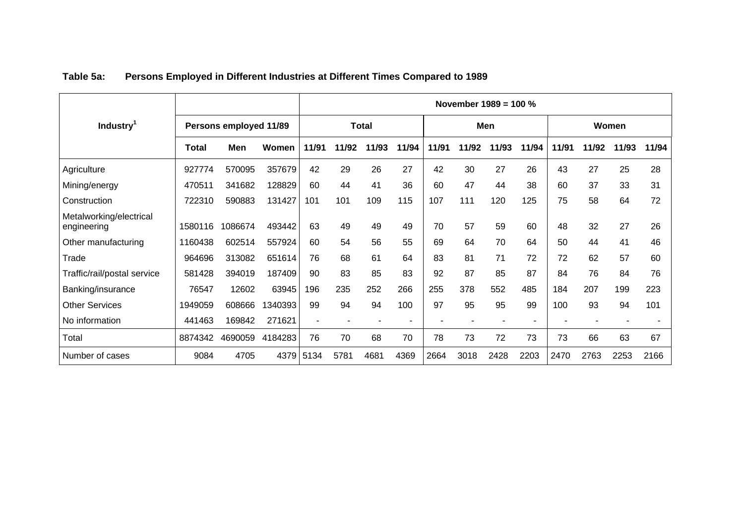|                                        |         |                        |         |                          |       |              |       |       |       | November 1989 = 100 % |       |       |       |       |       |
|----------------------------------------|---------|------------------------|---------|--------------------------|-------|--------------|-------|-------|-------|-----------------------|-------|-------|-------|-------|-------|
| Industry <sup>1</sup>                  |         | Persons employed 11/89 |         |                          |       | <b>Total</b> |       |       |       | Men                   |       |       |       | Women |       |
|                                        | Total   | Men                    | Women   | 11/91                    | 11/92 | 11/93        | 11/94 | 11/91 | 11/92 | 11/93                 | 11/94 | 11/91 | 11/92 | 11/93 | 11/94 |
| Agriculture                            | 927774  | 570095                 | 357679  | 42                       | 29    | 26           | 27    | 42    | 30    | 27                    | 26    | 43    | 27    | 25    | 28    |
| Mining/energy                          | 470511  | 341682                 | 128829  | 60                       | 44    | 41           | 36    | 60    | 47    | 44                    | 38    | 60    | 37    | 33    | 31    |
| Construction                           | 722310  | 590883                 | 131427  | 101                      | 101   | 109          | 115   | 107   | 111   | 120                   | 125   | 75    | 58    | 64    | 72    |
| Metalworking/electrical<br>engineering | 1580116 | 1086674                | 493442  | 63                       | 49    | 49           | 49    | 70    | 57    | 59                    | 60    | 48    | 32    | 27    | 26    |
| Other manufacturing                    | 1160438 | 602514                 | 557924  | 60                       | 54    | 56           | 55    | 69    | 64    | 70                    | 64    | 50    | 44    | 41    | 46    |
| Trade                                  | 964696  | 313082                 | 651614  | 76                       | 68    | 61           | 64    | 83    | 81    | 71                    | 72    | 72    | 62    | 57    | 60    |
| Traffic/rail/postal service            | 581428  | 394019                 | 187409  | 90                       | 83    | 85           | 83    | 92    | 87    | 85                    | 87    | 84    | 76    | 84    | 76    |
| Banking/insurance                      | 76547   | 12602                  | 63945   | 196                      | 235   | 252          | 266   | 255   | 378   | 552                   | 485   | 184   | 207   | 199   | 223   |
| <b>Other Services</b>                  | 1949059 | 608666                 | 1340393 | 99                       | 94    | 94           | 100   | 97    | 95    | 95                    | 99    | 100   | 93    | 94    | 101   |
| No information                         | 441463  | 169842                 | 271621  | $\overline{\phantom{a}}$ |       |              |       |       |       |                       |       |       |       |       |       |
| Total                                  | 8874342 | 4690059                | 4184283 | 76                       | 70    | 68           | 70    | 78    | 73    | 72                    | 73    | 73    | 66    | 63    | 67    |
| Number of cases                        | 9084    | 4705                   | 4379    | 5134                     | 5781  | 4681         | 4369  | 2664  | 3018  | 2428                  | 2203  | 2470  | 2763  | 2253  | 2166  |

# **Table 5a: Persons Employed in Different Industries at Different Times Compared to 1989**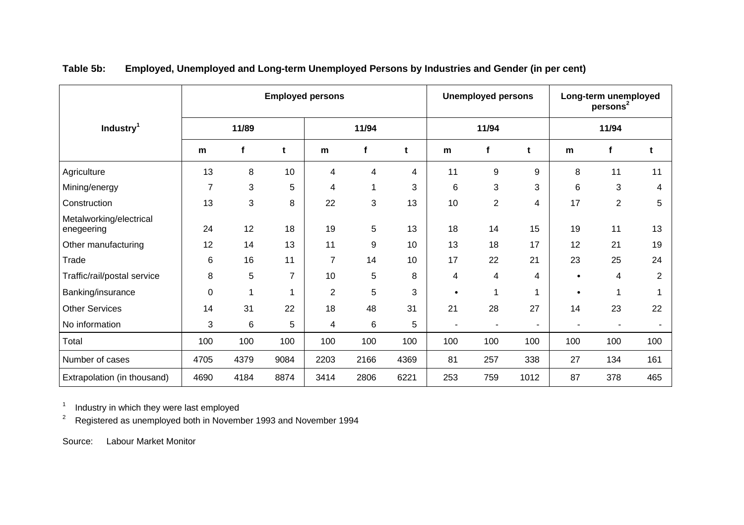|                                       |                |              |                          | <b>Employed persons</b> |       |      |                          | <b>Unemployed persons</b> |                | Long-term unemployed<br>persons <sup>2</sup> |                |                |  |
|---------------------------------------|----------------|--------------|--------------------------|-------------------------|-------|------|--------------------------|---------------------------|----------------|----------------------------------------------|----------------|----------------|--|
| Industry <sup>1</sup>                 |                | 11/89        |                          |                         | 11/94 |      |                          | 11/94                     |                |                                              | 11/94          |                |  |
|                                       | m              | $\mathbf{f}$ | t                        | m                       | f     | t    | m                        | f                         | t              | m                                            | f              | t              |  |
| Agriculture                           | 13             | 8            | 10                       | 4                       | 4     | 4    | 11                       | 9                         | 9              | 8                                            | 11             | 11             |  |
| Mining/energy                         | $\overline{7}$ | 3            | 5                        | 4                       | 1     | 3    | 6                        | 3                         | 3              | 6                                            | 3              | 4              |  |
| Construction                          | 13             | 3            | 8                        | 22                      | 3     | 13   | 10                       | $\overline{2}$            | 4              | 17                                           | $\overline{2}$ | 5              |  |
| Metalworking/electrical<br>enegeering | 24             | 12           | 18                       | 19                      | 5     | 13   | 18                       | 14                        | 15             | 19                                           | 11             | 13             |  |
| Other manufacturing                   | 12             | 14           | 13                       | 11                      | 9     | 10   | 13                       | 18                        | 17             | 12                                           | 21             | 19             |  |
| Trade                                 | 6              | 16           | 11                       | $\overline{7}$          | 14    | 10   | 17                       | 22                        | 21             | 23                                           | 25             | 24             |  |
| Traffic/rail/postal service           | 8              | 5            | $\overline{7}$           | 10                      | 5     | 8    | 4                        | 4                         | 4              |                                              | 4              | $\overline{2}$ |  |
| Banking/insurance                     | $\pmb{0}$      | 1            | $\overline{\phantom{a}}$ | $\overline{2}$          | 5     | 3    | $\bullet$                |                           | 1              |                                              | 1              |                |  |
| <b>Other Services</b>                 | 14             | 31           | 22                       | 18                      | 48    | 31   | 21                       | 28                        | 27             | 14                                           | 23             | 22             |  |
| No information                        | 3              | 6            | 5                        | 4                       | $\,6$ | 5    | $\overline{\phantom{a}}$ | ٠                         | $\blacksquare$ |                                              | ٠              |                |  |
| Total                                 | 100            | 100          | 100                      | 100                     | 100   | 100  | 100                      | 100                       | 100            | 100                                          | 100            | 100            |  |
| Number of cases                       | 4705           | 4379         | 9084                     | 2203                    | 2166  | 4369 | 81                       | 257                       | 338            | 27                                           | 134            | 161            |  |
| Extrapolation (in thousand)           | 4690           | 4184         | 8874                     | 3414                    | 2806  | 6221 | 253                      | 759                       | 1012           | 87                                           | 378            | 465            |  |

**Table 5b: Employed, Unemployed and Long-term Unemployed Persons by Industries and Gender (in per cent)**

1 Industry in which they were last employed

<sup>2</sup> Registered as unemployed both in November 1993 and November 1994

Source: Labour Market Monitor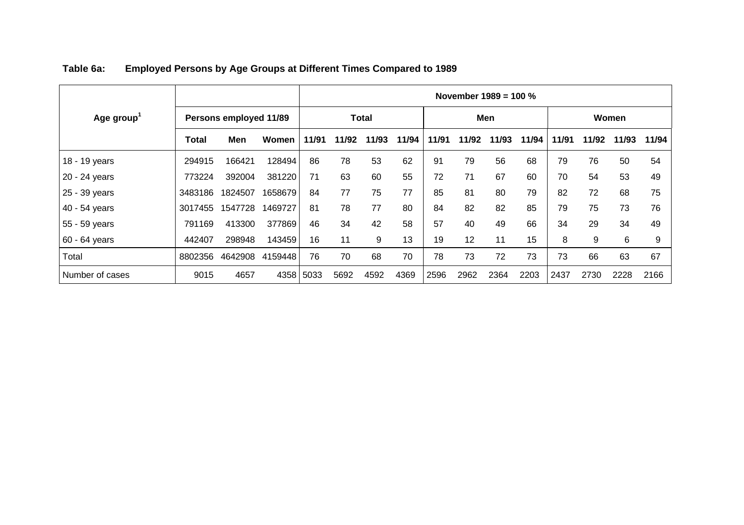|                 |         |                        |         | November $1989 = 100 %$ |       |              |       |       |       |       |       |       |       |       |       |
|-----------------|---------|------------------------|---------|-------------------------|-------|--------------|-------|-------|-------|-------|-------|-------|-------|-------|-------|
| Age group       |         | Persons employed 11/89 |         |                         |       | <b>Total</b> |       |       |       | Men   |       |       |       | Women |       |
|                 | Total   | Men                    | Women   | 11/91                   | 11/92 | 11/93        | 11/94 | 11/91 | 11/92 | 11/93 | 11/94 | 11/91 | 11/92 | 11/93 | 11/94 |
| 18 - 19 years   | 294915  | 166421                 | 128494  | 86                      | 78    | 53           | 62    | 91    | 79    | 56    | 68    | 79    | 76    | 50    | 54    |
| 20 - 24 years   | 773224  | 392004                 | 381220  | 71                      | 63    | 60           | 55    | 72    | 71    | 67    | 60    | 70    | 54    | 53    | 49    |
| 25 - 39 years   | 3483186 | 1824507                | 1658679 | 84                      | 77    | 75           | 77    | 85    | 81    | 80    | 79    | 82    | 72    | 68    | 75    |
| 40 - 54 years   | 3017455 | 1547728                | 1469727 | 81                      | 78    | 77           | 80    | 84    | 82    | 82    | 85    | 79    | 75    | 73    | 76    |
| 55 - 59 years   | 791169  | 413300                 | 377869  | 46                      | 34    | 42           | 58    | 57    | 40    | 49    | 66    | 34    | 29    | 34    | 49    |
| 60 - 64 years   | 442407  | 298948                 | 143459  | 16                      | 11    | 9            | 13    | 19    | 12    | 11    | 15    | 8     | 9     | 6     | 9     |
| Total           | 8802356 | 4642908                | 4159448 | 76                      | 70    | 68           | 70    | 78    | 73    | 72    | 73    | 73    | 66    | 63    | 67    |
| Number of cases | 9015    | 4657                   | 4358    | 5033                    | 5692  | 4592         | 4369  | 2596  | 2962  | 2364  | 2203  | 2437  | 2730  | 2228  | 2166  |

| Table 6a: | <b>Employed Persons by Age Groups at Different Times Compared to 1989</b> |
|-----------|---------------------------------------------------------------------------|
|           |                                                                           |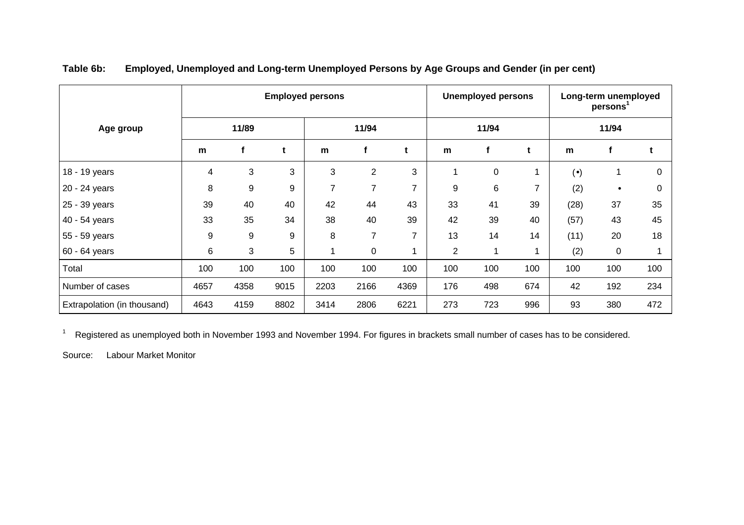|                             |      |       |      | <b>Employed persons</b> |                |                          |                | <b>Unemployed persons</b> |     | Long-term unemployed<br>persons <sup>1</sup> |           |          |  |
|-----------------------------|------|-------|------|-------------------------|----------------|--------------------------|----------------|---------------------------|-----|----------------------------------------------|-----------|----------|--|
| Age group                   |      | 11/89 |      |                         | 11/94          |                          |                | 11/94                     |     |                                              | 11/94     |          |  |
|                             | m    | f     | t    | m                       | f              | t                        | m              | f                         | t   | m                                            |           | t        |  |
| 18 - 19 years               | 4    | 3     | 3    | 3                       | $\overline{2}$ | 3                        |                | $\mathbf 0$               | 1   | $(\bullet)$                                  |           | $\Omega$ |  |
| 20 - 24 years               | 8    | 9     | 9    | $\overline{7}$          | 7              | $\overline{\phantom{a}}$ | 9              | 6                         | 7   | (2)                                          | $\bullet$ | 0        |  |
| 25 - 39 years               | 39   | 40    | 40   | 42                      | 44             | 43                       | 33             | 41                        | 39  | (28)                                         | 37        | 35       |  |
| 40 - 54 years               | 33   | 35    | 34   | 38                      | 40             | 39                       | 42             | 39                        | 40  | (57)                                         | 43        | 45       |  |
| 55 - 59 years               | 9    | 9     | 9    | 8                       | $\overline{7}$ | $\overline{7}$           | 13             | 14                        | 14  | (11)                                         | 20        | 18       |  |
| 60 - 64 years               | 6    | 3     | 5    | 1                       | 0              |                          | $\overline{c}$ | 1                         | 1   | (2)                                          | $\pmb{0}$ |          |  |
| Total                       | 100  | 100   | 100  | 100                     | 100            | 100                      | 100            | 100                       | 100 | 100                                          | 100       | 100      |  |
| Number of cases             | 4657 | 4358  | 9015 | 2203                    | 2166           | 4369                     | 176            | 498                       | 674 | 42                                           | 192       | 234      |  |
| Extrapolation (in thousand) | 4643 | 4159  | 8802 | 3414                    | 2806           | 6221                     | 273            | 723                       | 996 | 93                                           | 380       | 472      |  |

**Table 6b: Employed, Unemployed and Long-term Unemployed Persons by Age Groups and Gender (in per cent)**

<sup>1</sup> Registered as unemployed both in November 1993 and November 1994. For figures in brackets small number of cases has to be considered.

Source: Labour Market Monitor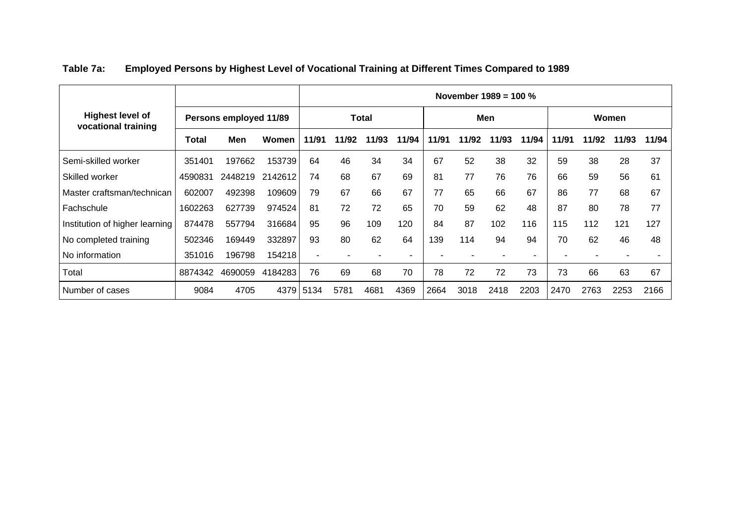|                                                |         |                        |         | November $1989 = 100 %$ |       |       |       |       |       |       |       |       |       |       |       |
|------------------------------------------------|---------|------------------------|---------|-------------------------|-------|-------|-------|-------|-------|-------|-------|-------|-------|-------|-------|
| <b>Highest level of</b><br>vocational training |         | Persons employed 11/89 |         | <b>Total</b>            |       |       |       | Men   |       |       |       | Women |       |       |       |
|                                                | Total   | Men                    | Women   | 11/91                   | 11/92 | 11/93 | 11/94 | 11/91 | 11/92 | 11/93 | 11/94 | 11/91 | 11/92 | 11/93 | 11/94 |
| Semi-skilled worker                            | 351401  | 197662                 | 153739  | 64                      | 46    | 34    | 34    | 67    | 52    | 38    | 32    | 59    | 38    | 28    | 37    |
| Skilled worker                                 | 4590831 | 2448219                | 2142612 | 74                      | 68    | 67    | 69    | 81    | 77    | 76    | 76    | 66    | 59    | 56    | 61    |
| Master craftsman/technican                     | 602007  | 492398                 | 109609  | 79                      | 67    | 66    | 67    | 77    | 65    | 66    | 67    | 86    | 77    | 68    | 67    |
| Fachschule                                     | 1602263 | 627739                 | 974524  | 81                      | 72    | 72    | 65    | 70    | 59    | 62    | 48    | 87    | 80    | 78    | 77    |
| Institution of higher learning                 | 874478  | 557794                 | 316684  | 95                      | 96    | 109   | 120   | 84    | 87    | 102   | 116   | 115   | 112   | 121   | 127   |
| No completed training                          | 502346  | 169449                 | 332897  | 93                      | 80    | 62    | 64    | 139   | 114   | 94    | 94    | 70    | 62    | 46    | 48    |
| No information                                 | 351016  | 196798                 | 154218  | ٠                       |       |       |       |       |       |       |       |       |       |       |       |
| Total                                          | 8874342 | 4690059                | 4184283 | 76                      | 69    | 68    | 70    | 78    | 72    | 72    | 73    | 73    | 66    | 63    | 67    |
| Number of cases                                | 9084    | 4705                   | 4379    | 5134                    | 5781  | 4681  | 4369  | 2664  | 3018  | 2418  | 2203  | 2470  | 2763  | 2253  | 2166  |

# **Table 7a: Employed Persons by Highest Level of Vocational Training at Different Times Compared to 1989**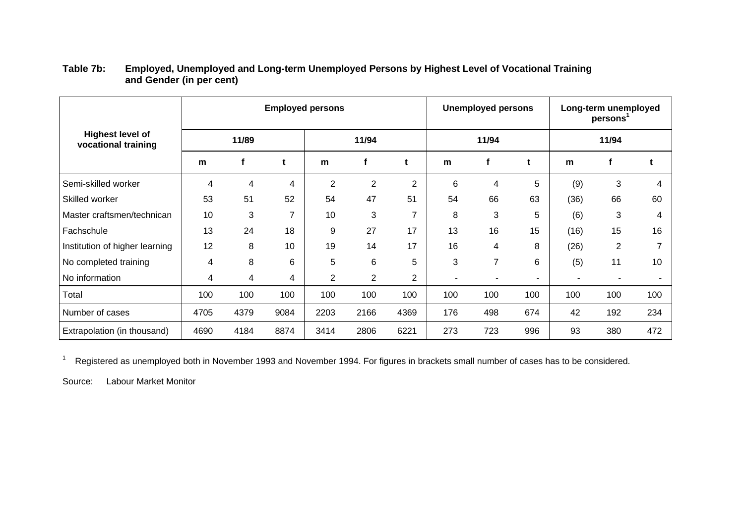|                                                |       |      |                | <b>Employed persons</b> |                |                |     | <b>Unemployed persons</b> |        | Long-term unemployed<br>persons |                |     |  |
|------------------------------------------------|-------|------|----------------|-------------------------|----------------|----------------|-----|---------------------------|--------|---------------------------------|----------------|-----|--|
| <b>Highest level of</b><br>vocational training | 11/89 |      |                | 11/94                   |                |                |     | 11/94                     |        | 11/94                           |                |     |  |
|                                                | m     |      | t              | m                       | f              | t              | m   | f                         | t      | m                               | Ť.             | t   |  |
| Semi-skilled worker                            | 4     | 4    | 4              | $\overline{2}$          | 2              | $\overline{2}$ | 6   | 4                         | 5      | (9)                             | 3              | 4   |  |
| Skilled worker                                 | 53    | 51   | 52             | 54                      | 47             | 51             | 54  | 66                        | 63     | (36)                            | 66             | 60  |  |
| Master craftsmen/technican                     | 10    | 3    | $\overline{7}$ | 10                      | 3              | 7              | 8   | 3                         | 5      | (6)                             | 3              | 4   |  |
| Fachschule                                     | 13    | 24   | 18             | 9                       | 27             | 17             | 13  | 16                        | 15     | (16)                            | 15             | 16  |  |
| Institution of higher learning                 | 12    | 8    | 10             | 19                      | 14             | 17             | 16  | 4                         | 8      | (26)                            | $\overline{2}$ | 7   |  |
| No completed training                          | 4     | 8    | 6              | 5                       | 6              | 5              | 3   | 7                         | 6      | (5)                             | 11             | 10  |  |
| No information                                 | 4     | 4    | 4              | $\overline{2}$          | $\overline{2}$ | $\overline{2}$ | ۰   | ۳                         | $\sim$ |                                 |                |     |  |
| Total                                          | 100   | 100  | 100            | 100                     | 100            | 100            | 100 | 100                       | 100    | 100                             | 100            | 100 |  |
| Number of cases                                | 4705  | 4379 | 9084           | 2203                    | 2166           | 4369           | 176 | 498                       | 674    | 42                              | 192            | 234 |  |
| Extrapolation (in thousand)                    | 4690  | 4184 | 8874           | 3414                    | 2806           | 6221           | 273 | 723                       | 996    | 93                              | 380            | 472 |  |

## **Table 7b: Employed, Unemployed and Long-term Unemployed Persons by Highest Level of Vocational Training and Gender (in per cent)**

<sup>1</sup> Registered as unemployed both in November 1993 and November 1994. For figures in brackets small number of cases has to be considered.

Source: Labour Market Monitor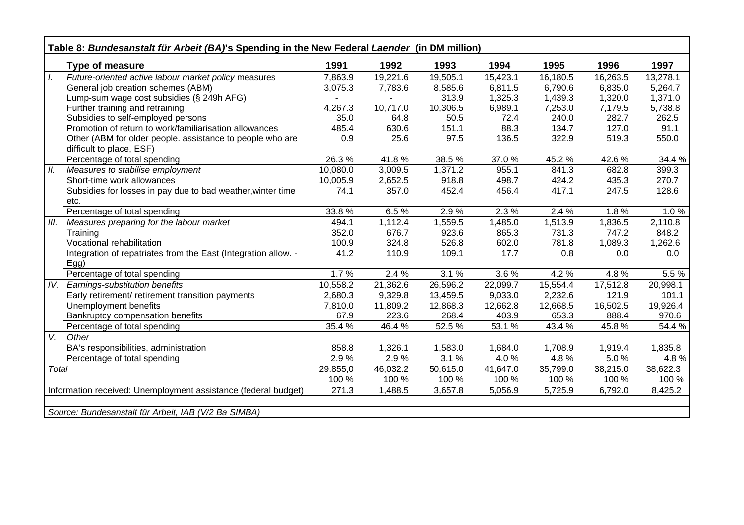|                   | Table 8: Bundesanstalt für Arbeit (BA)'s Spending in the New Federal Laender (in DM million) |          |          |                       |          |          |          |          |
|-------------------|----------------------------------------------------------------------------------------------|----------|----------|-----------------------|----------|----------|----------|----------|
|                   | <b>Type of measure</b>                                                                       | 1991     | 1992     | 1993                  | 1994     | 1995     | 1996     | 1997     |
| $\overline{L}$    | Future-oriented active labour market policy measures                                         | 7,863.9  | 19,221.6 | 19,505.1              | 15,423.1 | 16,180.5 | 16,263.5 | 13,278.1 |
|                   | General job creation schemes (ABM)                                                           | 3,075.3  | 7,783.6  | 8,585.6               | 6,811.5  | 6,790.6  | 6,835.0  | 5,264.7  |
|                   | Lump-sum wage cost subsidies (§ 249h AFG)                                                    |          |          | 313.9                 | 1,325.3  | 1,439.3  | 1,320.0  | 1,371.0  |
|                   | Further training and retraining                                                              | 4,267.3  | 10,717.0 | 10,306.5              | 6,989.1  | 7,253.0  | 7,179.5  | 5,738.8  |
|                   | Subsidies to self-employed persons                                                           | 35.0     | 64.8     | 50.5                  | 72.4     | 240.0    | 282.7    | 262.5    |
|                   | Promotion of return to work/familiarisation allowances                                       | 485.4    | 630.6    | 151.1                 | 88.3     | 134.7    | 127.0    | 91.1     |
|                   | Other (ABM for older people. assistance to people who are<br>difficult to place, ESF)        | 0.9      | 25.6     | 97.5                  | 136.5    | 322.9    | 519.3    | 550.0    |
|                   | Percentage of total spending                                                                 | 26.3%    | 41.8%    | 38.5 %                | 37.0 %   | 45.2%    | 42.6%    | 34.4 %   |
| II.               | Measures to stabilise employment                                                             | 10,080.0 | 3,009.5  | 1,371.2               | 955.1    | 841.3    | 682.8    | 399.3    |
|                   | Short-time work allowances                                                                   | 10,005.9 | 2,652.5  | 918.8                 | 498.7    | 424.2    | 435.3    | 270.7    |
|                   | Subsidies for losses in pay due to bad weather, winter time                                  | 74.1     | 357.0    | 452.4                 | 456.4    | 417.1    | 247.5    | 128.6    |
|                   | etc.                                                                                         |          |          |                       |          |          |          |          |
|                   | Percentage of total spending                                                                 | 33.8%    | 6.5%     | 2.9%                  | 2.3%     | 2.4 %    | 1.8%     | 1.0%     |
| III.              | Measures preparing for the labour market                                                     | 494.1    | 1,112.4  | 1,559.5               | 1,485.0  | 1,513.9  | 1,836.5  | 2,110.8  |
|                   | Training                                                                                     | 352.0    | 676.7    | 923.6                 | 865.3    | 731.3    | 747.2    | 848.2    |
|                   | Vocational rehabilitation                                                                    | 100.9    | 324.8    | 526.8                 | 602.0    | 781.8    | 1,089.3  | 1,262.6  |
|                   | Integration of repatriates from the East (Integration allow. -<br>Egg                        | 41.2     | 110.9    | 109.1                 | 17.7     | 0.8      | 0.0      | 0.0      |
|                   | Percentage of total spending                                                                 | 1.7%     | 2.4 %    | 3.1%                  | 3.6%     | 4.2 %    | 4.8%     | 5.5 %    |
| $\overline{IV}$ . | Earnings-substitution benefits                                                               | 10,558.2 | 21,362.6 | $\overline{26,596.2}$ | 22,099.7 | 15,554.4 | 17,512.8 | 20,998.1 |
|                   | Early retirement/ retirement transition payments                                             | 2,680.3  | 9,329.8  | 13,459.5              | 9,033.0  | 2,232.6  | 121.9    | 101.1    |
|                   | Unemployment benefits                                                                        | 7,810.0  | 11,809.2 | 12,868.3              | 12,662.8 | 12,668.5 | 16,502.5 | 19,926.4 |
|                   | Bankruptcy compensation benefits                                                             | 67.9     | 223.6    | 268.4                 | 403.9    | 653.3    | 888.4    | 970.6    |
|                   | Percentage of total spending                                                                 | 35.4 %   | 46.4%    | 52.5 %                | 53.1 %   | 43.4 %   | 45.8%    | 54.4 %   |
| V.                | Other                                                                                        |          |          |                       |          |          |          |          |
|                   | BA's responsibilities, administration                                                        | 858.8    | 1,326.1  | 1,583.0               | 1,684.0  | 1,708.9  | 1,919.4  | 1,835.8  |
|                   | Percentage of total spending                                                                 | 2.9%     | 2.9%     | 3.1%                  | 4.0%     | 4.8%     | 5.0%     | 4.8%     |
| Total             |                                                                                              | 29.855,0 | 46,032.2 | 50,615.0              | 41,647.0 | 35,799.0 | 38,215.0 | 38,622.3 |
|                   |                                                                                              | 100 %    | 100 %    | 100 %                 | 100 %    | 100 %    | 100 %    | 100 %    |
|                   | Information received: Unemployment assistance (federal budget)                               | 271.3    | 1,488.5  | 3,657.8               | 5,056.9  | 5,725.9  | 6,792.0  | 8,425.2  |
|                   |                                                                                              |          |          |                       |          |          |          |          |
|                   | Source: Bundesanstalt für Arbeit, IAB (V/2 Ba SIMBA)                                         |          |          |                       |          |          |          |          |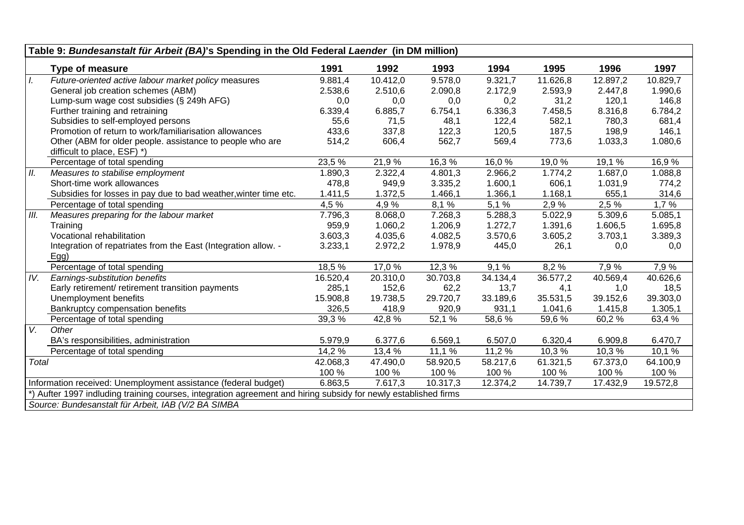| Table 9: Bundesanstalt für Arbeit (BA)'s Spending in the Old Federal Laender (in DM million)<br>1991<br>1994<br>1995<br>1996<br>1997<br><b>Type of measure</b><br>1992<br>1993<br>$\overline{L}$<br>9.881,4<br>10.412,0<br>Future-oriented active labour market policy measures<br>9.578,0<br>9.321,7<br>11.626,8<br>12.897,2<br>10.829,7<br>General job creation schemes (ABM)<br>2.510,6<br>2.593,9<br>1.990,6<br>2.538,6<br>2.090,8<br>2.172,9<br>2.447,8<br>146,8<br>Lump-sum wage cost subsidies (§ 249h AFG)<br>0,0<br>0,2<br>31,2<br>120,1<br>0,0<br>0,0<br>6.336,3<br>Further training and retraining<br>6.339,4<br>6.885,7<br>6.754,1<br>7.458,5<br>8.316,8<br>6.784,2<br>Subsidies to self-employed persons<br>55,6<br>71,5<br>48,1<br>122,4<br>582,1<br>780,3<br>681,4<br>Promotion of return to work/familiarisation allowances<br>433,6<br>120,5<br>187,5<br>146,1<br>337,8<br>122,3<br>198,9<br>Other (ABM for older people. assistance to people who are<br>514,2<br>606,4<br>562,7<br>569,4<br>773,6<br>1.033,3<br>1.080,6<br>difficult to place, ESF) *)<br>Percentage of total spending<br>23,5 %<br>16,3%<br>19,1 %<br>21,9 %<br>16,0%<br>19,0 %<br>16,9%<br>II.<br>1.774,2<br>1.687,0<br>1.088,8<br>Measures to stabilise employment<br>1.890,3<br>2.322,4<br>4.801,3<br>2.966,2<br>Short-time work allowances<br>949,9<br>1.600,1<br>478,8<br>3.335,2<br>606,1<br>1.031,9<br>774,2<br>Subsidies for losses in pay due to bad weather, winter time etc.<br>1.411,5<br>1.372,5<br>1.466,1<br>1.366,1<br>1.168,1<br>655,1<br>314,6<br>4,9 %<br>$8,1\%$<br>5,1%<br>2,9%<br>2,5%<br>1,7%<br>4,5 %<br>Percentage of total spending<br>III.<br>5.022,9<br>5.309,6<br>Measures preparing for the labour market<br>7.796,3<br>8.068,0<br>7.268,3<br>5.288,3<br>5.085,1<br>1.695,8<br>959,9<br>1.060,2<br>1.206,9<br>1.272,7<br>1.391,6<br>1.606,5<br>Training<br>Vocational rehabilitation<br>3.603,3<br>4.035,6<br>4.082,5<br>3.570,6<br>3.605,2<br>3.703,1<br>3.389,3<br>Integration of repatriates from the East (Integration allow. -<br>3.233,1<br>2.972,2<br>1.978,9<br>445,0<br>26,1<br>0,0<br>0,0<br>Egg<br>Percentage of total spending<br>18,5 %<br>7,9%<br>17,0 %<br>12,3 %<br>8,2%<br>7,9 %<br>9,1%<br>IV.<br>Earnings-substitution benefits<br>20.310,0<br>30.703,8<br>40.569,4<br>40.626,6<br>16.520,4<br>34.134,4<br>36.577,2<br>Early retirement/ retirement transition payments<br>152,6<br>18,5<br>285,1<br>62,2<br>13,7<br>4,1<br>1,0<br>Unemployment benefits<br>19.738,5<br>29.720,7<br>33.189,6<br>35.531,5<br>39.303,0<br>15.908,8<br>39.152,6<br>326,5<br>418,9<br>920,9<br>931,1<br>1.041,6<br>1.415,8<br>1.305,1<br>Bankruptcy compensation benefits<br>39,3%<br>42,8%<br>52,1 %<br>58,6%<br>Percentage of total spending<br>59,6 %<br>60,2%<br>63,4 % |                                                                                                              |          |          |          |          |          |          |          |  |
|----------------------------------------------------------------------------------------------------------------------------------------------------------------------------------------------------------------------------------------------------------------------------------------------------------------------------------------------------------------------------------------------------------------------------------------------------------------------------------------------------------------------------------------------------------------------------------------------------------------------------------------------------------------------------------------------------------------------------------------------------------------------------------------------------------------------------------------------------------------------------------------------------------------------------------------------------------------------------------------------------------------------------------------------------------------------------------------------------------------------------------------------------------------------------------------------------------------------------------------------------------------------------------------------------------------------------------------------------------------------------------------------------------------------------------------------------------------------------------------------------------------------------------------------------------------------------------------------------------------------------------------------------------------------------------------------------------------------------------------------------------------------------------------------------------------------------------------------------------------------------------------------------------------------------------------------------------------------------------------------------------------------------------------------------------------------------------------------------------------------------------------------------------------------------------------------------------------------------------------------------------------------------------------------------------------------------------------------------------------------------------------------------------------------------------------------------------------------------------------------------------------------------------------------------------------------------------------------------------------------------------------------------------------------------------------------------------------------------------------------------------------------------------------------|--------------------------------------------------------------------------------------------------------------|----------|----------|----------|----------|----------|----------|----------|--|
|                                                                                                                                                                                                                                                                                                                                                                                                                                                                                                                                                                                                                                                                                                                                                                                                                                                                                                                                                                                                                                                                                                                                                                                                                                                                                                                                                                                                                                                                                                                                                                                                                                                                                                                                                                                                                                                                                                                                                                                                                                                                                                                                                                                                                                                                                                                                                                                                                                                                                                                                                                                                                                                                                                                                                                                              |                                                                                                              |          |          |          |          |          |          |          |  |
|                                                                                                                                                                                                                                                                                                                                                                                                                                                                                                                                                                                                                                                                                                                                                                                                                                                                                                                                                                                                                                                                                                                                                                                                                                                                                                                                                                                                                                                                                                                                                                                                                                                                                                                                                                                                                                                                                                                                                                                                                                                                                                                                                                                                                                                                                                                                                                                                                                                                                                                                                                                                                                                                                                                                                                                              |                                                                                                              |          |          |          |          |          |          |          |  |
|                                                                                                                                                                                                                                                                                                                                                                                                                                                                                                                                                                                                                                                                                                                                                                                                                                                                                                                                                                                                                                                                                                                                                                                                                                                                                                                                                                                                                                                                                                                                                                                                                                                                                                                                                                                                                                                                                                                                                                                                                                                                                                                                                                                                                                                                                                                                                                                                                                                                                                                                                                                                                                                                                                                                                                                              |                                                                                                              |          |          |          |          |          |          |          |  |
|                                                                                                                                                                                                                                                                                                                                                                                                                                                                                                                                                                                                                                                                                                                                                                                                                                                                                                                                                                                                                                                                                                                                                                                                                                                                                                                                                                                                                                                                                                                                                                                                                                                                                                                                                                                                                                                                                                                                                                                                                                                                                                                                                                                                                                                                                                                                                                                                                                                                                                                                                                                                                                                                                                                                                                                              |                                                                                                              |          |          |          |          |          |          |          |  |
|                                                                                                                                                                                                                                                                                                                                                                                                                                                                                                                                                                                                                                                                                                                                                                                                                                                                                                                                                                                                                                                                                                                                                                                                                                                                                                                                                                                                                                                                                                                                                                                                                                                                                                                                                                                                                                                                                                                                                                                                                                                                                                                                                                                                                                                                                                                                                                                                                                                                                                                                                                                                                                                                                                                                                                                              |                                                                                                              |          |          |          |          |          |          |          |  |
|                                                                                                                                                                                                                                                                                                                                                                                                                                                                                                                                                                                                                                                                                                                                                                                                                                                                                                                                                                                                                                                                                                                                                                                                                                                                                                                                                                                                                                                                                                                                                                                                                                                                                                                                                                                                                                                                                                                                                                                                                                                                                                                                                                                                                                                                                                                                                                                                                                                                                                                                                                                                                                                                                                                                                                                              |                                                                                                              |          |          |          |          |          |          |          |  |
|                                                                                                                                                                                                                                                                                                                                                                                                                                                                                                                                                                                                                                                                                                                                                                                                                                                                                                                                                                                                                                                                                                                                                                                                                                                                                                                                                                                                                                                                                                                                                                                                                                                                                                                                                                                                                                                                                                                                                                                                                                                                                                                                                                                                                                                                                                                                                                                                                                                                                                                                                                                                                                                                                                                                                                                              |                                                                                                              |          |          |          |          |          |          |          |  |
|                                                                                                                                                                                                                                                                                                                                                                                                                                                                                                                                                                                                                                                                                                                                                                                                                                                                                                                                                                                                                                                                                                                                                                                                                                                                                                                                                                                                                                                                                                                                                                                                                                                                                                                                                                                                                                                                                                                                                                                                                                                                                                                                                                                                                                                                                                                                                                                                                                                                                                                                                                                                                                                                                                                                                                                              |                                                                                                              |          |          |          |          |          |          |          |  |
|                                                                                                                                                                                                                                                                                                                                                                                                                                                                                                                                                                                                                                                                                                                                                                                                                                                                                                                                                                                                                                                                                                                                                                                                                                                                                                                                                                                                                                                                                                                                                                                                                                                                                                                                                                                                                                                                                                                                                                                                                                                                                                                                                                                                                                                                                                                                                                                                                                                                                                                                                                                                                                                                                                                                                                                              |                                                                                                              |          |          |          |          |          |          |          |  |
|                                                                                                                                                                                                                                                                                                                                                                                                                                                                                                                                                                                                                                                                                                                                                                                                                                                                                                                                                                                                                                                                                                                                                                                                                                                                                                                                                                                                                                                                                                                                                                                                                                                                                                                                                                                                                                                                                                                                                                                                                                                                                                                                                                                                                                                                                                                                                                                                                                                                                                                                                                                                                                                                                                                                                                                              |                                                                                                              |          |          |          |          |          |          |          |  |
|                                                                                                                                                                                                                                                                                                                                                                                                                                                                                                                                                                                                                                                                                                                                                                                                                                                                                                                                                                                                                                                                                                                                                                                                                                                                                                                                                                                                                                                                                                                                                                                                                                                                                                                                                                                                                                                                                                                                                                                                                                                                                                                                                                                                                                                                                                                                                                                                                                                                                                                                                                                                                                                                                                                                                                                              |                                                                                                              |          |          |          |          |          |          |          |  |
|                                                                                                                                                                                                                                                                                                                                                                                                                                                                                                                                                                                                                                                                                                                                                                                                                                                                                                                                                                                                                                                                                                                                                                                                                                                                                                                                                                                                                                                                                                                                                                                                                                                                                                                                                                                                                                                                                                                                                                                                                                                                                                                                                                                                                                                                                                                                                                                                                                                                                                                                                                                                                                                                                                                                                                                              |                                                                                                              |          |          |          |          |          |          |          |  |
|                                                                                                                                                                                                                                                                                                                                                                                                                                                                                                                                                                                                                                                                                                                                                                                                                                                                                                                                                                                                                                                                                                                                                                                                                                                                                                                                                                                                                                                                                                                                                                                                                                                                                                                                                                                                                                                                                                                                                                                                                                                                                                                                                                                                                                                                                                                                                                                                                                                                                                                                                                                                                                                                                                                                                                                              |                                                                                                              |          |          |          |          |          |          |          |  |
|                                                                                                                                                                                                                                                                                                                                                                                                                                                                                                                                                                                                                                                                                                                                                                                                                                                                                                                                                                                                                                                                                                                                                                                                                                                                                                                                                                                                                                                                                                                                                                                                                                                                                                                                                                                                                                                                                                                                                                                                                                                                                                                                                                                                                                                                                                                                                                                                                                                                                                                                                                                                                                                                                                                                                                                              |                                                                                                              |          |          |          |          |          |          |          |  |
|                                                                                                                                                                                                                                                                                                                                                                                                                                                                                                                                                                                                                                                                                                                                                                                                                                                                                                                                                                                                                                                                                                                                                                                                                                                                                                                                                                                                                                                                                                                                                                                                                                                                                                                                                                                                                                                                                                                                                                                                                                                                                                                                                                                                                                                                                                                                                                                                                                                                                                                                                                                                                                                                                                                                                                                              |                                                                                                              |          |          |          |          |          |          |          |  |
|                                                                                                                                                                                                                                                                                                                                                                                                                                                                                                                                                                                                                                                                                                                                                                                                                                                                                                                                                                                                                                                                                                                                                                                                                                                                                                                                                                                                                                                                                                                                                                                                                                                                                                                                                                                                                                                                                                                                                                                                                                                                                                                                                                                                                                                                                                                                                                                                                                                                                                                                                                                                                                                                                                                                                                                              |                                                                                                              |          |          |          |          |          |          |          |  |
|                                                                                                                                                                                                                                                                                                                                                                                                                                                                                                                                                                                                                                                                                                                                                                                                                                                                                                                                                                                                                                                                                                                                                                                                                                                                                                                                                                                                                                                                                                                                                                                                                                                                                                                                                                                                                                                                                                                                                                                                                                                                                                                                                                                                                                                                                                                                                                                                                                                                                                                                                                                                                                                                                                                                                                                              |                                                                                                              |          |          |          |          |          |          |          |  |
|                                                                                                                                                                                                                                                                                                                                                                                                                                                                                                                                                                                                                                                                                                                                                                                                                                                                                                                                                                                                                                                                                                                                                                                                                                                                                                                                                                                                                                                                                                                                                                                                                                                                                                                                                                                                                                                                                                                                                                                                                                                                                                                                                                                                                                                                                                                                                                                                                                                                                                                                                                                                                                                                                                                                                                                              |                                                                                                              |          |          |          |          |          |          |          |  |
|                                                                                                                                                                                                                                                                                                                                                                                                                                                                                                                                                                                                                                                                                                                                                                                                                                                                                                                                                                                                                                                                                                                                                                                                                                                                                                                                                                                                                                                                                                                                                                                                                                                                                                                                                                                                                                                                                                                                                                                                                                                                                                                                                                                                                                                                                                                                                                                                                                                                                                                                                                                                                                                                                                                                                                                              |                                                                                                              |          |          |          |          |          |          |          |  |
|                                                                                                                                                                                                                                                                                                                                                                                                                                                                                                                                                                                                                                                                                                                                                                                                                                                                                                                                                                                                                                                                                                                                                                                                                                                                                                                                                                                                                                                                                                                                                                                                                                                                                                                                                                                                                                                                                                                                                                                                                                                                                                                                                                                                                                                                                                                                                                                                                                                                                                                                                                                                                                                                                                                                                                                              |                                                                                                              |          |          |          |          |          |          |          |  |
|                                                                                                                                                                                                                                                                                                                                                                                                                                                                                                                                                                                                                                                                                                                                                                                                                                                                                                                                                                                                                                                                                                                                                                                                                                                                                                                                                                                                                                                                                                                                                                                                                                                                                                                                                                                                                                                                                                                                                                                                                                                                                                                                                                                                                                                                                                                                                                                                                                                                                                                                                                                                                                                                                                                                                                                              |                                                                                                              |          |          |          |          |          |          |          |  |
|                                                                                                                                                                                                                                                                                                                                                                                                                                                                                                                                                                                                                                                                                                                                                                                                                                                                                                                                                                                                                                                                                                                                                                                                                                                                                                                                                                                                                                                                                                                                                                                                                                                                                                                                                                                                                                                                                                                                                                                                                                                                                                                                                                                                                                                                                                                                                                                                                                                                                                                                                                                                                                                                                                                                                                                              |                                                                                                              |          |          |          |          |          |          |          |  |
|                                                                                                                                                                                                                                                                                                                                                                                                                                                                                                                                                                                                                                                                                                                                                                                                                                                                                                                                                                                                                                                                                                                                                                                                                                                                                                                                                                                                                                                                                                                                                                                                                                                                                                                                                                                                                                                                                                                                                                                                                                                                                                                                                                                                                                                                                                                                                                                                                                                                                                                                                                                                                                                                                                                                                                                              |                                                                                                              |          |          |          |          |          |          |          |  |
|                                                                                                                                                                                                                                                                                                                                                                                                                                                                                                                                                                                                                                                                                                                                                                                                                                                                                                                                                                                                                                                                                                                                                                                                                                                                                                                                                                                                                                                                                                                                                                                                                                                                                                                                                                                                                                                                                                                                                                                                                                                                                                                                                                                                                                                                                                                                                                                                                                                                                                                                                                                                                                                                                                                                                                                              |                                                                                                              |          |          |          |          |          |          |          |  |
|                                                                                                                                                                                                                                                                                                                                                                                                                                                                                                                                                                                                                                                                                                                                                                                                                                                                                                                                                                                                                                                                                                                                                                                                                                                                                                                                                                                                                                                                                                                                                                                                                                                                                                                                                                                                                                                                                                                                                                                                                                                                                                                                                                                                                                                                                                                                                                                                                                                                                                                                                                                                                                                                                                                                                                                              |                                                                                                              |          |          |          |          |          |          |          |  |
| $V_{\cdot}$                                                                                                                                                                                                                                                                                                                                                                                                                                                                                                                                                                                                                                                                                                                                                                                                                                                                                                                                                                                                                                                                                                                                                                                                                                                                                                                                                                                                                                                                                                                                                                                                                                                                                                                                                                                                                                                                                                                                                                                                                                                                                                                                                                                                                                                                                                                                                                                                                                                                                                                                                                                                                                                                                                                                                                                  | Other                                                                                                        |          |          |          |          |          |          |          |  |
|                                                                                                                                                                                                                                                                                                                                                                                                                                                                                                                                                                                                                                                                                                                                                                                                                                                                                                                                                                                                                                                                                                                                                                                                                                                                                                                                                                                                                                                                                                                                                                                                                                                                                                                                                                                                                                                                                                                                                                                                                                                                                                                                                                                                                                                                                                                                                                                                                                                                                                                                                                                                                                                                                                                                                                                              | BA's responsibilities, administration                                                                        | 5.979,9  | 6.377,6  | 6.569,1  | 6.507,0  | 6.320,4  | 6.909,8  | 6.470,7  |  |
|                                                                                                                                                                                                                                                                                                                                                                                                                                                                                                                                                                                                                                                                                                                                                                                                                                                                                                                                                                                                                                                                                                                                                                                                                                                                                                                                                                                                                                                                                                                                                                                                                                                                                                                                                                                                                                                                                                                                                                                                                                                                                                                                                                                                                                                                                                                                                                                                                                                                                                                                                                                                                                                                                                                                                                                              | Percentage of total spending                                                                                 | 14,2 %   | 13,4 %   | 11,1 %   | 11,2 %   | 10,3%    | 10,3%    | 10,1 %   |  |
| Total                                                                                                                                                                                                                                                                                                                                                                                                                                                                                                                                                                                                                                                                                                                                                                                                                                                                                                                                                                                                                                                                                                                                                                                                                                                                                                                                                                                                                                                                                                                                                                                                                                                                                                                                                                                                                                                                                                                                                                                                                                                                                                                                                                                                                                                                                                                                                                                                                                                                                                                                                                                                                                                                                                                                                                                        |                                                                                                              | 42.068,3 | 47.490,0 | 58.920,5 | 58.217,6 | 61.321,5 | 67.373,0 | 64.100,9 |  |
|                                                                                                                                                                                                                                                                                                                                                                                                                                                                                                                                                                                                                                                                                                                                                                                                                                                                                                                                                                                                                                                                                                                                                                                                                                                                                                                                                                                                                                                                                                                                                                                                                                                                                                                                                                                                                                                                                                                                                                                                                                                                                                                                                                                                                                                                                                                                                                                                                                                                                                                                                                                                                                                                                                                                                                                              |                                                                                                              | 100 %    | 100 %    | 100 %    | 100 %    | 100 %    | 100 %    | 100 %    |  |
|                                                                                                                                                                                                                                                                                                                                                                                                                                                                                                                                                                                                                                                                                                                                                                                                                                                                                                                                                                                                                                                                                                                                                                                                                                                                                                                                                                                                                                                                                                                                                                                                                                                                                                                                                                                                                                                                                                                                                                                                                                                                                                                                                                                                                                                                                                                                                                                                                                                                                                                                                                                                                                                                                                                                                                                              | Information received: Unemployment assistance (federal budget)                                               | 6.863,5  | 7.617,3  | 10.317,3 | 12.374,2 | 14.739,7 | 17.432,9 | 19.572,8 |  |
|                                                                                                                                                                                                                                                                                                                                                                                                                                                                                                                                                                                                                                                                                                                                                                                                                                                                                                                                                                                                                                                                                                                                                                                                                                                                                                                                                                                                                                                                                                                                                                                                                                                                                                                                                                                                                                                                                                                                                                                                                                                                                                                                                                                                                                                                                                                                                                                                                                                                                                                                                                                                                                                                                                                                                                                              | Aufter 1997 indluding training courses, integration agreement and hiring subsidy for newly established firms |          |          |          |          |          |          |          |  |
|                                                                                                                                                                                                                                                                                                                                                                                                                                                                                                                                                                                                                                                                                                                                                                                                                                                                                                                                                                                                                                                                                                                                                                                                                                                                                                                                                                                                                                                                                                                                                                                                                                                                                                                                                                                                                                                                                                                                                                                                                                                                                                                                                                                                                                                                                                                                                                                                                                                                                                                                                                                                                                                                                                                                                                                              | Source: Bundesanstalt für Arbeit, IAB (V/2 BA SIMBA                                                          |          |          |          |          |          |          |          |  |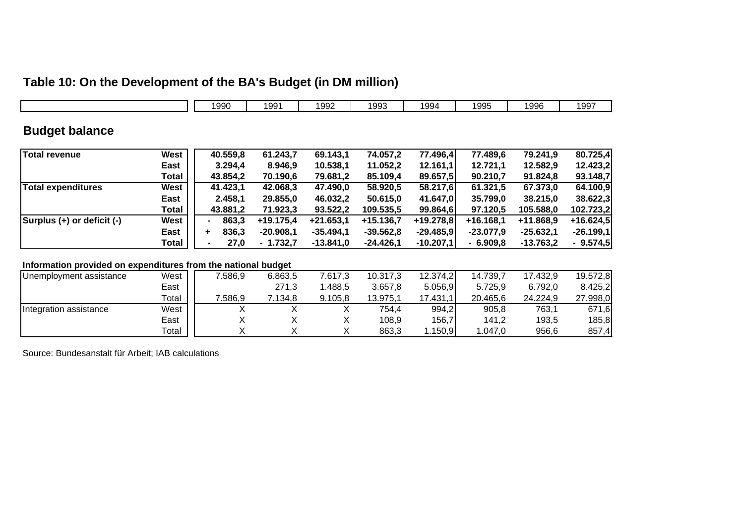# **Table 10: On the Development of the BA's Budget (in DM million)**

|                            |       | 1990       | 1991        | 1992        | 1993        | 1994        | 1995        | 1996        | 1997        |
|----------------------------|-------|------------|-------------|-------------|-------------|-------------|-------------|-------------|-------------|
| <b>Budget balance</b>      |       |            |             |             |             |             |             |             |             |
| Total revenue              | West  | 40.559,8   | 61.243,7    | 69.143,1    | 74.057,2    | 77.496,4    | 77.489,6    | 79.241,9    | 80.725,4    |
|                            | East  | 3.294.4    | 8.946,9     | 10.538,1    | 11.052,2    | 12.161,1    | 12.721,1    | 12.582,9    | 12.423,2    |
|                            | Total | 43.854,2   | 70.190,6    | 79.681,2    | 85.109,4    | 89.657,5    | 90.210,7    | 91.824,8    | 93.148,7    |
| Total expenditures         | West  | 41.423,1   | 42.068,3    | 47.490,0    | 58.920,5    | 58.217,6    | 61.321,5    | 67.373,0    | 64.100,9    |
|                            | East  | 2.458,1    | 29.855,0    | 46.032,2    | 50.615,0    | 41.647,0    | 35.799,0    | 38.215,0    | 38.622,3    |
|                            | Total | 43.881,2   | 71.923,3    | 93.522,2    | 109.535,5   | 99.864,6    | 97.120,5    | 105.588,0   | 102.723,2   |
| Surplus (+) or deficit (-) | West  | 863,3      | $+19.175,4$ | $+21.653,1$ | $+15.136,7$ | $+19.278,8$ | $+16.168,1$ | +11.868,9   | $+16.624,5$ |
|                            | East  | 836,3<br>٠ | $-20.908.1$ | $-35.494,1$ | $-39.562,8$ | $-29.485,9$ | $-23.077.9$ | $-25.632,1$ | $-26.199,1$ |
|                            | Total | 27,0       | $-1.732,7$  | $-13.841,0$ | $-24.426,1$ | $-10.207,1$ | $-6.909,8$  | $-13.763,2$ | $-9.574,5$  |

#### **Information provided on expenditures from the national budget**

| Unemployment assistance | West  | 7.586.9 | 6.863,5 | 7.617,3 | 10.317,3 | 12.374,2    | 14.739,7 | 17.432,9 | 19.572,8 |
|-------------------------|-------|---------|---------|---------|----------|-------------|----------|----------|----------|
|                         | East  |         | 271,3   | .488,5  | 3.657,8  | 5.056,9     | 5.725,9  | 6.792,0  | 8.425,2  |
|                         | Total | 7.586,9 | .134.8  | 9.105,8 | 13.975.1 | 17.431,1    | 20.465,6 | 24.224,9 | 27.998,0 |
| Integration assistance  | West  |         |         |         | 754,4    | 994,2       | 905,8    | 763,1    | 671,6    |
|                         | East  |         |         |         | 108,9    | 156,7       | 141,2    | 193,5    | 185,8    |
|                         | Total |         |         |         | 863.3    | . 150,91. ، | 1.047.0  | 956,6    | 857,4    |

Source: Bundesanstalt für Arbeit; IAB calculations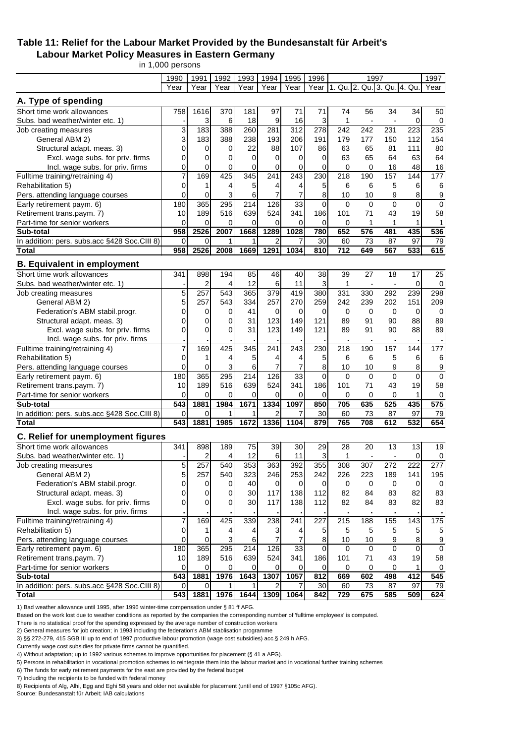### **Table 11: Relief for the Labour Market Provided by the Bundesanstalt für Arbeit's Labour Market Policy Measures in Eastern Germany**

in 1,000 persons

|                                                              | 1990             | 1991             | 1992        | 1993            | 1994           | 1995             | 1996           |                             | 1997                     |                |             | 1997             |
|--------------------------------------------------------------|------------------|------------------|-------------|-----------------|----------------|------------------|----------------|-----------------------------|--------------------------|----------------|-------------|------------------|
|                                                              | Year             | Year             | Year        | Year            | Year           | Year             | Year           | 1. Qu. 2. Qu. 3. Qu. 4. Qu. |                          |                |             | Year             |
| A. Type of spending                                          |                  |                  |             |                 |                |                  |                |                             |                          |                |             |                  |
| Short time work allowances                                   | 758              | 1616             | 370         | 181             | 97             | 71               | 71             | 74                          | 56                       | 34             | 34          | 50               |
| Subs. bad weather/winter etc. 1)                             |                  | 3                | 6           | 18              | 9              | 16               | 3              | 1                           | $\overline{\phantom{a}}$ | $\blacksquare$ | 0           | $\mathbf 0$      |
| Job creating measures                                        | 3                | 183              | 388         | 260             | 281            | 312              | 278            | 242                         | 242                      | 231            | 223         | 235              |
| General ABM 2)                                               | 3                | 183              | 388         | 238             | 193            | 206              | 191            | 179                         | 177                      | 150            | 112         | 154              |
| Structural adapt. meas. 3)                                   | 0                | 0                | 0           | 22              | 88             | 107              | 86             | 63                          | 65                       | 81             | 111         | 80               |
| Excl. wage subs. for priv. firms                             | 0                | 0                | 0           | 0               | 0              | 0                | $\mathbf 0$    | 63                          | 65                       | 64             | 63          | 64               |
| Incl. wage subs. for priv. firms                             | 0                | 0                | $\mathbf 0$ | 0               | 0              | 0                | $\mathbf 0$    | $\mathbf 0$                 | $\mathbf 0$              | 16             | 48          | 16               |
| Fulltime training/retraining 4)                              | 7                | 169              | 425         | 345             | 241            | 243              | 230            | 218                         | 190                      | 157            | 144         | 177              |
| Rehabilitation 5)                                            | 0                | 1                | 4           | 5               | 4              | 4                | 5              | 6                           | 6                        | 5              | 6           | 6                |
| Pers. attending language courses                             | 0                | 0                | 3           | 6               | 7              | $\overline{7}$   | 8              | 10                          | 10                       | 9              | 8           | 9                |
| Early retirement paym. 6)                                    | 180              | 365              | 295         | 214             | 126            | 33               | $\mathbf 0$    | $\Omega$                    | $\Omega$                 | $\Omega$       | $\Omega$    | $\mathbf 0$      |
| Retirement trans.paym. 7)                                    | 10               | 189              | 516         | 639             | 524            | 341              | 186            | 101                         | 71                       | 43             | 19          | 58               |
| Part-time for senior workers                                 | 0                | 0                | 0           | 0               | 0              | 0                | $\mathbf 0$    | 0                           | 1                        | 1              | 1           | 1                |
| Sub-total                                                    | 958              | 2526             | 2007        | 1668            | 1289           | 1028             | 780            | 652                         | 576                      | 481            | 435         | 536              |
| In addition: pers. subs.acc §428 Soc.CIII 8)                 | 0                | $\overline{0}$   | 1           |                 | $\overline{2}$ | 7                | 30             | 60                          | 73                       | 87             | 97          | 79               |
| <b>Total</b>                                                 | 958              | 2526             | 2008        | 1669            | 1291           | 1034             | 810            | 712                         | 649                      | 567            | 533         | 615              |
| <b>B. Equivalent in employment</b>                           |                  |                  |             |                 |                |                  |                |                             |                          |                |             |                  |
| Short time work allowances                                   | 341              | 898              | 194         | 85              | 46             | 40               | 38             | 39                          | 27                       | 18             | 17          | 25               |
| Subs, bad weather/winter etc. 1)                             |                  | $\overline{c}$   | 4           | 12              | 6              | 11               | $\mathbf{3}$   | $\mathbf{1}$                | $\overline{a}$           | $\overline{a}$ | $\mathbf 0$ | $\mathbf 0$      |
| Job creating measures                                        | 5                | 257              | 543         | 365             | 379            | 419              | 380            | 331                         | 330                      | 292            | 239         | 298              |
| General ABM 2)                                               | 5                | 257              | 543         | 334             | 257            | 270              | 259            | 242                         | 239                      | 202            | 151         | 209              |
| Federation's ABM stabil.progr.                               | 0                | 0                | 0           | 41              | 0              | 0                | $\mathbf 0$    | 0                           | $\mathbf 0$              | 0              | 0           | 0                |
| Structural adapt. meas. 3)                                   | 0                | 0                | 0           | 31              | 123            | 149              | 121            | 89                          | 91                       | 90             | 88          | 89               |
| Excl. wage subs. for priv. firms                             | 0                | 0                | 0           | 31              | 123            | 149              | 121            | 89                          | 91                       | 90             | 88          | 89               |
| Incl. wage subs. for priv. firms                             |                  |                  |             |                 |                |                  |                |                             | ٠                        |                |             |                  |
| Fulltime training/retraining 4)                              | 7                | 169              | 425         | 345             | 241            | 243              | 230            | 218                         | 190                      | 157            | 144         | 177              |
| Rehabilitation 5)                                            | 0                | 1                | 4           | 5               | 4              | 4                | 5              | 6                           | 6                        | 5              | 6           | 6                |
| Pers. attending language courses                             | 0                | 0                | 3           | 6               | 7              | 7                | 8              | 10                          | 10                       | 9              | 8           | 9                |
| Early retirement paym. 6)                                    | 180              | 365              | 295         | 214             | 126            | 33               | $\mathbf 0$    | $\Omega$                    | $\Omega$                 | $\mathbf 0$    | $\mathbf 0$ | 0                |
| Retirement trans.paym. 7)                                    | 10               | 189              | 516         | 639             | 524            | 341              | 186            | 101                         | 71                       | 43             | 19          | 58               |
| Part-time for senior workers                                 | 0                | 0                | 0           | $\overline{0}$  | 0              | 0                | $\mathbf 0$    | 0                           | 0                        | $\mathbf 0$    | 1           | 0                |
| Sub-total                                                    | 543              | 1881             | 1984        | 1671            | 1334           | 1097             | 850            | 705                         | 635                      | 525            | 435         | 575              |
| In addition: pers. subs.acc §428 Soc.CIII 8)                 | 0                | 0                | 1           |                 | 2              | 7                | 30             | 60                          | 73                       | 87             | 97          | 79               |
| <b>Total</b>                                                 | 543              | 1881             | 1985        | 1672            | 1336           | 1104             | 879            | 765                         | 708                      | 612            | 532         | 654              |
| C. Relief for unemployment figures                           |                  |                  |             |                 |                |                  |                |                             |                          |                |             |                  |
| Short time work allowances                                   | 341              | 898              | 189         | 75              | 39             | 30               | 29             | 28                          | 20                       | 13             | 13          | 19               |
| Subs. bad weather/winter etc. 1)                             |                  | 2                | 4           | 12              | 6              | 11               | 3              | 1                           |                          |                | 0           | 0                |
| Job creating measures                                        | 5                | 257              | 540         | 353             | 363            | $\overline{392}$ | 355            | 308                         | 307                      | 272            | 222         | 277              |
| General ABM 2)                                               | 5                | 257              | 540         | 323             | 246            | 253              | 242            | 226                         | 223                      | 189            | 141         | 195              |
| Federation's ABM stabil.progr.                               | 0                | 0                | 0           | 40              | 0              | $\overline{0}$   | $\overline{0}$ | $\mathbf 0$                 | $\mathbf 0$              | $\mathbf 0$    | 0           | 0                |
| Structural adapt. meas. 3)                                   | 0                | 0                | 0           | 30 <sup>°</sup> | 117            | 138              | $112$          | 82                          | 84                       | 83             | 82          | 83               |
| Excl. wage subs. for priv. firms                             | 0                | $\Omega$         | $\Omega$    | 30 <sup>°</sup> | 117            | 138              | 112            | 82                          | 84                       | 83             | 82          | 83               |
| Incl. wage subs. for priv. firms                             |                  |                  |             |                 |                |                  |                |                             |                          |                |             |                  |
| Fulltime training/retraining 4)                              | 7                | 169              | 425         | 339             | 238            | 241              | 227            | 215                         | 188                      | 155            | 143         | $\frac{1}{175}$  |
| Rehabilitation 5)                                            | 0                | 1                | 4           | 4               | 3              | 4                | 5              | 5                           | 5                        | 5              |             |                  |
| Pers. attending language courses                             | 0                | 0                | 3           | 6               | $\overline{7}$ | 7                | 8              | 10                          | 10                       | 9              | 8           | $\boldsymbol{9}$ |
| Early retirement paym. 6)                                    | 180              | 365              | 295         | 214             | 126            | 33               | 0              | $\mathbf 0$                 | $\mathbf 0$              | $\Omega$       | $\Omega$    | 0                |
| Retirement trans.paym. 7)                                    | 10               | 189              | 516         | 639             | 524            | 341              | 186            | 101                         | 71                       | 43             | 19          | 58               |
| Part-time for senior workers                                 | 0                | $\Omega$         | 0           | 0               | 0              | 0                | 0              | 0                           | 0                        | 0              |             | 0                |
| Sub-total                                                    | $\overline{543}$ | 1881             | 1976        | 1643            | 1307           | 1057             | 812            | 669                         | 602                      | 498            | 412         | 545              |
| In addition: pers. subs.acc §428 Soc.CIII 8)<br><b>Total</b> | 0<br>543         | $\Omega$<br>1881 | 1976        | 1644            | 2<br>1309      | 7<br>1064        | 30<br>842      | 60<br>729                   | 73<br>675                | 87<br>585      | 97<br>509   | 79<br>624        |
|                                                              |                  |                  |             |                 |                |                  |                |                             |                          |                |             |                  |

1) Bad weather allowance until 1995, after 1996 winter-time compensation under § 81 ff AFG.

Based on the work lost due to weather conditions as reported by the companies the corresponding number of 'fulltime employees' is computed.

There is no statistical proof for the spending expressed by the average number of construction workers

2) General measures for job creation; in 1993 including the federation's ABM stablisation programme

3) §§ 272-279, 415 SGB III up to end of 1997 productive labour promotion (wage cost subsidies) acc.§ 249 h AFG.

Currently wage cost subsidies for private firms cannot be quantified.

4) Without adaptation; up to 1992 various schemes to improve opportunities for placement (§ 41 a AFG).

5) Persons in rehabilitation in vocational promotion schemes to reintegrate them into the labour market and in vocational further training schemes

6) The funds for early retirement payments for the east are provided by the federal budget

7) Including the recipients to be funded with federal money

8) Recipients of Alg, Alhi, Egg and Eghi 58 years and older not available for placement (until end of 1997 §105c AFG).

Source: Bundesanstalt für Arbeit; IAB calculations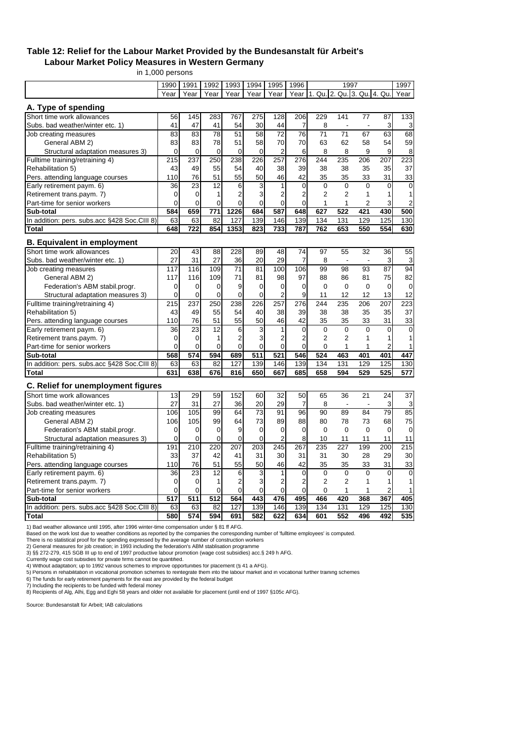#### **Table 12: Relief for the Labour Market Provided by the Bundesanstalt für Arbeit's Labour Market Policy Measures in Western Germany**

in 1,000 persons

|                                                                  | 1990           | 1991           | 1992           | 1993           | 1994             | 1995             | 1996           |                             | 1997           |                          |                | 1997             |
|------------------------------------------------------------------|----------------|----------------|----------------|----------------|------------------|------------------|----------------|-----------------------------|----------------|--------------------------|----------------|------------------|
|                                                                  | Year           | Year           | Year           | Year           | Year             | Year             | Year           | 1. Qu. 2. Qu. 3. Qu. 4. Qu. |                |                          |                | Year             |
| A. Type of spending                                              |                |                |                |                |                  |                  |                |                             |                |                          |                |                  |
| Short time work allowances                                       | 56             | 145            | 283            | 767            | 275              | 128              | 206            | 229                         | 141            | 77                       | 87             | 133              |
| Subs. bad weather/winter etc. 1)                                 | 41             | 47             | 41             | 54             | 30               | 44               | 7              | 8                           | ÷,             | $\overline{\phantom{a}}$ | 3              | 3                |
| Job creating measures                                            | 83             | 83             | 78             | 51             | 58               | $\overline{72}$  | 76             | 71                          | 71             | 67                       | 63             | 68               |
| General ABM 2)                                                   | 83             | 83             | 78             | 51             | 58               | 70               | 70             | 63                          | 62             | 58                       | 54             | 59               |
| Structural adaptation measures 3)                                | 0              | 0              | 0              | 0              | 0                | 2                | 6              | 8                           | 8              | 9                        | 9              | 8                |
| Fulltime training/retraining 4)                                  | 215            | 237            | 250            | 238            | 226              | $\overline{257}$ | 276            | 244                         | 235            | 206                      | 207            | $\overline{223}$ |
| Rehabilitation 5)                                                | 43             | 49             | 55             | 54             | 40               | 38               | 39             | 38                          | 38             | 35                       | 35             | 37               |
| Pers. attending language courses                                 | 110            | 76             | 51             | 55             | 50               | 46               | 42             | 35                          | 35             | 33                       | 31             | 33               |
| Early retirement paym. 6)                                        | 36             | 23             | 12             | 6              | 3                | 1                | $\mathbf 0$    | $\mathbf 0$                 | $\mathbf 0$    | $\Omega$                 | $\mathbf 0$    | $\mathbf 0$      |
| Retirement trans.paym. 7)                                        | $\mathbf 0$    | 0              | 1              | $\overline{2}$ | 3                | $\overline{2}$   | 2              | $\overline{2}$              | $\overline{2}$ | 1                        | 1              | 1                |
| Part-time for senior workers                                     | $\mathbf 0$    | 0              | $\Omega$       | 0              | $\Omega$         | $\Omega$         | $\Omega$       | $\mathbf{1}$                | 1              | 2                        | 3              | 2                |
| Sub-total                                                        | 584            | 659            | 771            | 1226           | 684              | 587              | 648            | $62\overline{7}$            | 522            | 421                      | 430            | 500              |
| In addition: pers. subs.acc §428 Soc.CIII 8)                     | 63             | 63             | 82             | 127            | 139              | 146              | 139            | 134                         | 131            | 129                      | 125            | 130              |
| <b>Total</b>                                                     | 648            | 722            | 854            | 1353           | 823              | 733              | 787            | 762                         | 653            | 550                      | 554            | 630              |
|                                                                  |                |                |                |                |                  |                  |                |                             |                |                          |                |                  |
| <b>B. Equivalent in employment</b><br>Short time work allowances | 20             | 43             | 88             | 228            | 89               | 48               | 74             | 97                          | 55             | 32                       | 36             | 55               |
| Subs. bad weather/winter etc. 1)                                 | 27             | 31             | 27             | 36             | 20               | 29               | $\overline{7}$ | 8                           | ÷,             | $\overline{a}$           | 3              | 3                |
| Job creating measures                                            | 117            | 116            | 109            | 71             | 81               | 100              | 106            | 99                          | 98             | 93                       | 87             | 94               |
| General ABM 2)                                                   | 117            | 116            | 109            | 71             | 81               | 98               | 97             | 88                          | 86             | 81                       | 75             | 82               |
| Federation's ABM stabil.progr.                                   | $\mathbf 0$    | 0              | 0              | 9              | 0                | 0                | $\Omega$       | $\Omega$                    | $\Omega$       | $\Omega$                 | $\Omega$       | $\mathbf 0$      |
| Structural adaptation measures 3)                                | $\Omega$       | $\overline{0}$ | $\overline{0}$ | $\Omega$       | $\Omega$         | $\overline{2}$   | 9              | 11                          | 12             | 12                       | 13             | 12               |
| Fulltime training/retraining 4)                                  | 215            | 237            | 250            | 238            | 226              | 257              | 276            | 244                         | 235            | 206                      | 207            | 223              |
| Rehabilitation 5)                                                | 43             | 49             | 55             | 54             | 40               | 38               | 39             | 38                          | 38             | 35                       | 35             | 37               |
| Pers. attending language courses                                 | 110            | 76             | 51             | 55             | 50               | 46               | 42             | 35                          | 35             | 33                       | 31             | 33               |
| Early retirement paym. 6)                                        | 36             | 23             | 12             | 6              | 3                | 1                | $\overline{0}$ | $\mathbf 0$                 | $\mathbf 0$    | $\Omega$                 | $\Omega$       | $\mathbf 0$      |
| Retirement trans.paym. 7)                                        | 0              | 0              | 1              | $\overline{2}$ | 3                | $\overline{2}$   | $\overline{2}$ | $\overline{2}$              | $\overline{2}$ | 1                        | 1              | 1                |
| Part-time for senior workers                                     | $\overline{0}$ | 0              | 0              | $\mathbf 0$    | $\mathbf 0$      | $\mathbf 0$      | $\overline{0}$ | $\mathbf 0$                 | 1              | 1                        | 2              | 1                |
| Sub-total                                                        | 568            | 574            | 594            | 689            | $\overline{511}$ | 521              | 546            | 524                         | 463            | 401                      | 401            | 447              |
| In addition: pers. subs.acc §428 Soc.CIII 8)                     | 63             | 63             | 82             | 127            | 139              | 146              | 139            | 134                         | 131            | 129                      | 125            | 130              |
| <b>Total</b>                                                     | 631            | 638            | 676            | 816            | 650              | 667              | 685            | 658                         | 594            | 529                      | 525            | 577              |
| C. Relief for unemployment figures                               |                |                |                |                |                  |                  |                |                             |                |                          |                |                  |
| Short time work allowances                                       | 13             | 29             | 59             | 152            | 60               | 32               | 50             | 65                          | 36             | 21                       | 24             | 37               |
| Subs. bad weather/winter etc. 1)                                 | 27             | 31             | 27             | 36             | 20               | 29               | 7              | 8                           |                | $\overline{\phantom{a}}$ | 3              | 3                |
| Job creating measures                                            | 106            | 105            | 99             | 64             | 73               | 91               | 96             | 90                          | 89             | 84                       | 79             | 85               |
| General ABM 2)                                                   | 106            | 105            | 99             | 64             | 73               | 89               | 88             | 80                          | 78             | 73                       | 68             | 75               |
| Federation's ABM stabil.progr.                                   | $\overline{0}$ | 0              | 0              | 9              | $\overline{0}$   | 0                | $\overline{0}$ | $\mathbf 0$                 | $\mathbf 0$    | $\mathbf 0$              | 0              | $\mathbf 0$      |
| Structural adaptation measures 3)                                | $\overline{0}$ | 0              | $\overline{0}$ | $\overline{0}$ | $\overline{0}$   | $\overline{2}$   | 8              | 10                          | 11             | 11                       | 11             | 11               |
| Fulltime training/retraining 4)                                  | 191            | 210            | 220            | 207            | 203              | 245              | 267            | 235                         | 227            | 199                      | 200            | 215              |
| Rehabilitation 5)                                                | 33             | 37             | 42             | 41             | 31               | 30               | 31             | 31                          | 30             | 28                       | 29             | 30               |
| Pers. attending language courses                                 | 110            | 76             | 51             | 55             | 50               | 46               | 42             | 35                          | 35             | 33                       | 31             | 33               |
| Early retirement paym. 6)                                        | 36             | 23             | 12             | 6              | 3                | $\mathbf{1}$     | $\Omega$       | $\Omega$                    | $\Omega$       | $\Omega$                 | $\Omega$       | $\overline{0}$   |
| Retirement trans.paym. 7)                                        | $\mathbf 0$    | 0              | 1              | $\overline{2}$ | 3                | $\overline{2}$   | 2              | $\overline{2}$              | $\overline{2}$ | 1                        | 1              | 1                |
| Part-time for senior workers                                     | $\overline{0}$ | 0              | 0              | $\overline{0}$ | $\boldsymbol{0}$ | $\mathbf 0$      | $\overline{0}$ | $\mathbf 0$                 | 1              | 1                        | $\overline{2}$ | 1                |
| Sub-total                                                        | 517            | 511            | 512            | 564            | 443              | 476              | 495            | 466                         | 420            | 368                      | 367            | 405              |
| In addition: pers. subs.acc §428 Soc.CIII 8)                     | 63             | 63             | 82             | 127            | 139              | 146              | 139            | 134                         | 131            | 129                      | 125            | 130              |
| Total                                                            | 580            | 574            | 594            | 691            | 582              | 622              | 634            | 601                         | 552            | 496                      | 492            | 535              |

1) Bad weather allowance until 1995, after 1996 winter-time compensation under § 81 ff AFG.

Based on the work lost due to weather conditions as reported by the companies the corresponding number of 'fulltime employees' is computed.

There is no statistical proof for the spending expressed by the average number of construction workers<br>2) General measures for job creation; in 1993 including the federation's ABM stablisation programme<br>3) §§ 272-279, 415

Currently wage cost subsidies for private firms cannot be quantified. 4) Without adaptation; up to 1992 various schemes to improve opportunities for placement (§ 41 a AFG).

5) Persons in rehabilitation in vocational promotion schemes to reintegrate them into the labour market and in vocational further training schemes

6) The funds for early retirement payments for the east are provided by the federal budget 7) Including the recipients to be funded with federal money

8) Recipients of Alg, Alhi, Egg and Eghi 58 years and older not available for placement (until end of 1997 §105c AFG).

Source: Bundesanstalt für Arbeit; IAB calculations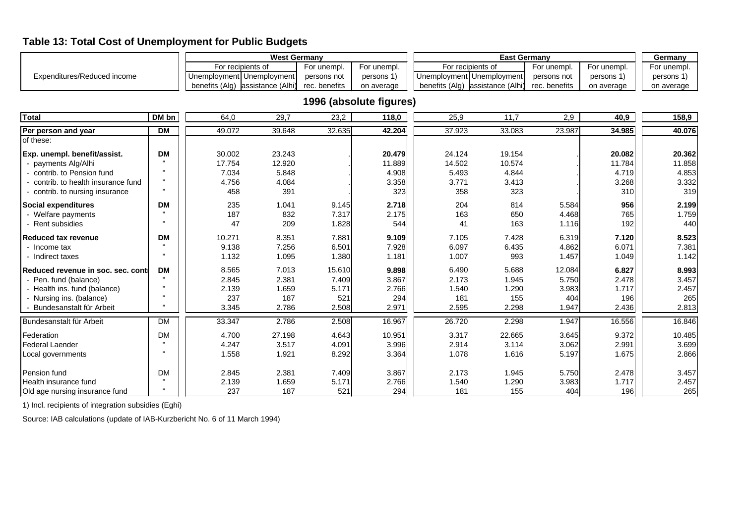# **Table 13: Total Cost of Unemployment for Public Budgets**

|                                   |           |                                  | <b>West Germany</b> |               |                         |                                  | <b>East Germany</b> |               |             | Germany     |
|-----------------------------------|-----------|----------------------------------|---------------------|---------------|-------------------------|----------------------------------|---------------------|---------------|-------------|-------------|
|                                   |           | For recipients of                |                     | For unempl.   | For unempl.             | For recipients of                |                     | For unempl.   | For unempl. | For unempl. |
| Expenditures/Reduced income       |           | Unemployment Unemployment        |                     | persons not   | persons 1)              | Unemployment   Unemployment      |                     | persons not   | persons 1)  | persons 1)  |
|                                   |           | benefits (Alg) assistance (Alhi) |                     | rec. benefits | on average              | benefits (Alg) assistance (Alhi) |                     | rec. benefits | on average  | on average  |
|                                   |           |                                  |                     |               |                         |                                  |                     |               |             |             |
|                                   |           |                                  |                     |               | 1996 (absolute figures) |                                  |                     |               |             |             |
| <b>Total</b>                      | DM bn     | 64,0                             | 29,7                | 23,2          | 118,0                   | 25,9                             | 11,7                | 2,9           | 40,9        | 158,9       |
| Per person and year               | <b>DM</b> | 49.072                           | 39.648              | 32.635        | 42.204                  | 37.923                           | 33.083              | 23.987        | 34.985      | 40.076      |
| of these:                         |           |                                  |                     |               |                         |                                  |                     |               |             |             |
| Exp. unempl. benefit/assist.      | <b>DM</b> | 30.002                           | 23.243              |               | 20.479                  | 24.124                           | 19.154              |               | 20.082      | 20.362      |
| payments Alg/Alhi                 |           | 17.754                           | 12.920              |               | 11.889                  | 14.502                           | 10.574              |               | 11.784      | 11.858      |
| contrib. to Pension fund          |           | 7.034                            | 5.848               |               | 4.908                   | 5.493                            | 4.844               |               | 4.719       | 4.853       |
| contrib, to health insurance fund |           | 4.756                            | 4.084               |               | 3.358                   | 3.771                            | 3.413               |               | 3.268       | 3.332       |
| contrib. to nursing insurance     |           | 458                              | 391                 |               | 323                     | 358                              | 323                 |               | 310         | 319         |
| <b>Social expenditures</b>        | <b>DM</b> | 235                              | 1.041               | 9.145         | 2.718                   | 204                              | 814                 | 5.584         | 956         | 2.199       |
| Welfare payments                  |           | 187                              | 832                 | 7.317         | 2.175                   | 163                              | 650                 | 4.468         | 765         | 1.759       |
| Rent subsidies                    |           | 47                               | 209                 | 1.828         | 544                     | 41                               | 163                 | 1.116         | 192         | 440         |
| Reduced tax revenue               | <b>DM</b> | 10.271                           | 8.351               | 7.881         | 9.109                   | 7.105                            | 7.428               | 6.319         | 7.120       | 8.523       |
| - Income tax                      |           | 9.138                            | 7.256               | 6.501         | 7.928                   | 6.097                            | 6.435               | 4.862         | 6.071       | 7.381       |
| - Indirect taxes                  |           | 1.132                            | 1.095               | 1.380         | 1.181                   | 1.007                            | 993                 | 1.457         | 1.049       | 1.142       |
| Reduced revenue in soc. sec. cont | <b>DM</b> | 8.565                            | 7.013               | 15.610        | 9.898                   | 6.490                            | 5.688               | 12.084        | 6.827       | 8.993       |
| Pen. fund (balance)               |           | 2.845                            | 2.381               | 7.409         | 3.867                   | 2.173                            | 1.945               | 5.750         | 2.478       | 3.457       |
| Health ins. fund (balance)        |           | 2.139                            | 1.659               | 5.171         | 2.766                   | 1.540                            | 1.290               | 3.983         | 1.717       | 2.457       |
| - Nursing ins. (balance)          |           | 237                              | 187                 | 521           | 294                     | 181                              | 155                 | 404           | 196         | 265         |
| Bundesanstalt für Arbeit          |           | 3.345                            | 2.786               | 2.508         | 2.971                   | 2.595                            | 2.298               | 1.947         | 2.436       | 2.813       |
| Bundesanstalt für Arbeit          | <b>DM</b> | 33.347                           | 2.786               | 2.508         | 16.967                  | 26.720                           | 2.298               | 1.947         | 16.556      | 16.846      |
| <b>Federation</b>                 | <b>DM</b> | 4.700                            | 27.198              | 4.643         | 10.951                  | 3.317                            | 22.665              | 3.645         | 9.372       | 10.485      |
| <b>Federal Laender</b>            |           | 4.247                            | 3.517               | 4.091         | 3.996                   | 2.914                            | 3.114               | 3.062         | 2.991       | 3.699       |

Local governments | " | 1.558 1.921 8.292| 3.364| | 1.078 1.616 5.197| 1.675| | 2.866

Pension fund DM 2.845 2.381 7.409 3.867 2.173 1.945 5.750 2.478 3.457 Health insurance fund | " | 2.139 1.659 5.171 | 2.766 | 1.540 1.290 3.983 | 1.717 | 2.457 Old age nursing insurance fund | " | | 237 187 521 294 | 181 155 404 196 | 196 265

1) Incl. recipients of integration subsidies (Eghi)

Source: IAB calculations (update of IAB-Kurzbericht No. 6 of 11 March 1994)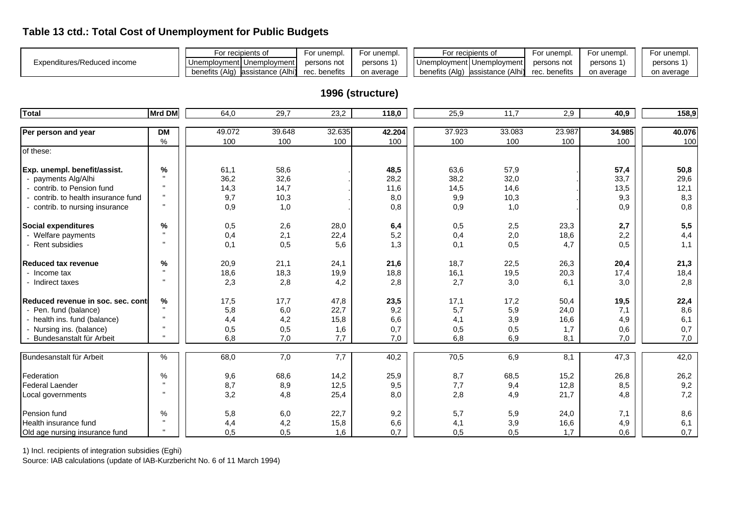# **Table 13 ctd.: Total Cost of Unemployment for Public Budgets**

|                             | For recipients of                   | For unempi.   | For unempl. | For recipients of                              | For unempl. | For unempl. | For unempl. |
|-----------------------------|-------------------------------------|---------------|-------------|------------------------------------------------|-------------|-------------|-------------|
| Expenditures/Reduced income | Unemployment   Unemployment         | persons not   | persons 1   | Unemployment   Unemployment                    | persons not | persons 1   | persons     |
|                             | benefits (Alg)<br>assistance (Alhi) | rec. benefits | on average  | benefits (Alg) assistance (Alhi) rec. benefits |             | on average  | on average  |

# **1996 (structure)**

| <b>Total</b>                        | Mrd DM    | 64,0   | 29,7             | 23,2   | 118,0  | 25,9   | $\overline{11,7}$ | 2,9    | 40,9              | 158,9  |
|-------------------------------------|-----------|--------|------------------|--------|--------|--------|-------------------|--------|-------------------|--------|
|                                     |           |        |                  |        |        |        |                   |        |                   |        |
| Per person and year                 | <b>DM</b> | 49.072 | 39.648           | 32.635 | 42.204 | 37.923 | 33.083            | 23.987 | 34.985            | 40.076 |
|                                     | $\%$      | 100    | 100              | 100    | 100    | 100    | 100               | 100    | 100               | 100    |
| of these:                           |           |        |                  |        |        |        |                   |        |                   |        |
| Exp. unempl. benefit/assist.        | %         | 61,1   | 58,6             |        | 48,5   | 63,6   | 57,9              |        | 57,4              | 50,8   |
| - payments Alg/Alhi                 |           | 36,2   | 32,6             |        | 28,2   | 38,2   | 32,0              |        | 33,7              | 29,6   |
| - contrib. to Pension fund          |           | 14,3   | 14,7             |        | 11,6   | 14,5   | 14,6              |        | 13,5              | 12,1   |
| - contrib, to health insurance fund |           | 9,7    | 10,3             |        | 8,0    | 9,9    | 10,3              |        | 9,3               | 8,3    |
| - contrib. to nursing insurance     |           | 0,9    | 1,0              |        | 0,8    | 0,9    | 1,0               |        | 0,9               | 0,8    |
| <b>Social expenditures</b>          | %         | 0,5    | 2,6              | 28,0   | 6,4    | 0,5    | 2,5               | 23,3   | 2,7               | 5,5    |
| - Welfare payments                  |           | 0,4    | 2,1              | 22,4   | 5,2    | 0,4    | 2,0               | 18,6   | 2,2               | 4,4    |
| - Rent subsidies                    |           | 0,1    | 0,5              | 5,6    | 1,3    | 0,1    | 0,5               | 4,7    | 0,5               | 1,1    |
| <b>Reduced tax revenue</b>          | %         | 20,9   | 21,1             | 24,1   | 21,6   | 18,7   | 22,5              | 26,3   | 20,4              | 21,3   |
| - Income tax                        |           | 18,6   | 18,3             | 19,9   | 18,8   | 16,1   | 19,5              | 20,3   | 17,4              | 18,4   |
| - Indirect taxes                    |           | 2,3    | 2,8              | 4,2    | 2,8    | 2,7    | 3,0               | 6,1    | 3,0               | 2,8    |
| Reduced revenue in soc. sec. conti  | %         | 17,5   | 17,7             | 47,8   | 23,5   | 17,1   | 17,2              | 50,4   | 19,5              | 22,4   |
| - Pen. fund (balance)               |           | 5,8    | 6,0              | 22,7   | 9,2    | 5,7    | 5,9               | 24,0   | 7,1               | 8,6    |
| - health ins. fund (balance)        |           | 4,4    | 4,2              | 15,8   | 6,6    | 4,1    | 3,9               | 16,6   | 4,9               | 6,1    |
| - Nursing ins. (balance)            |           | 0,5    | 0,5              | 1,6    | 0,7    | 0,5    | 0,5               | 1,7    | 0,6               | 0,7    |
| Bundesanstalt für Arbeit            |           | 6,8    | 7,0              | 7,7    | 7,0    | 6,8    | 6,9               | 8,1    | 7,0               | 7,0    |
| Bundesanstalt für Arbeit            | ℅         | 68,0   | $\overline{7,0}$ | 7,7    | 40,2   | 70,5   | 6,9               | 8,1    | $\overline{47,3}$ | 42,0   |
| Federation                          | ℅         | 9,6    | 68,6             | 14,2   | 25,9   | 8,7    | 68,5              | 15,2   | 26,8              | 26,2   |
| <b>Federal Laender</b>              |           | 8,7    | 8,9              | 12,5   | 9,5    | 7,7    | 9,4               | 12,8   | 8,5               | 9,2    |
| Local governments                   |           | 3,2    | 4,8              | 25,4   | 8,0    | 2,8    | 4,9               | 21,7   | 4,8               | 7,2    |
| Pension fund                        | %         | 5,8    | 6,0              | 22,7   | 9,2    | 5,7    | 5,9               | 24,0   | 7,1               | 8,6    |
| Health insurance fund               |           | 4,4    | 4,2              | 15,8   | 6,6    | 4,1    | 3,9               | 16,6   | 4,9               | 6,1    |
| Old age nursing insurance fund      |           | 0,5    | 0,5              | 1,6    | 0,7    | 0,5    | 0,5               | 1,7    | 0,6               | 0,7    |

1) Incl. recipients of integration subsidies (Eghi)

Source: IAB calculations (update of IAB-Kurzbericht No. 6 of 11 March 1994)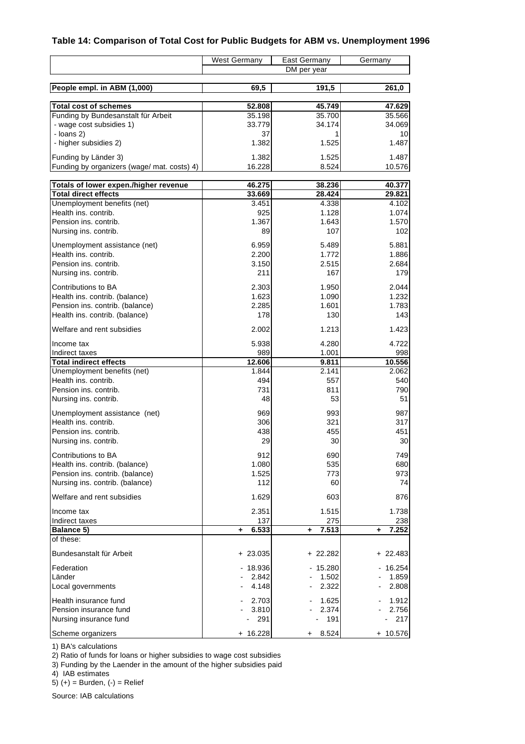# **Table 14: Comparison of Total Cost for Public Budgets for ABM vs. Unemployment 1996**

|                                                     | <b>West Germany</b> | East Germany | Germany     |
|-----------------------------------------------------|---------------------|--------------|-------------|
|                                                     |                     | DM per year  |             |
| People empl. in ABM (1,000)                         | 69,5                | 191,5        | 261,0       |
| <b>Total cost of schemes</b>                        | 52.808              | 45.749       | 47.629      |
| Funding by Bundesanstalt für Arbeit                 | 35.198              | 35.700       | 35.566      |
| - wage cost subsidies 1)                            | 33.779              | 34.174       | 34.069      |
| - $loans 2)$                                        | 37                  |              | 10          |
| - higher subsidies 2)                               | 1.382               | 1.525        | 1.487       |
| Funding by Länder 3)                                | 1.382               | 1.525        | 1.487       |
| Funding by organizers (wage/ mat. costs) 4)         | 16.228              | 8.524        | 10.576      |
| Totals of lower expen./higher revenue               | 46.275              | 38.236       | 40.377      |
| <b>Total direct effects</b>                         | 33.669              | 28.424       | 29.821      |
| Unemployment benefits (net)                         | 3.451               | 4.338        | 4.102       |
| Health ins. contrib.                                | 925                 | 1.128        | 1.074       |
| Pension ins. contrib.                               | 1.367               | 1.643        | 1.570       |
| Nursing ins. contrib.                               | 89                  | 107          | 102         |
| Unemployment assistance (net)                       | 6.959               | 5.489        | 5.881       |
| Health ins. contrib.                                | 2.200               | 1.772        | 1.886       |
| Pension ins. contrib.                               | 3.150               | 2.515        | 2.684       |
| Nursing ins. contrib.                               | 211                 | 167          | 179         |
| Contributions to BA                                 | 2.303               | 1.950        | 2.044       |
| Health ins. contrib. (balance)                      | 1.623               | 1.090        | 1.232       |
| Pension ins. contrib. (balance)                     | 2.285               | 1.601        | 1.783       |
| Health ins. contrib. (balance)                      | 178                 | 130          | 143         |
| Welfare and rent subsidies                          | 2.002               | 1.213        | 1.423       |
| Income tax                                          | 5.938               | 4.280        | 4.722       |
| Indirect taxes                                      | 989                 | 1.001        | 998         |
| <b>Total indirect effects</b>                       | 12.606              | 9.811        | 10.556      |
| Unemployment benefits (net)<br>Health ins. contrib. | 1.844<br>494        | 2.141<br>557 | 2.062       |
| Pension ins. contrib.                               | 731                 | 811          | 540<br>790  |
| Nursing ins. contrib.                               | 48                  | 53           | 51          |
| Unemployment assistance (net)                       | 969                 | 993          | 987         |
| Health ins. contrib.                                | 306                 | 321          | 317         |
| Pension ins. contrib.                               | 438                 | 455          | 451         |
| Nursing ins. contrib.                               | 29                  | 30           | 30          |
| Contributions to BA                                 | 912                 | 690          | 749         |
| Health ins. contrib. (balance)                      | 1.080               | 535          | 680         |
| Pension ins. contrib. (balance)                     | 1.525               | 773          | 973         |
| Nursing ins. contrib. (balance)                     | 112                 | 60           | 74          |
| Welfare and rent subsidies                          | 1.629               | 603          | 876         |
| Income tax                                          | 2.351               | 1.515        | 1.738       |
| Indirect taxes                                      | 137                 | 275          | 238         |
| Balance 5)<br>of these:                             | 6.533<br>٠          | 7.513<br>÷.  | 7.252<br>٠. |
|                                                     |                     |              |             |
| Bundesanstalt für Arbeit                            | $+23.035$           | $+22.282$    | $+22.483$   |
| Federation                                          | 18.936              | 15.280       | $-16.254$   |
| Länder                                              | 2.842               | 1.502        | 1.859       |
| Local governments                                   | 4.148               | 2.322        | 2.808       |
| Health insurance fund                               | 2.703               | 1.625        | 1.912       |
| Pension insurance fund                              | 3.810               | 2.374        | 2.756       |
| Nursing insurance fund                              | 291                 | 191          | 217         |
| Scheme organizers                                   | $+ 16.228$          | 8.524<br>+   | + 10.576    |

1) BA's calculations

2) Ratio of funds for loans or higher subsidies to wage cost subsidies

3) Funding by the Laender in the amount of the higher subsidies paid

4) IAB estimates

5)  $(+)$  = Burden,  $(-)$  = Relief

Source: IAB calculations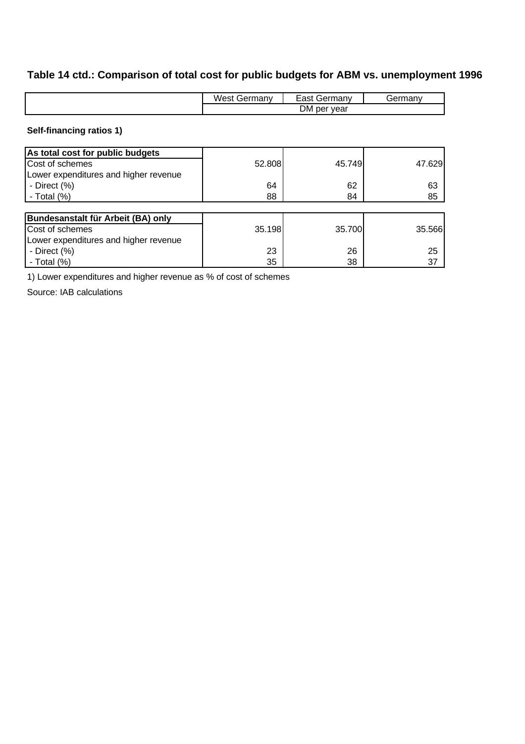# **Table 14 ctd.: Comparison of total cost for public budgets for ABM vs. unemployment 1996**

| M/ast<br>Germanv | ast<br>Germany | 1.0000000000<br>` ¬ ⊢.<br>παιιν |  |
|------------------|----------------|---------------------------------|--|
| DM per year      |                |                                 |  |

## **Self-financing ratios 1)**

| As total cost for public budgets      |        |        |        |
|---------------------------------------|--------|--------|--------|
| Cost of schemes                       | 52.808 | 45.749 | 47.629 |
| Lower expenditures and higher revenue |        |        |        |
| - Direct (%)                          | 64     | 62     | 63     |
| - Total $(\%)$                        | 88     | 84     | 85     |
|                                       |        |        |        |
| Bundesanstalt für Arbeit (BA) only    |        |        |        |
| Cost of schemes                       | 35.198 | 35.700 | 35.566 |
| Lower expenditures and higher revenue |        |        |        |
| - Direct $(\%)$                       | 23     | 26     | 25     |
| - Total $(%)$                         | 35     | 38     | 37     |

1) Lower expenditures and higher revenue as % of cost of schemes

Source: IAB calculations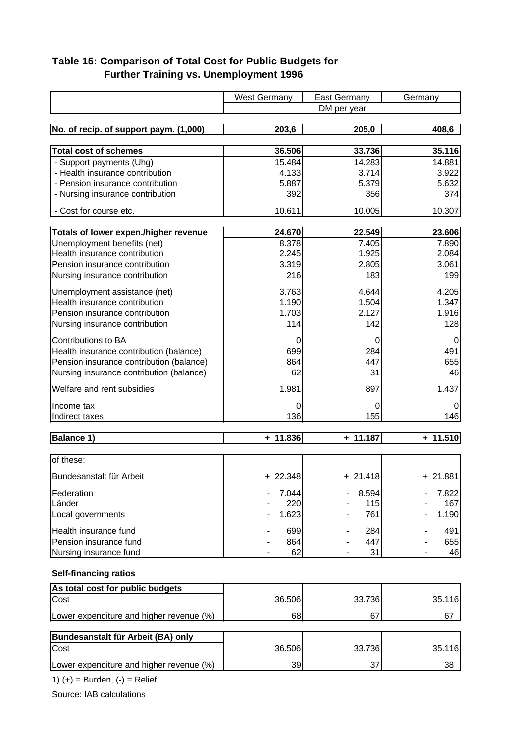# **Table 15: Comparison of Total Cost for Public Budgets for Further Training vs. Unemployment 1996**

|                                          | <b>West Germany</b> | <b>East Germany</b> | Germany        |
|------------------------------------------|---------------------|---------------------|----------------|
|                                          |                     | DM per year         |                |
|                                          |                     |                     |                |
| No. of recip. of support paym. (1,000)   | 203,6               | 205,0               | 408,6          |
| <b>Total cost of schemes</b>             | 36.506              | 33.736              | 35.116         |
| - Support payments (Uhg)                 | 15.484              | 14.283              | 14.881         |
| - Health insurance contribution          | 4.133               | 3.714               | 3.922          |
| - Pension insurance contribution         | 5.887               | 5.379               | 5.632          |
| - Nursing insurance contribution         | 392                 | 356                 | 374            |
| - Cost for course etc.                   | 10.611              | 10.005              | 10.307         |
|                                          |                     |                     |                |
| Totals of lower expen./higher revenue    | 24.670              | 22.549              | 23.606         |
| Unemployment benefits (net)              | 8.378               | 7.405               | 7.890          |
| Health insurance contribution            | 2.245               | 1.925               | 2.084          |
| Pension insurance contribution           | 3.319               | 2.805               | 3.061          |
| Nursing insurance contribution           | 216                 | 183                 | 199            |
| Unemployment assistance (net)            | 3.763               | 4.644               | 4.205          |
| Health insurance contribution            | 1.190               | 1.504               | 1.347          |
| Pension insurance contribution           | 1.703               | 2.127               | 1.916          |
| Nursing insurance contribution           | 114                 | 142                 | 128            |
| Contributions to BA                      | 0                   | 0                   | $\overline{0}$ |
| Health insurance contribution (balance)  | 699                 | 284                 | 491            |
| Pension insurance contribution (balance) | 864                 | 447                 | 655            |
| Nursing insurance contribution (balance) | 62                  | 31                  | 46             |
| Welfare and rent subsidies               | 1.981               | 897                 | 1.437          |
| Income tax                               | 0                   | 0                   | 0              |
| Indirect taxes                           | 136                 | 155                 | 146            |
|                                          |                     |                     |                |
| <b>Balance 1)</b>                        | $+ 11.836$          | $+ 11.187$          | $+ 11.510$     |
| of these:                                |                     |                     |                |
| Bundesanstalt für Arbeit                 | $+22.348$           | $+21.418$           | $+21.881$      |
| Federation                               | 7.044               | 8.594               | 7.822          |
| Länder                                   | 220                 | 115                 | 167            |
| Local governments                        | 1.623               | 761                 | 1.190          |
| Health insurance fund                    | 699                 | 284                 | 491            |
| Pension insurance fund                   | 864                 | 447                 | 655            |
| Nursing insurance fund                   | 62                  | 31                  | 46             |
|                                          |                     |                     |                |
| <b>Self-financing ratios</b>             |                     |                     |                |
| As total cost for public budgets<br>Cost | 36.506              | 33.736              | 35.116         |
|                                          |                     |                     |                |
| Lower expenditure and higher revenue (%) | 68                  | 67                  | 67             |
| Bundesanstalt für Arbeit (BA) only       |                     |                     |                |
| Cost                                     | 36.506              | 33.736              | 35.116         |
| Lower expenditure and higher revenue (%) | 39                  | 37                  | 38             |

1)  $(+)$  = Burden,  $(-)$  = Relief

Source: IAB calculations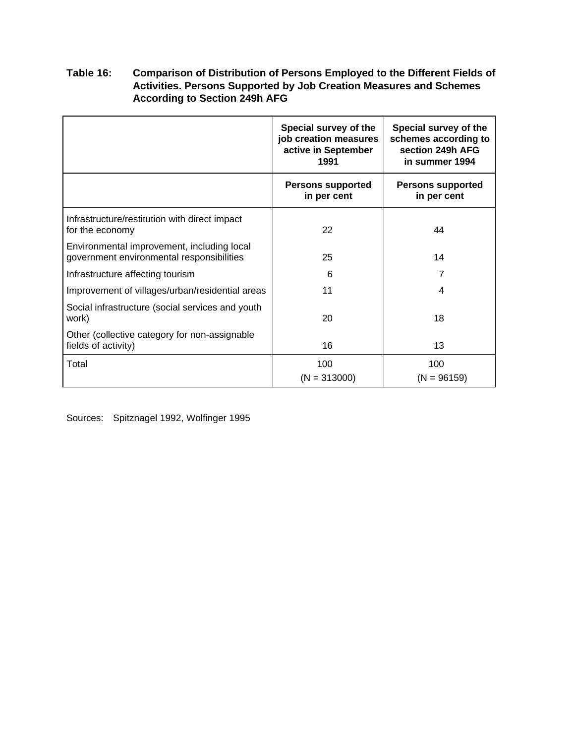## **Table 16: Comparison of Distribution of Persons Employed to the Different Fields of Activities. Persons Supported by Job Creation Measures and Schemes According to Section 249h AFG**

|                                                                                         | Special survey of the<br>job creation measures<br>active in September<br>1991 | Special survey of the<br>schemes according to<br>section 249h AFG<br>in summer 1994 |  |
|-----------------------------------------------------------------------------------------|-------------------------------------------------------------------------------|-------------------------------------------------------------------------------------|--|
|                                                                                         | <b>Persons supported</b><br>in per cent                                       | <b>Persons supported</b><br>in per cent                                             |  |
| Infrastructure/restitution with direct impact<br>for the economy                        | 22                                                                            | 44                                                                                  |  |
| Environmental improvement, including local<br>government environmental responsibilities | 25                                                                            | 14                                                                                  |  |
| Infrastructure affecting tourism                                                        | 6                                                                             | 7                                                                                   |  |
| Improvement of villages/urban/residential areas                                         | 11                                                                            | 4                                                                                   |  |
| Social infrastructure (social services and youth<br>work)                               | 20                                                                            | 18                                                                                  |  |
| Other (collective category for non-assignable<br>fields of activity)                    | 16                                                                            | 13                                                                                  |  |
| Total                                                                                   | 100<br>$(N = 313000)$                                                         | 100<br>$(N = 96159)$                                                                |  |

Sources: Spitznagel 1992, Wolfinger 1995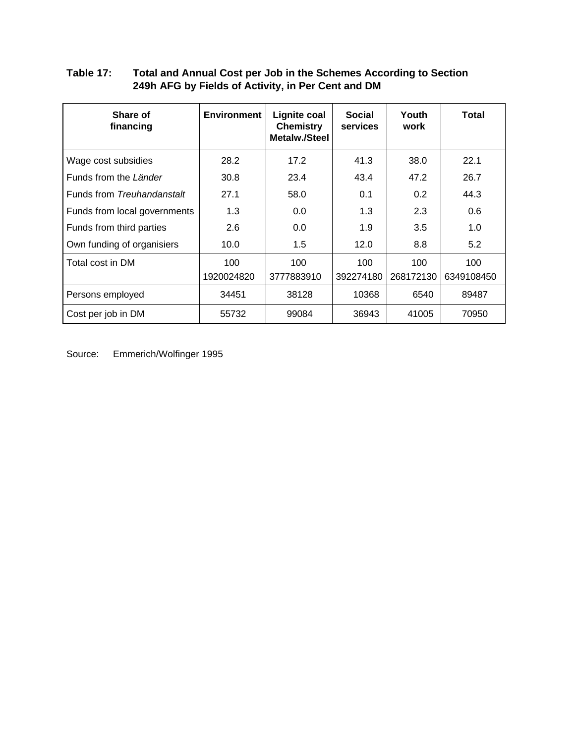#### **Table 17: Total and Annual Cost per Job in the Schemes According to Section 249h AFG by Fields of Activity, in Per Cent and DM**

| Share of<br>financing        | <b>Environment</b> | Lignite coal<br><b>Chemistry</b><br><b>Metalw./Steel</b> | <b>Social</b><br>services | Youth<br>work | Total      |
|------------------------------|--------------------|----------------------------------------------------------|---------------------------|---------------|------------|
| Wage cost subsidies          | 28.2               | 17.2                                                     | 41.3                      | 38.0          | 22.1       |
| Funds from the Länder        | 30.8               | 23.4                                                     | 43.4                      | 47.2          | 26.7       |
| Funds from Treuhandanstalt   | 27.1               | 58.0                                                     | 0.1                       | 0.2           | 44.3       |
| Funds from local governments | 1.3                | 0.0                                                      | 1.3                       | 2.3           | 0.6        |
| Funds from third parties     | 2.6                | 0.0                                                      | 1.9                       | 3.5           | 1.0        |
| Own funding of organisiers   | 10.0               | 1.5                                                      | 12.0                      | 8.8           | 5.2        |
| Total cost in DM             | 100                | 100                                                      | 100                       | 100           | 100        |
|                              | 1920024820         | 3777883910                                               | 392274180                 | 268172130     | 6349108450 |
| Persons employed             | 34451              | 38128                                                    | 10368                     | 6540          | 89487      |
| Cost per job in DM           | 55732              | 99084                                                    | 36943                     | 41005         | 70950      |

Source: Emmerich/Wolfinger 1995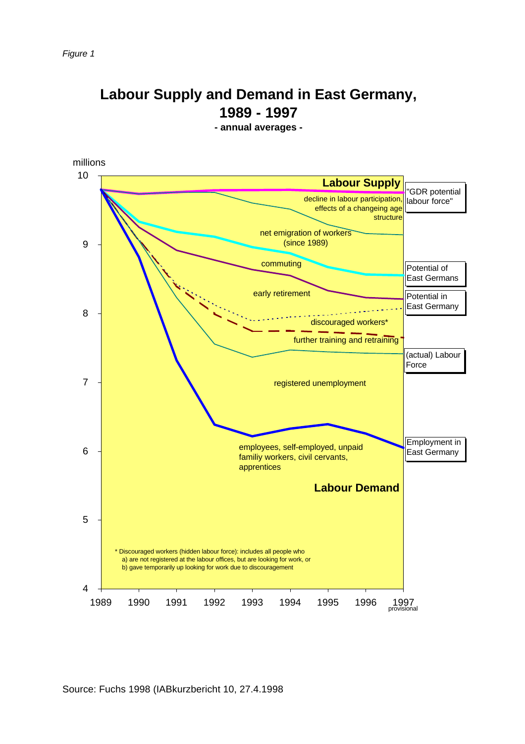# **Labour Supply and Demand in East Germany, 1989 - 1997**

**- annual averages -**

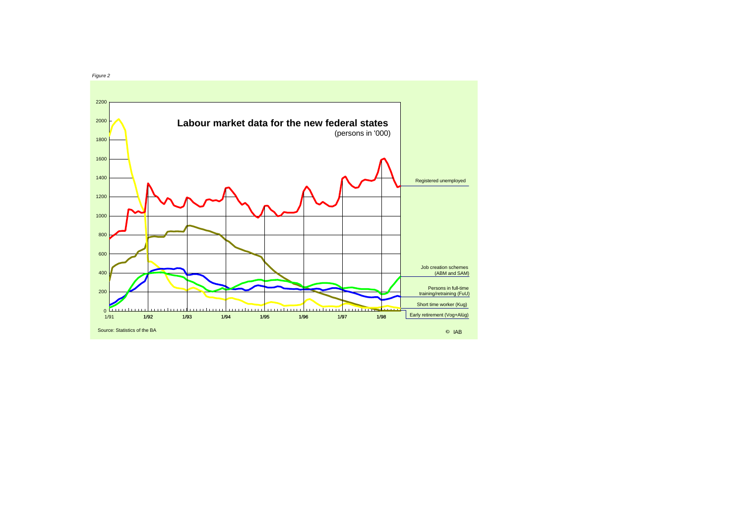